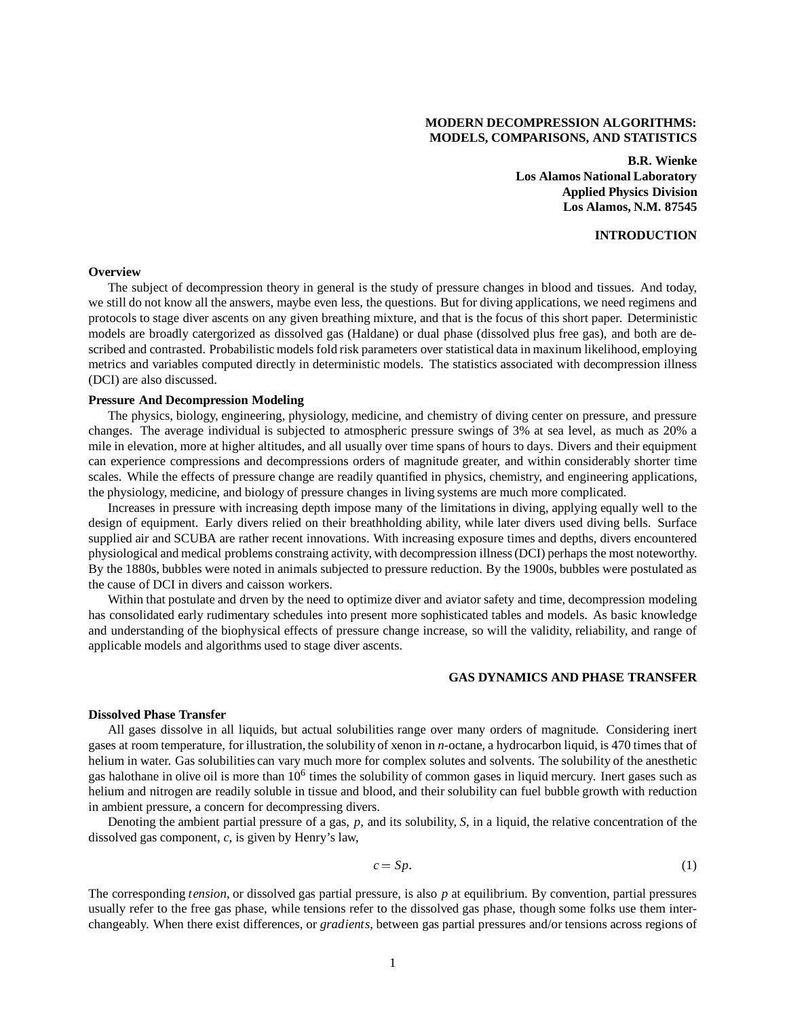# **MODERN DECOMPRESSION ALGORITHMS: MODELS, COMPARISONS, AND STATISTICS**

**B.R. Wienke Los Alamos National Laboratory Applied Physics Division Los Alamos, N.M. 87545**

# **INTRODUCTION**

## **Overview**

The subject of decompression theory in general is the study of pressure changes in blood and tissues. And today, we still do not know all the answers, maybe even less, the questions. But for diving applications, we need regimens and protocols to stage diver ascents on any given breathing mixture, and that is the focus of this short paper. Deterministic models are broadly catergorized as dissolved gas (Haldane) or dual phase (dissolved plus free gas), and both are described and contrasted. Probabilistic models fold risk parameters over statistical data in maxinum likelihood, employing metrics and variables computed directly in deterministic models. The statistics associated with decompression illness (DCI) are also discussed.

### **Pressure And Decompression Modeling**

The physics, biology, engineering, physiology, medicine, and chemistry of diving center on pressure, and pressure changes. The average individual is subjected to atmospheric pressure swings of 3% at sea level, as much as 20% a mile in elevation, more at higher altitudes, and all usually over time spans of hours to days. Divers and their equipment can experience compressions and decompressions orders of magnitude greater, and within considerably shorter time scales. While the effects of pressure change are readily quantified in physics, chemistry, and engineering applications, the physiology, medicine, and biology of pressure changes in living systems are much more complicated.

Increases in pressure with increasing depth impose many of the limitations in diving, applying equally well to the design of equipment. Early divers relied on their breathholding ability, while later divers used diving bells. Surface supplied air and SCUBA are rather recent innovations. With increasing exposure times and depths, divers encountered physiological and medical problems constraing activity, with decompression illness (DCI) perhaps the most noteworthy. By the 1880s, bubbles were noted in animals subjected to pressure reduction. By the 1900s, bubbles were postulated as the cause of DCI in divers and caisson workers.

Within that postulate and drven by the need to optimize diver and aviator safety and time, decompression modeling has consolidated early rudimentary schedules into present more sophisticated tables and models. As basic knowledge and understanding of the biophysical effects of pressure change increase, so will the validity, reliability, and range of applicable models and algorithms used to stage diver ascents.

# **GAS DYNAMICS AND PHASE TRANSFER**

#### **Dissolved Phase Transfer**

All gases dissolve in all liquids, but actual solubilities range over many orders of magnitude. Considering inert gases at room temperature, for illustration, the solubility of xenon in *n*-octane, a hydrocarbon liquid, is 470 times that of helium in water. Gas solubilities can vary much more for complex solutes and solvents. The solubility of the anesthetic gas halothane in olive oil is more than  $10<sup>6</sup>$  times the solubility of common gases in liquid mercury. Inert gases such as helium and nitrogen are readily soluble in tissue and blood, and their solubility can fuel bubble growth with reduction in ambient pressure, a concern for decompressing divers.

Denoting the ambient partial pressure of a gas, *p*, and its solubility, *S*, in a liquid, the relative concentration of the dissolved gas component, *c*, is given by Henry's law,

$$
c = Sp.
$$
 (1)

The corresponding *tension*, or dissolved gas partial pressure, is also *p* at equilibrium. By convention, partial pressures usually refer to the free gas phase, while tensions refer to the dissolved gas phase, though some folks use them interchangeably. When there exist differences, or *gradients*, between gas partial pressures and/or tensions across regions of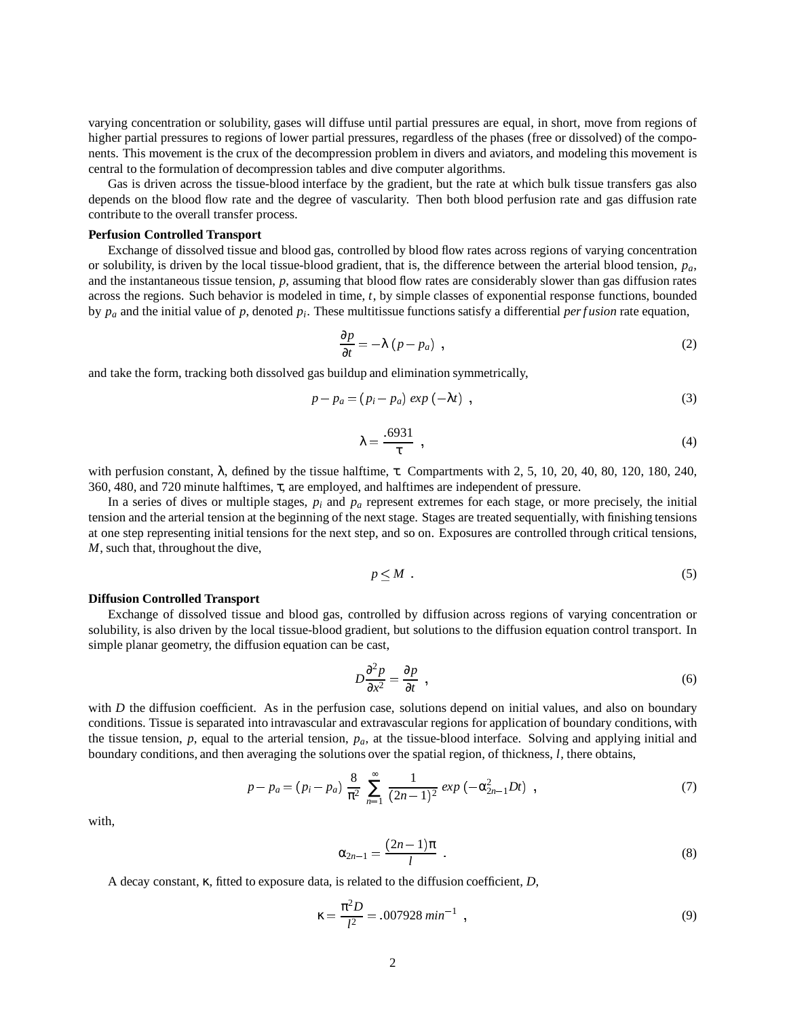varying concentration or solubility, gases will diffuse until partial pressures are equal, in short, move from regions of higher partial pressures to regions of lower partial pressures, regardless of the phases (free or dissolved) of the components. This movement is the crux of the decompression problem in divers and aviators, and modeling this movement is central to the formulation of decompression tables and dive computer algorithms.

Gas is driven across the tissue-blood interface by the gradient, but the rate at which bulk tissue transfers gas also depends on the blood flow rate and the degree of vascularity. Then both blood perfusion rate and gas diffusion rate contribute to the overall transfer process.

## **Perfusion Controlled Transport**

Exchange of dissolved tissue and blood gas, controlled by blood flow rates across regions of varying concentration or solubility, is driven by the local tissue-blood gradient, that is, the difference between the arterial blood tension, *pa*, and the instantaneous tissue tension, *p*, assuming that blood flow rates are considerably slower than gas diffusion rates across the regions. Such behavior is modeled in time, *t*, by simple classes of exponential response functions, bounded by *pa* and the initial value of *p*, denoted *pi*. These multitissue functions satisfy a differential *per f usion* rate equation,

$$
\frac{\partial p}{\partial t} = -\lambda (p - p_a) \quad , \tag{2}
$$

and take the form, tracking both dissolved gas buildup and elimination symmetrically,

$$
p - p_a = (p_i - p_a) \exp(-\lambda t) , \qquad (3)
$$

$$
\lambda = \frac{.6931}{\tau} \tag{4}
$$

with perfusion constant, λ, defined by the tissue halftime, τ. Compartments with 2, 5, 10, 20, 40, 80, 120, 180, 240, 360, 480, and 720 minute halftimes, τ, are employed, and halftimes are independent of pressure.

In a series of dives or multiple stages,  $p_i$  and  $p_a$  represent extremes for each stage, or more precisely, the initial tension and the arterial tension at the beginning of the next stage. Stages are treated sequentially, with finishing tensions at one step representing initial tensions for the next step, and so on. Exposures are controlled through critical tensions, *M*, such that, throughout the dive,

$$
p \le M \tag{5}
$$

#### **Diffusion Controlled Transport**

Exchange of dissolved tissue and blood gas, controlled by diffusion across regions of varying concentration or solubility, is also driven by the local tissue-blood gradient, but solutions to the diffusion equation control transport. In simple planar geometry, the diffusion equation can be cast,

$$
D\frac{\partial^2 p}{\partial x^2} = \frac{\partial p}{\partial t} \quad , \tag{6}
$$

with *D* the diffusion coefficient. As in the perfusion case, solutions depend on initial values, and also on boundary conditions. Tissue is separated into intravascular and extravascular regions for application of boundary conditions, with the tissue tension,  $p$ , equal to the arterial tension,  $p_a$ , at the tissue-blood interface. Solving and applying initial and boundary conditions, and then averaging the solutions over the spatial region, of thickness, *l*, there obtains,

$$
p - p_a = (p_i - p_a) \frac{8}{\pi^2} \sum_{n=1}^{\infty} \frac{1}{(2n-1)^2} \exp(-\alpha_{2n-1}^2 Dt) , \qquad (7)
$$

with,

$$
\alpha_{2n-1} = \frac{(2n-1)\pi}{l} \tag{8}
$$

A decay constant, κ, fitted to exposure data, is related to the diffusion coefficient, *D*,

$$
\kappa = \frac{\pi^2 D}{l^2} = .007928 \text{ min}^{-1} \tag{9}
$$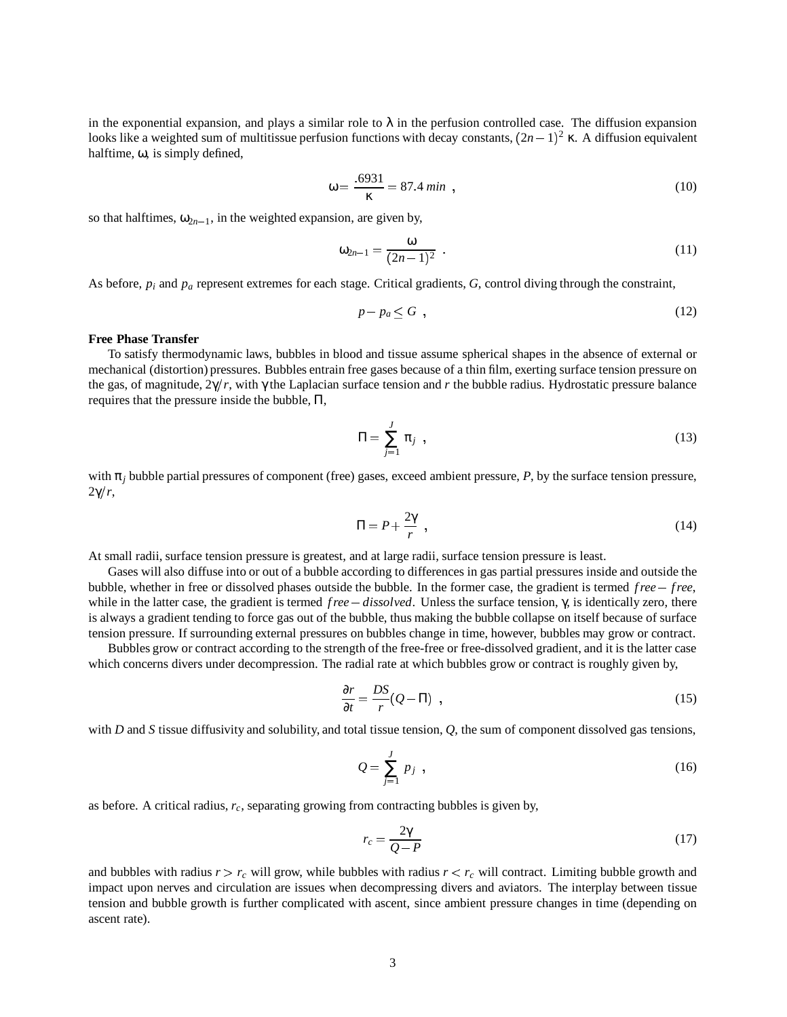in the exponential expansion, and plays a similar role to  $\lambda$  in the perfusion controlled case. The diffusion expansion looks like a weighted sum of multitissue perfusion functions with decay constants,  $(2n-1)^2$  κ. A diffusion equivalent halftime, ω, is simply defined,

$$
\omega = \frac{.6931}{\kappa} = 87.4 \text{ min} , \qquad (10)
$$

so that halftimes,  $\omega_{2n-1}$ , in the weighted expansion, are given by,

$$
\omega_{2n-1} = \frac{\omega}{(2n-1)^2} \tag{11}
$$

As before, *pi* and *pa* represent extremes for each stage. Critical gradients, *G*, control diving through the constraint,

$$
p - p_a \le G \t{12}
$$

# **Free Phase Transfer**

To satisfy thermodynamic laws, bubbles in blood and tissue assume spherical shapes in the absence of external or mechanical (distortion) pressures. Bubbles entrain free gases because of a thin film, exerting surface tension pressure on the gas, of magnitude,  $2\gamma/r$ , with  $\gamma$  the Laplacian surface tension and r the bubble radius. Hydrostatic pressure balance requires that the pressure inside the bubble, Π,

$$
\Pi = \sum_{j=1}^{J} \pi_j \tag{13}
$$

with  $\pi_j$  bubble partial pressures of component (free) gases, exceed ambient pressure, *P*, by the surface tension pressure,  $2\gamma/r$ ,

$$
\Pi = P + \frac{2\gamma}{r} \tag{14}
$$

At small radii, surface tension pressure is greatest, and at large radii, surface tension pressure is least.

Gases will also diffuse into or out of a bubble according to differences in gas partial pressures inside and outside the bubble, whether in free or dissolved phases outside the bubble. In the former case, the gradient is termed *f ree f ree*, while in the latter case, the gradient is termed  $free-disolved$ . Unless the surface tension,  $\gamma$ , is identically zero, there is always a gradient tending to force gas out of the bubble, thus making the bubble collapse on itself because of surface tension pressure. If surrounding external pressures on bubbles change in time, however, bubbles may grow or contract.

Bubbles grow or contract according to the strength of the free-free or free-dissolved gradient, and it is the latter case which concerns divers under decompression. The radial rate at which bubbles grow or contract is roughly given by,

$$
\frac{\partial r}{\partial t} = \frac{DS}{r}(Q - \Pi) \tag{15}
$$

with *D* and *S* tissue diffusivity and solubility, and total tissue tension, *Q*, the sum of component dissolved gas tensions,

$$
Q = \sum_{j=1}^{J} p_j \tag{16}
$$

as before. A critical radius, *rc*, separating growing from contracting bubbles is given by,

$$
r_c = \frac{2\gamma}{Q - P} \tag{17}
$$

and bubbles with radius  $r > r_c$  will grow, while bubbles with radius  $r < r_c$  will contract. Limiting bubble growth and impact upon nerves and circulation are issues when decompressing divers and aviators. The interplay between tissue tension and bubble growth is further complicated with ascent, since ambient pressure changes in time (depending on ascent rate).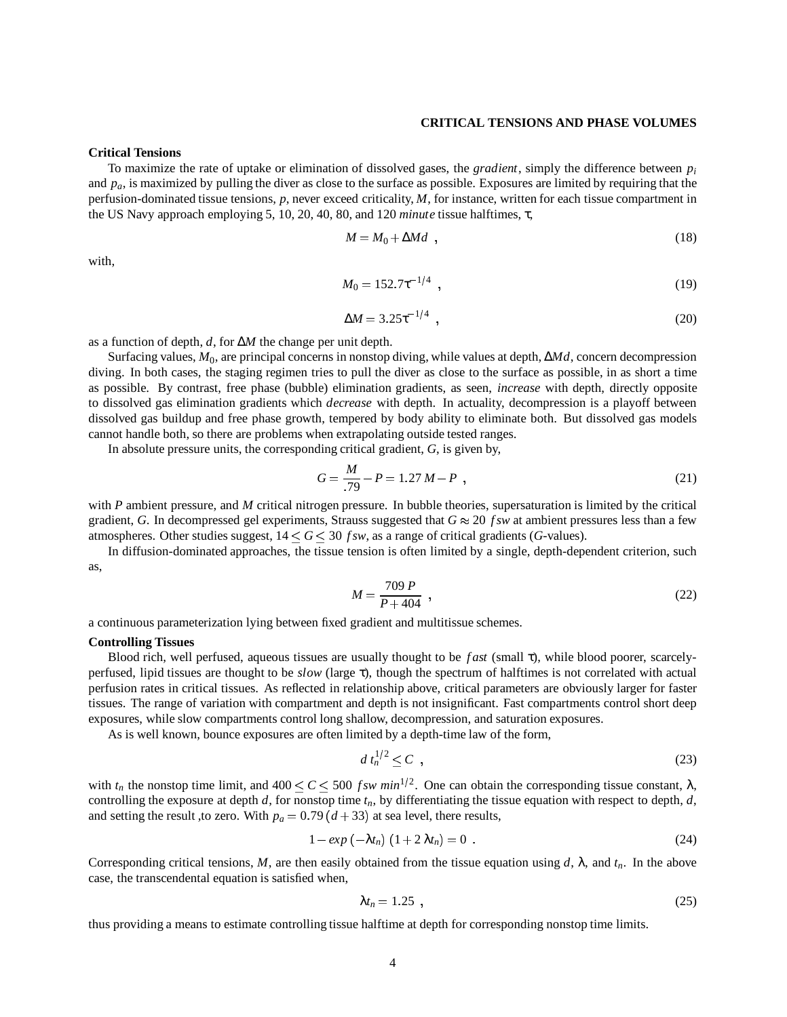## **CRITICAL TENSIONS AND PHASE VOLUMES**

## **Critical Tensions**

To maximize the rate of uptake or elimination of dissolved gases, the *gradient*, simply the difference between  $p_i$ and  $p_a$ , is maximized by pulling the diver as close to the surface as possible. Exposures are limited by requiring that the perfusion-dominated tissue tensions, *p*, never exceed criticality, *M*, for instance, written for each tissue compartment in the US Navy approach employing 5, 10, 20, 40, 80, and 120 *minute* tissue halftimes, τ,

$$
M = M_0 + \Delta M d \quad , \tag{18}
$$

with,

$$
M_0 = 152.7\tau^{-1/4} \tag{19}
$$

$$
\Delta M = 3.25 \tau^{-1/4} \tag{20}
$$

as a function of depth, *d*, for ∆*M* the change per unit depth.

Surfacing values, *M*0, are principal concerns in nonstop diving, while values at depth, ∆*Md*, concern decompression diving. In both cases, the staging regimen tries to pull the diver as close to the surface as possible, in as short a time as possible. By contrast, free phase (bubble) elimination gradients, as seen, *increase* with depth, directly opposite to dissolved gas elimination gradients which *decrease* with depth. In actuality, decompression is a playoff between dissolved gas buildup and free phase growth, tempered by body ability to eliminate both. But dissolved gas models cannot handle both, so there are problems when extrapolating outside tested ranges.

In absolute pressure units, the corresponding critical gradient, *G*, is given by,

$$
G = \frac{M}{.79} - P = 1.27 M - P \tag{21}
$$

with *P* ambient pressure, and *M* critical nitrogen pressure. In bubble theories, supersaturation is limited by the critical gradient, *G*. In decompressed gel experiments, Strauss suggested that  $G \approx 20$  *f sw* at ambient pressures less than a few atmospheres. Other studies suggest,  $14 \le G \le 30$  *f sw*, as a range of critical gradients (*G*-values).

In diffusion-dominated approaches, the tissue tension is often limited by a single, depth-dependent criterion, such as,

$$
M = \frac{709 \, P}{P + 404} \tag{22}
$$

a continuous parameterization lying between fixed gradient and multitissue schemes.

# **Controlling Tissues**

Blood rich, well perfused, aqueous tissues are usually thought to be *f ast* (small τ), while blood poorer, scarcelyperfused, lipid tissues are thought to be *slow* (large τ), though the spectrum of halftimes is not correlated with actual perfusion rates in critical tissues. As reflected in relationship above, critical parameters are obviously larger for faster tissues. The range of variation with compartment and depth is not insignificant. Fast compartments control short deep exposures, while slow compartments control long shallow, decompression, and saturation exposures.

As is well known, bounce exposures are often limited by a depth-time law of the form,

$$
d t_n^{1/2} \le C \tag{23}
$$

with  $t_n$  the nonstop time limit, and  $400 \le C \le 500$  *f sw min*<sup>1/2</sup>. One can obtain the corresponding tissue constant,  $\lambda$ , controlling the exposure at depth  $d$ , for nonstop time  $t_n$ , by differentiating the tissue equation with respect to depth,  $d$ , and setting the result, to zero. With  $p_a = 0.79$  ( $d + 33$ ) at sea level, there results,

$$
1 - exp\left(-\lambda t_n\right)\left(1 + 2\lambda t_n\right) = 0\tag{24}
$$

Corresponding critical tensions, *M*, are then easily obtained from the tissue equation using  $d$ ,  $\lambda$ , and  $t_n$ . In the above case, the transcendental equation is satisfied when,

$$
\lambda t_n = 1.25 \tag{25}
$$

thus providing a means to estimate controlling tissue halftime at depth for corresponding nonstop time limits.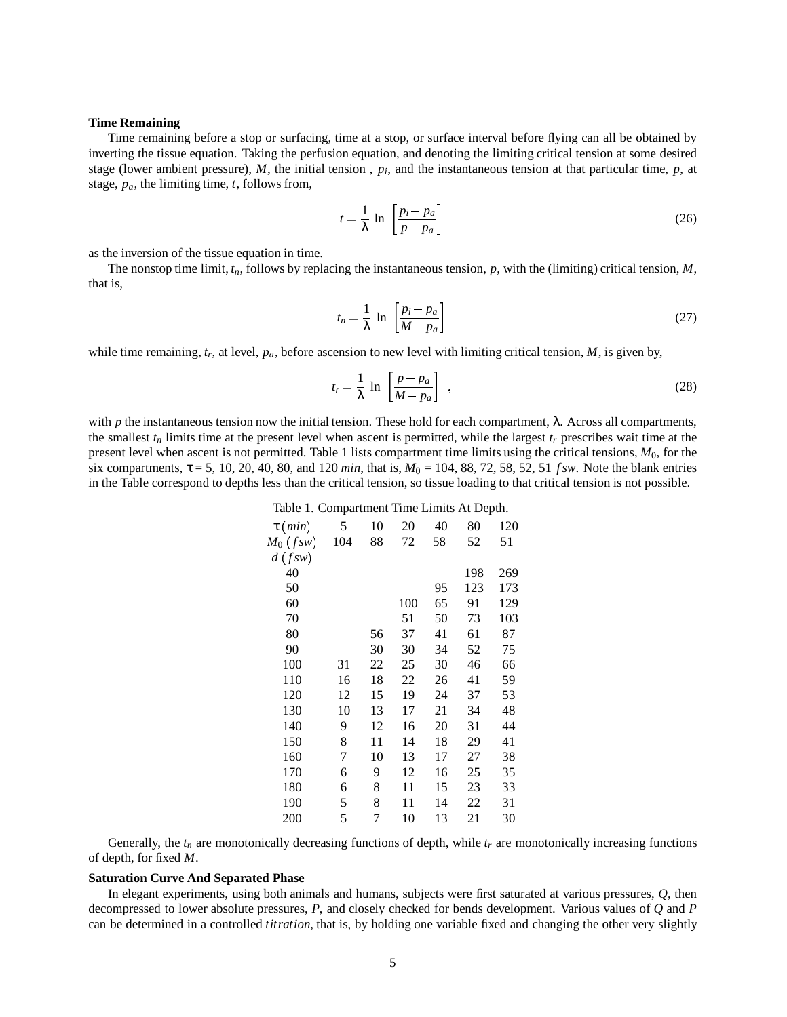## **Time Remaining**

Time remaining before a stop or surfacing, time at a stop, or surface interval before flying can all be obtained by inverting the tissue equation. Taking the perfusion equation, and denoting the limiting critical tension at some desired stage (lower ambient pressure),  $M$ , the initial tension,  $p_i$ , and the instantaneous tension at that particular time,  $p$ , at stage, *pa*, the limiting time, *t*, follows from,

$$
t = \frac{1}{\lambda} \ln \left[ \frac{p_i - p_a}{p - p_a} \right] \tag{26}
$$

as the inversion of the tissue equation in time.

The nonstop time limit,  $t_n$ , follows by replacing the instantaneous tension,  $p$ , with the (limiting) critical tension,  $M$ , that is,

$$
t_n = \frac{1}{\lambda} \ln \left[ \frac{p_i - p_a}{M - p_a} \right] \tag{27}
$$

while time remaining,  $t_r$ , at level,  $p_a$ , before ascension to new level with limiting critical tension,  $M$ , is given by,

$$
t_r = \frac{1}{\lambda} \ln \left[ \frac{p - p_a}{M - p_a} \right] \tag{28}
$$

with *p* the instantaneous tension now the initial tension. These hold for each compartment,  $\lambda$ . Across all compartments, the smallest  $t_n$  limits time at the present level when ascent is permitted, while the largest  $t_r$  prescribes wait time at the present level when ascent is not permitted. Table 1 lists compartment time limits using the critical tensions, *M*0, for the six compartments, τ = 5, 10, 20, 40, 80, and 120 *min*, that is,  $M_0 = 104$ , 88, 72, 58, 52, 51 *f sw*. Note the blank entries in the Table correspond to depths less than the critical tension, so tissue loading to that critical tension is not possible.

| Table 1. Compartment Time Limits At Depth. |     |    |     |    |     |     |
|--------------------------------------------|-----|----|-----|----|-----|-----|
| $\tau$ (min)                               | 5   | 10 | 20  | 40 | 80  | 120 |
| $M_0$ (fsw)                                | 104 | 88 | 72  | 58 | 52  | 51  |
| d(fsw)                                     |     |    |     |    |     |     |
| 40                                         |     |    |     |    | 198 | 269 |
| 50                                         |     |    |     | 95 | 123 | 173 |
| 60                                         |     |    | 100 | 65 | 91  | 129 |
| 70                                         |     |    | 51  | 50 | 73  | 103 |
| 80                                         |     | 56 | 37  | 41 | 61  | 87  |
| 90                                         |     | 30 | 30  | 34 | 52  | 75  |
| 100                                        | 31  | 22 | 25  | 30 | 46  | 66  |
| 110                                        | 16  | 18 | 22  | 26 | 41  | 59  |
| 120                                        | 12  | 15 | 19  | 24 | 37  | 53  |
| 130                                        | 10  | 13 | 17  | 21 | 34  | 48  |
| 140                                        | 9   | 12 | 16  | 20 | 31  | 44  |
| 150                                        | 8   | 11 | 14  | 18 | 29  | 41  |
| 160                                        | 7   | 10 | 13  | 17 | 27  | 38  |
| 170                                        | 6   | 9  | 12  | 16 | 25  | 35  |
| 180                                        | 6   | 8  | 11  | 15 | 23  | 33  |
| 190                                        | 5   | 8  | 11  | 14 | 22  | 31  |
| 200                                        | 5   | 7  | 10  | 13 | 21  | 30  |

Generally, the  $t_n$  are monotonically decreasing functions of depth, while  $t_r$  are monotonically increasing functions of depth, for fixed *M*.

# **Saturation Curve And Separated Phase**

In elegant experiments, using both animals and humans, subjects were first saturated at various pressures, *Q*, then decompressed to lower absolute pressures, *P*, and closely checked for bends development. Various values of *Q* and *P* can be determined in a controlled *titration*, that is, by holding one variable fixed and changing the other very slightly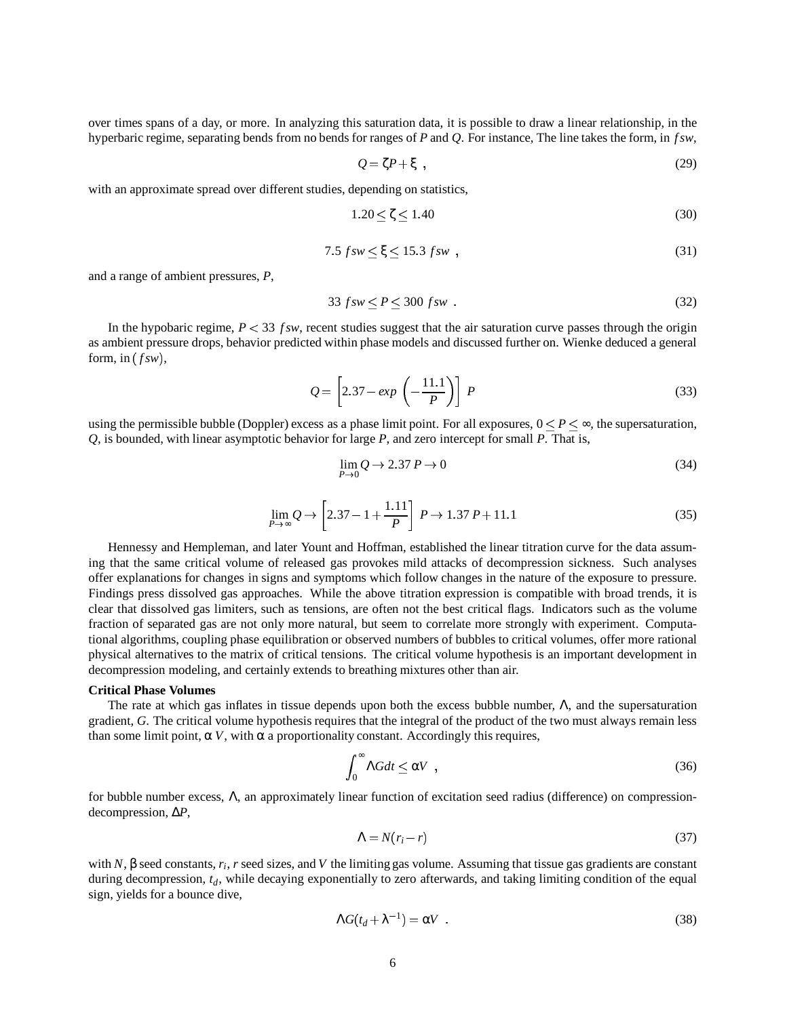over times spans of a day, or more. In analyzing this saturation data, it is possible to draw a linear relationship, in the hyperbaric regime, separating bends from no bends for ranges of *P* and *Q*. For instance, The line takes the form, in *f sw*,

$$
Q = \zeta P + \xi \tag{29}
$$

with an approximate spread over different studies, depending on statistics,

$$
1.20 \le \zeta \le 1.40\tag{30}
$$

$$
7.5 \, fsw \le \xi \le 15.3 \, fsw \tag{31}
$$

and a range of ambient pressures, *P*,

$$
33 \, fsw \le P \le 300 \, fsw \tag{32}
$$

In the hypobaric regime,  $P < 33$  *fsw*, recent studies suggest that the air saturation curve passes through the origin as ambient pressure drops, behavior predicted within phase models and discussed further on. Wienke deduced a general form, in  $(fsw)$ ,

$$
Q = \left[2.37 - exp\left(-\frac{11.1}{P}\right)\right] P
$$
\n(33)

using the permissible bubble (Doppler) excess as a phase limit point. For all exposures,  $0 < P < \infty$ , the supersaturation, *Q*, is bounded, with linear asymptotic behavior for large *P*, and zero intercept for small *P*. That is,

$$
\lim_{P \to 0} Q \to 2.37 \, P \to 0 \tag{34}
$$

$$
\lim_{P \to \infty} Q \to \left[ 2.37 - 1 + \frac{1.11}{P} \right] P \to 1.37 P + 11.1 \tag{35}
$$

Hennessy and Hempleman, and later Yount and Hoffman, established the linear titration curve for the data assuming that the same critical volume of released gas provokes mild attacks of decompression sickness. Such analyses offer explanations for changes in signs and symptoms which follow changes in the nature of the exposure to pressure. Findings press dissolved gas approaches. While the above titration expression is compatible with broad trends, it is clear that dissolved gas limiters, such as tensions, are often not the best critical flags. Indicators such as the volume fraction of separated gas are not only more natural, but seem to correlate more strongly with experiment. Computational algorithms, coupling phase equilibration or observed numbers of bubbles to critical volumes, offer more rational physical alternatives to the matrix of critical tensions. The critical volume hypothesis is an important development in decompression modeling, and certainly extends to breathing mixtures other than air.

### **Critical Phase Volumes**

The rate at which gas inflates in tissue depends upon both the excess bubble number,  $\Lambda$ , and the supersaturation gradient, *G*. The critical volume hypothesis requires that the integral of the product of the two must always remain less than some limit point,  $\alpha V$ , with  $\alpha$  a proportionality constant. Accordingly this requires,

$$
\int_0^\infty \Lambda G dt \le \alpha V \quad , \tag{36}
$$

for bubble number excess, Λ, an approximately linear function of excitation seed radius (difference) on compressiondecompression, ∆*P*,

$$
\Lambda = N(r_i - r) \tag{37}
$$

with  $N$ ,  $\beta$  seed constants,  $r_i$ ,  $r$  seed sizes, and  $V$  the limiting gas volume. Assuming that tissue gas gradients are constant during decompression,  $t_d$ , while decaying exponentially to zero afterwards, and taking limiting condition of the equal sign, yields for a bounce dive,

$$
\Lambda G(t_d + \lambda^{-1}) = \alpha V \tag{38}
$$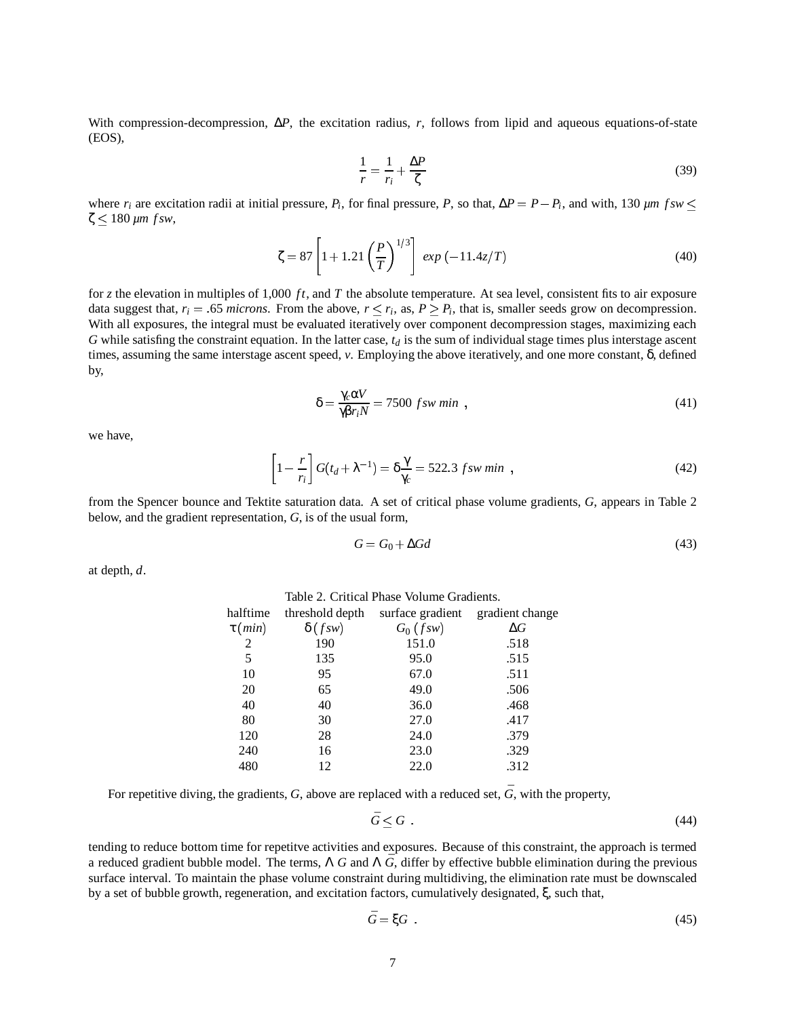With compression-decompression, ∆*P*, the excitation radius, *r*, follows from lipid and aqueous equations-of-state (EOS),

$$
\frac{1}{r} = \frac{1}{r_i} + \frac{\Delta P}{\zeta} \tag{39}
$$

where  $r_i$  are excitation radii at initial pressure,  $P_i$ , for final pressure,  $P$ , so that,  $\Delta P = P - P_i$ , and with, 130  $\mu m$  f sw <  $ζ < 180 \mu m$  fsw,

$$
\zeta = 87 \left[ 1 + 1.21 \left( \frac{P}{T} \right)^{1/3} \right] \exp \left( -11.4z/T \right) \tag{40}
$$

for *z* the elevation in multiples of 1,000 *f t*, and *T* the absolute temperature. At sea level, consistent fits to air exposure data suggest that,  $r_i = .65$  *microns*. From the above,  $r \le r_i$ , as,  $P \ge P_i$ , that is, smaller seeds grow on decompression. With all exposures, the integral must be evaluated iteratively over component decompression stages, maximizing each  $G$  while satisfing the constraint equation. In the latter case,  $t_d$  is the sum of individual stage times plus interstage ascent times, assuming the same interstage ascent speed, *v*. Employing the above iteratively, and one more constant, δ, defined by,

$$
\delta = \frac{\gamma_c \alpha V}{\gamma \beta r_i N} = 7500 \, fsw \, min \quad , \tag{41}
$$

we have,

$$
\left[1 - \frac{r}{r_i}\right] G(t_d + \lambda^{-1}) = \delta \frac{\gamma}{\gamma_c} = 522.3 \text{ fsw min },
$$
\n(42)

from the Spencer bounce and Tektite saturation data. A set of critical phase volume gradients, *G*, appears in Table 2 below, and the gradient representation, *G*, is of the usual form,

$$
G = G_0 + \Delta Gd \tag{43}
$$

at depth, *d*.

|  |  |  |  | Table 2. Critical Phase Volume Gradients. |
|--|--|--|--|-------------------------------------------|
|  |  |  |  |                                           |

Table 2. Critical Phase Volume Gradients.

| halftime              | threshold depth         | surface gradient gradient change |            |
|-----------------------|-------------------------|----------------------------------|------------|
| $\tau$ ( <i>min</i> ) | $\delta$ ( <i>fsw</i> ) | $G_0$ (fsw)                      | $\Delta G$ |
| 2                     | 190                     | 151.0                            | .518       |
| 5                     | 135                     | 95.0                             | .515       |
| 10                    | 95                      | 67.0                             | .511       |
| 20                    | 65                      | 49.0                             | .506       |
| 40                    | 40                      | 36.0                             | .468       |
| 80                    | 30                      | 27.0                             | .417       |
| 120                   | 28                      | 24.0                             | .379       |
| 240                   | 16                      | 23.0                             | .329       |
| 480                   | 12                      | 22.0                             | .312       |

For repetitive diving, the gradients,  $G$ , above are replaced with a reduced set,  $\bar{G}$ , with the property,

$$
\bar{G} \le G \tag{44}
$$

tending to reduce bottom time for repetitve activities and exposures. Because of this constraint, the approach is termed a reduced gradient bubble model. The terms,  $\Lambda G$  and  $\Lambda \bar{G}$ , differ by effective bubble elimination during the previous surface interval. To maintain the phase volume constraint during multidiving, the elimination rate must be downscaled by a set of bubble growth, regeneration, and excitation factors, cumulatively designated, ξ, such that,

$$
\bar{G} = \xi G \tag{45}
$$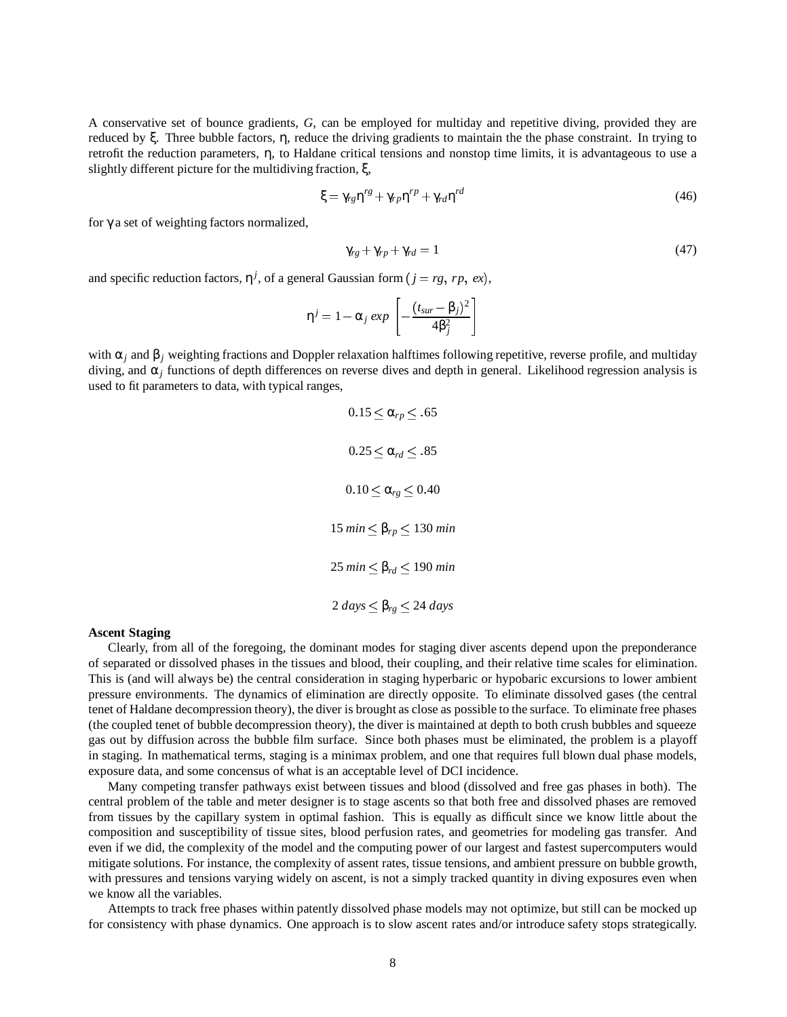A conservative set of bounce gradients, *G*, can be employed for multiday and repetitive diving, provided they are reduced by ξ. Three bubble factors, η, reduce the driving gradients to maintain the the phase constraint. In trying to retrofit the reduction parameters, η, to Haldane critical tensions and nonstop time limits, it is advantageous to use a slightly different picture for the multidiving fraction, ξ,

$$
\xi = \gamma_{rg} \eta^{rg} + \gamma_{rp} \eta^{rp} + \gamma_{rd} \eta^{rd} \tag{46}
$$

for γ a set of weighting factors normalized,

$$
\gamma_{rg} + \gamma_{rp} + \gamma_{rd} = 1 \tag{47}
$$

and specific reduction factors,  $\eta^j$ , of a general Gaussian form  $(j = rg, rp, ex)$ ,

$$
\eta^j = 1 - \alpha_j \exp\left[-\frac{(t_{sur} - \beta_j)^2}{4\beta_j^2}\right]
$$

with  $\alpha_j$  and  $\beta_j$  weighting fractions and Doppler relaxation halftimes following repetitive, reverse profile, and multiday diving, and α*<sup>j</sup>* functions of depth differences on reverse dives and depth in general. Likelihood regression analysis is used to fit parameters to data, with typical ranges,

$$
0.15 \le \alpha_{rp} \le .65
$$

$$
0.25 \le \alpha_{rd} \le .85
$$

$$
0.10 \le \alpha_{rg} \le 0.40
$$

$$
15 \ min \le \beta_{rp} \le 130 \ min
$$

$$
25 \ min \le \beta_{rd} \le 190 \ min
$$

$$
2 \ days \le \beta_{rg} \le 24 \ days
$$

#### **Ascent Staging**

Clearly, from all of the foregoing, the dominant modes for staging diver ascents depend upon the preponderance of separated or dissolved phases in the tissues and blood, their coupling, and their relative time scales for elimination. This is (and will always be) the central consideration in staging hyperbaric or hypobaric excursions to lower ambient pressure environments. The dynamics of elimination are directly opposite. To eliminate dissolved gases (the central tenet of Haldane decompression theory), the diver is brought as close as possible to the surface. To eliminate free phases (the coupled tenet of bubble decompression theory), the diver is maintained at depth to both crush bubbles and squeeze gas out by diffusion across the bubble film surface. Since both phases must be eliminated, the problem is a playoff in staging. In mathematical terms, staging is a minimax problem, and one that requires full blown dual phase models, exposure data, and some concensus of what is an acceptable level of DCI incidence.

Many competing transfer pathways exist between tissues and blood (dissolved and free gas phases in both). The central problem of the table and meter designer is to stage ascents so that both free and dissolved phases are removed from tissues by the capillary system in optimal fashion. This is equally as difficult since we know little about the composition and susceptibility of tissue sites, blood perfusion rates, and geometries for modeling gas transfer. And even if we did, the complexity of the model and the computing power of our largest and fastest supercomputers would mitigate solutions. For instance, the complexity of assent rates, tissue tensions, and ambient pressure on bubble growth, with pressures and tensions varying widely on ascent, is not a simply tracked quantity in diving exposures even when we know all the variables.

Attempts to track free phases within patently dissolved phase models may not optimize, but still can be mocked up for consistency with phase dynamics. One approach is to slow ascent rates and/or introduce safety stops strategically.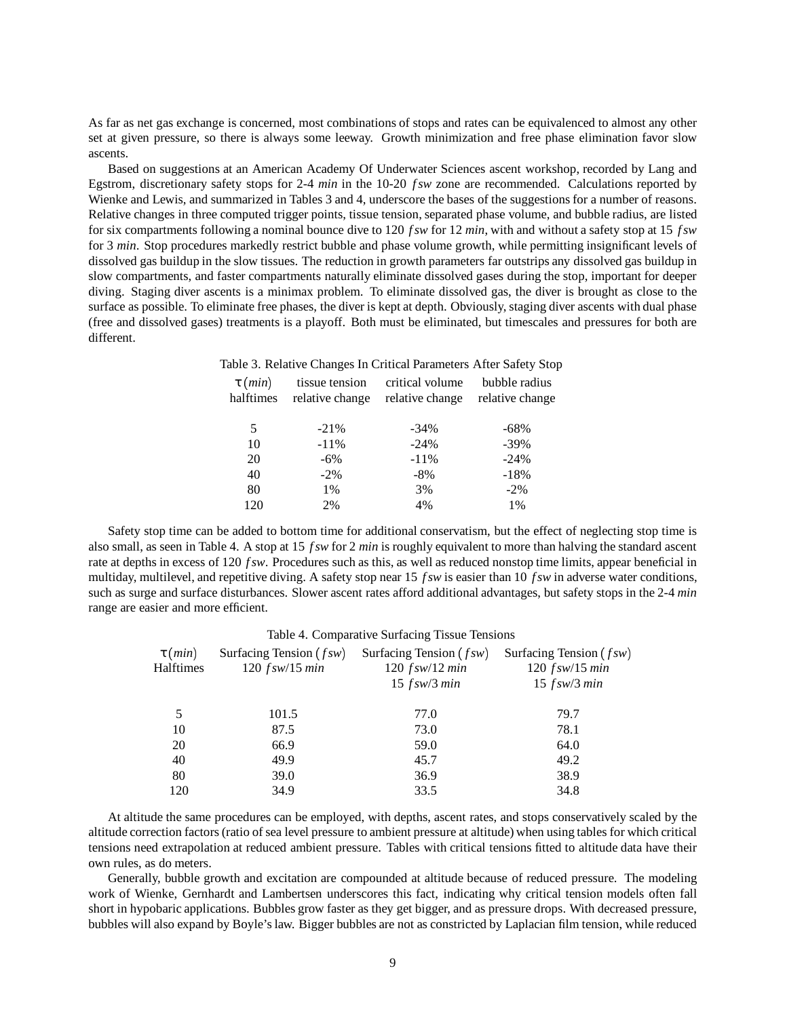As far as net gas exchange is concerned, most combinations of stops and rates can be equivalenced to almost any other set at given pressure, so there is always some leeway. Growth minimization and free phase elimination favor slow ascents.

Based on suggestions at an American Academy Of Underwater Sciences ascent workshop, recorded by Lang and Egstrom, discretionary safety stops for 2-4 *min* in the 10-20 *f sw* zone are recommended. Calculations reported by Wienke and Lewis, and summarized in Tables 3 and 4, underscore the bases of the suggestions for a number of reasons. Relative changes in three computed trigger points, tissue tension, separated phase volume, and bubble radius, are listed for six compartments following a nominal bounce dive to 120 *f sw* for 12 *min*, with and without a safety stop at 15 *f sw* for 3 *min*. Stop procedures markedly restrict bubble and phase volume growth, while permitting insignificant levels of dissolved gas buildup in the slow tissues. The reduction in growth parameters far outstrips any dissolved gas buildup in slow compartments, and faster compartments naturally eliminate dissolved gases during the stop, important for deeper diving. Staging diver ascents is a minimax problem. To eliminate dissolved gas, the diver is brought as close to the surface as possible. To eliminate free phases, the diver is kept at depth. Obviously, staging diver ascents with dual phase (free and dissolved gases) treatments is a playoff. Both must be eliminated, but timescales and pressures for both are different.

Table 3. Relative Changes In Critical Parameters After Safety Stop

| $\tau$ ( <i>min</i> )<br>halftimes | tissue tension<br>relative change | critical volume<br>relative change | bubble radius<br>relative change |
|------------------------------------|-----------------------------------|------------------------------------|----------------------------------|
| 5                                  | $-21\%$                           | $-34%$                             | $-68%$                           |
| 10                                 | $-11%$                            | $-24%$                             | $-39%$                           |
| 20                                 | $-6\%$                            | $-11\%$                            | $-24%$                           |
| 40                                 | $-2\%$                            | $-8\%$                             | $-18%$                           |
| 80                                 | 1%                                | 3%                                 | $-2\%$                           |
| 120                                | 2%                                | 4%                                 | 1%                               |

Safety stop time can be added to bottom time for additional conservatism, but the effect of neglecting stop time is also small, as seen in Table 4. A stop at 15 *f sw* for 2 *min* is roughly equivalent to more than halving the standard ascent rate at depths in excess of 120 *f sw*. Procedures such as this, as well as reduced nonstop time limits, appear beneficial in multiday, multilevel, and repetitive diving. A safety stop near 15 *f sw* is easier than 10 *f sw* in adverse water conditions, such as surge and surface disturbances. Slower ascent rates afford additional advantages, but safety stops in the 2-4 *min* range are easier and more efficient.

| $\tau$ ( <i>min</i> ) | Surfacing Tension $(fsw)$ | Surfacing Tension $(fsw)$ | Surfacing Tension $(fsw)$ |
|-----------------------|---------------------------|---------------------------|---------------------------|
| Halftimes             | $120$ fsw/15 min          | $120$ f sw/12 min         | $120$ fsw/15 min          |
|                       |                           | $15$ f sw/3 min           | $15$ f sw/3 min           |
|                       |                           |                           |                           |
| 5                     | 101.5                     | 77.0                      | 79.7                      |
| 10                    | 87.5                      | 73.0                      | 78.1                      |
| 20                    | 66.9                      | 59.0                      | 64.0                      |
| 40                    | 49.9                      | 45.7                      | 49.2                      |
| 80                    | 39.0                      | 36.9                      | 38.9                      |
| 120                   | 34.9                      | 33.5                      | 34.8                      |
|                       |                           |                           |                           |

Table 4. Comparative Surfacing Tissue Tensions

At altitude the same procedures can be employed, with depths, ascent rates, and stops conservatively scaled by the altitude correction factors (ratio of sea level pressure to ambient pressure at altitude) when using tables for which critical tensions need extrapolation at reduced ambient pressure. Tables with critical tensions fitted to altitude data have their own rules, as do meters.

Generally, bubble growth and excitation are compounded at altitude because of reduced pressure. The modeling work of Wienke, Gernhardt and Lambertsen underscores this fact, indicating why critical tension models often fall short in hypobaric applications. Bubbles grow faster as they get bigger, and as pressure drops. With decreased pressure, bubbles will also expand by Boyle's law. Bigger bubbles are not as constricted by Laplacian film tension, while reduced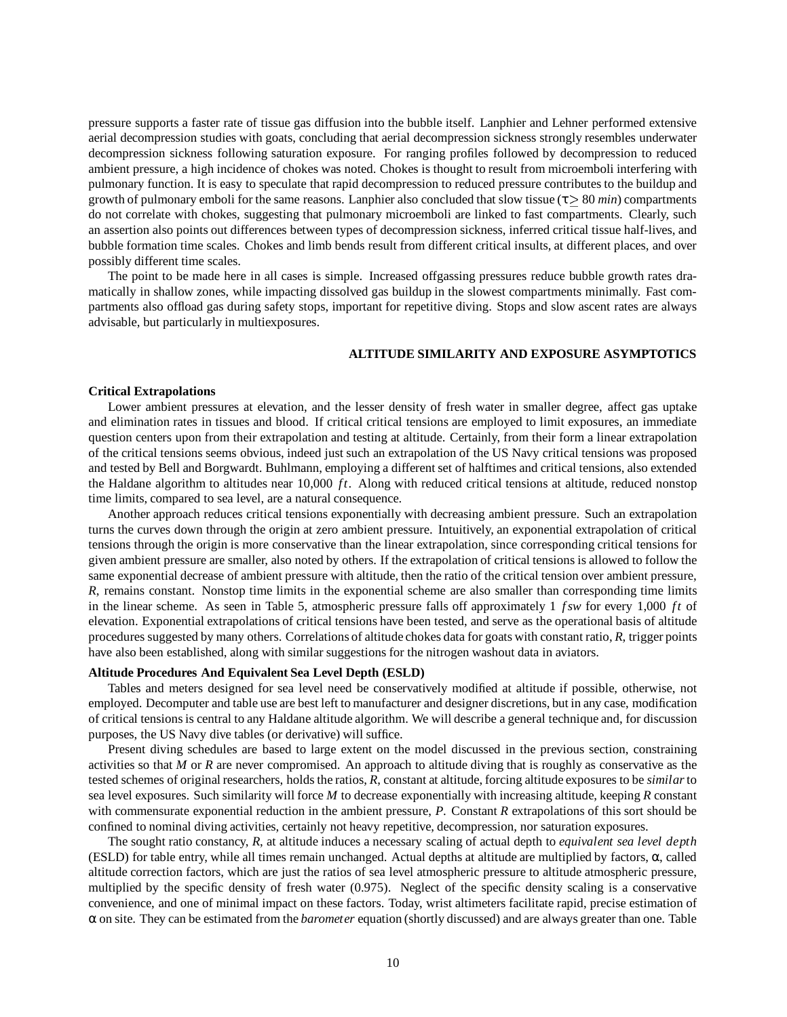pressure supports a faster rate of tissue gas diffusion into the bubble itself. Lanphier and Lehner performed extensive aerial decompression studies with goats, concluding that aerial decompression sickness strongly resembles underwater decompression sickness following saturation exposure. For ranging profiles followed by decompression to reduced ambient pressure, a high incidence of chokes was noted. Chokes is thought to result from microemboli interfering with pulmonary function. It is easy to speculate that rapid decompression to reduced pressure contributes to the buildup and growth of pulmonary emboli for the same reasons. Lanphier also concluded that slow tissue ( $\tau > 80$  *min*) compartments do not correlate with chokes, suggesting that pulmonary microemboli are linked to fast compartments. Clearly, such an assertion also points out differences between types of decompression sickness, inferred critical tissue half-lives, and bubble formation time scales. Chokes and limb bends result from different critical insults, at different places, and over possibly different time scales.

The point to be made here in all cases is simple. Increased offgassing pressures reduce bubble growth rates dramatically in shallow zones, while impacting dissolved gas buildup in the slowest compartments minimally. Fast compartments also offload gas during safety stops, important for repetitive diving. Stops and slow ascent rates are always advisable, but particularly in multiexposures.

# **ALTITUDE SIMILARITY AND EXPOSURE ASYMPTOTICS**

#### **Critical Extrapolations**

Lower ambient pressures at elevation, and the lesser density of fresh water in smaller degree, affect gas uptake and elimination rates in tissues and blood. If critical critical tensions are employed to limit exposures, an immediate question centers upon from their extrapolation and testing at altitude. Certainly, from their form a linear extrapolation of the critical tensions seems obvious, indeed just such an extrapolation of the US Navy critical tensions was proposed and tested by Bell and Borgwardt. Buhlmann, employing a different set of halftimes and critical tensions, also extended the Haldane algorithm to altitudes near 10,000 *ft*. Along with reduced critical tensions at altitude, reduced nonstop time limits, compared to sea level, are a natural consequence.

Another approach reduces critical tensions exponentially with decreasing ambient pressure. Such an extrapolation turns the curves down through the origin at zero ambient pressure. Intuitively, an exponential extrapolation of critical tensions through the origin is more conservative than the linear extrapolation, since corresponding critical tensions for given ambient pressure are smaller, also noted by others. If the extrapolation of critical tensions is allowed to follow the same exponential decrease of ambient pressure with altitude, then the ratio of the critical tension over ambient pressure, *R*, remains constant. Nonstop time limits in the exponential scheme are also smaller than corresponding time limits in the linear scheme. As seen in Table 5, atmospheric pressure falls off approximately 1 *f sw* for every 1,000 *ft* of elevation. Exponential extrapolations of critical tensions have been tested, and serve as the operational basis of altitude procedures suggested by many others. Correlations of altitude chokes data for goats with constant ratio, *R*, trigger points have also been established, along with similar suggestions for the nitrogen washout data in aviators.

# **Altitude Procedures And Equivalent Sea Level Depth (ESLD)**

Tables and meters designed for sea level need be conservatively modified at altitude if possible, otherwise, not employed. Decomputer and table use are best left to manufacturer and designer discretions, but in any case, modification of critical tensions is central to any Haldane altitude algorithm. We will describe a general technique and, for discussion purposes, the US Navy dive tables (or derivative) will suffice.

Present diving schedules are based to large extent on the model discussed in the previous section, constraining activities so that *M* or *R* are never compromised. An approach to altitude diving that is roughly as conservative as the tested schemes of original researchers, holds the ratios, *R*, constant at altitude, forcing altitude exposures to be *similar*to sea level exposures. Such similarity will force *M* to decrease exponentially with increasing altitude, keeping *R* constant with commensurate exponential reduction in the ambient pressure, *P*. Constant *R* extrapolations of this sort should be confined to nominal diving activities, certainly not heavy repetitive, decompression, nor saturation exposures.

The sought ratio constancy, *R*, at altitude induces a necessary scaling of actual depth to *equivalent sea level depth* (ESLD) for table entry, while all times remain unchanged. Actual depths at altitude are multiplied by factors,  $\alpha$ , called altitude correction factors, which are just the ratios of sea level atmospheric pressure to altitude atmospheric pressure, multiplied by the specific density of fresh water (0.975). Neglect of the specific density scaling is a conservative convenience, and one of minimal impact on these factors. Today, wrist altimeters facilitate rapid, precise estimation of α on site. They can be estimated from the *barometer* equation (shortly discussed) and are always greater than one. Table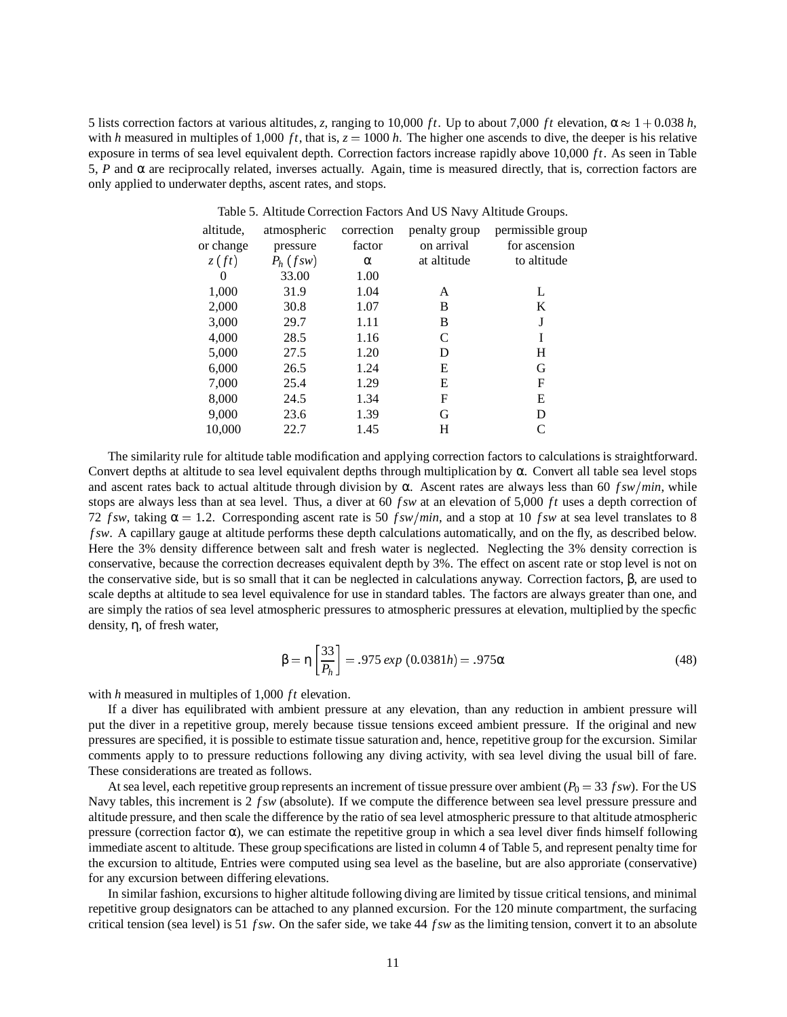5 lists correction factors at various altitudes, *z*, ranging to 10,000 *ft*. Up to about 7,000 *ft* elevation,  $\alpha \approx 1 + 0.038 h$ , with *h* measured in multiples of 1,000 ft, that is,  $z = 1000 h$ . The higher one ascends to dive, the deeper is his relative exposure in terms of sea level equivalent depth. Correction factors increase rapidly above 10,000 ft. As seen in Table 5, *P* and α are reciprocally related, inverses actually. Again, time is measured directly, that is, correction factors are only applied to underwater depths, ascent rates, and stops.

| altitude, | atmospheric | correction | penalty group | permissible group |
|-----------|-------------|------------|---------------|-------------------|
| or change | pressure    | factor     | on arrival    | for ascension     |
| z(ft)     | $P_h$ (fsw) | $\alpha$   | at altitude   | to altitude       |
| 0         | 33.00       | 1.00       |               |                   |
| 1,000     | 31.9        | 1.04       | A             | L                 |
| 2,000     | 30.8        | 1.07       | B             | K                 |
| 3,000     | 29.7        | 1.11       | B             | J                 |
| 4,000     | 28.5        | 1.16       | C             | I                 |
| 5,000     | 27.5        | 1.20       | D             | Н                 |
| 6,000     | 26.5        | 1.24       | E             | G                 |
| 7,000     | 25.4        | 1.29       | Е             | $\mathbf F$       |
| 8,000     | 24.5        | 1.34       | F             | E                 |
| 9,000     | 23.6        | 1.39       | G             | D                 |
| 10.000    | 22.7        | 1.45       | H             | C                 |

Table 5. Altitude Correction Factors And US Navy Altitude Groups.

The similarity rule for altitude table modification and applying correction factors to calculations is straightforward. Convert depths at altitude to sea level equivalent depths through multiplication by  $\alpha$ . Convert all table sea level stops and ascent rates back to actual altitude through division by α. Ascent rates are always less than 60 *f sw*/*min*, while stops are always less than at sea level. Thus, a diver at 60 *f sw* at an elevation of 5,000 *ft* uses a depth correction of 72 *f sw*, taking  $\alpha = 1.2$ . Corresponding ascent rate is 50 *f sw/min*, and a stop at 10 *f sw* at sea level translates to 8 *f sw*. A capillary gauge at altitude performs these depth calculations automatically, and on the fly, as described below. Here the 3% density difference between salt and fresh water is neglected. Neglecting the 3% density correction is conservative, because the correction decreases equivalent depth by 3%. The effect on ascent rate or stop level is not on the conservative side, but is so small that it can be neglected in calculations anyway. Correction factors, β, are used to scale depths at altitude to sea level equivalence for use in standard tables. The factors are always greater than one, and are simply the ratios of sea level atmospheric pressures to atmospheric pressures at elevation, multiplied by the specfic density, η, of fresh water,

$$
\beta = \eta \left[ \frac{33}{P_h} \right] = .975 \exp (0.0381h) = .975\alpha \tag{48}
$$

with *h* measured in multiples of 1,000 *ft* elevation.

If a diver has equilibrated with ambient pressure at any elevation, than any reduction in ambient pressure will put the diver in a repetitive group, merely because tissue tensions exceed ambient pressure. If the original and new pressures are specified, it is possible to estimate tissue saturation and, hence, repetitive group for the excursion. Similar comments apply to to pressure reductions following any diving activity, with sea level diving the usual bill of fare. These considerations are treated as follows.

At sea level, each repetitive group represents an increment of tissue pressure over ambient  $(P_0 = 33 fsw)$ . For the US Navy tables, this increment is 2 *f sw* (absolute). If we compute the difference between sea level pressure pressure and altitude pressure, and then scale the difference by the ratio of sea level atmospheric pressure to that altitude atmospheric pressure (correction factor  $\alpha$ ), we can estimate the repetitive group in which a sea level diver finds himself following immediate ascent to altitude. These group specifications are listed in column 4 of Table 5, and represent penalty time for the excursion to altitude, Entries were computed using sea level as the baseline, but are also approriate (conservative) for any excursion between differing elevations.

In similar fashion, excursions to higher altitude following diving are limited by tissue critical tensions, and minimal repetitive group designators can be attached to any planned excursion. For the 120 minute compartment, the surfacing critical tension (sea level) is 51 *f sw*. On the safer side, we take 44 *f sw* as the limiting tension, convert it to an absolute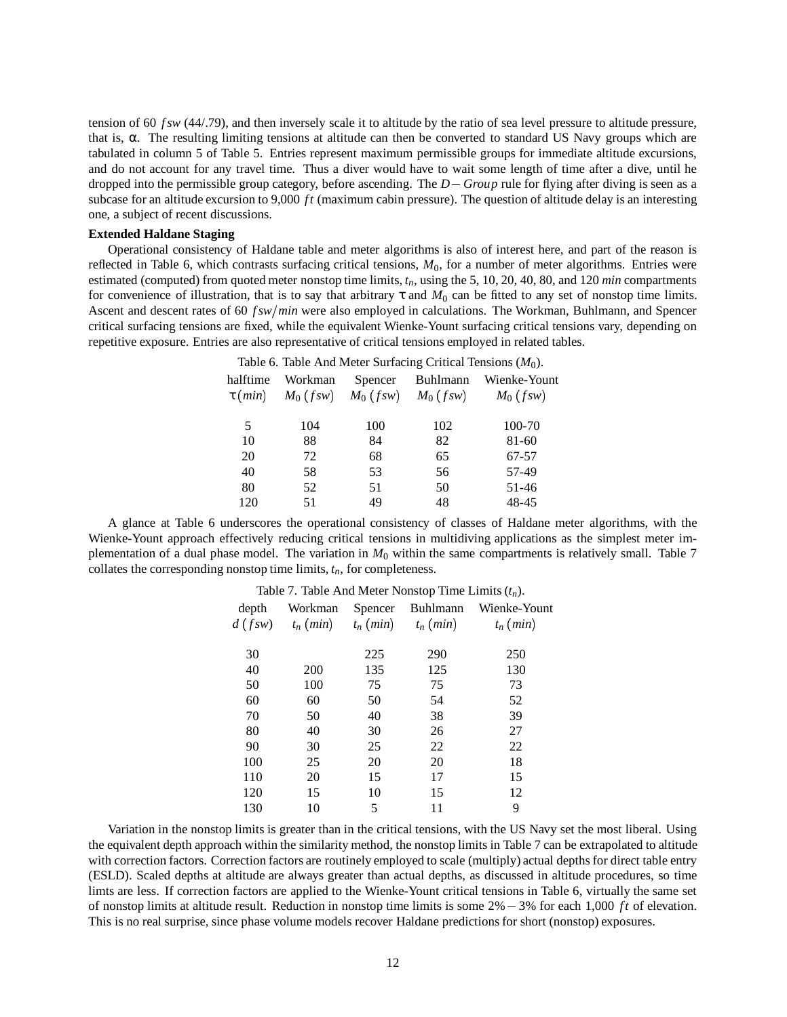tension of 60 *f sw* (44/.79), and then inversely scale it to altitude by the ratio of sea level pressure to altitude pressure, that is, α. The resulting limiting tensions at altitude can then be converted to standard US Navy groups which are tabulated in column 5 of Table 5. Entries represent maximum permissible groups for immediate altitude excursions, and do not account for any travel time. Thus a diver would have to wait some length of time after a dive, until he dropped into the permissible group category, before ascending. The *D* – Group rule for flying after diving is seen as a subcase for an altitude excursion to 9,000 *f t* (maximum cabin pressure). The question of altitude delay is an interesting one, a subject of recent discussions.

#### **Extended Haldane Staging**

Operational consistency of Haldane table and meter algorithms is also of interest here, and part of the reason is reflected in Table 6, which contrasts surfacing critical tensions, *M*0, for a number of meter algorithms. Entries were estimated (computed) from quoted meter nonstop time limits,  $t_n$ , using the 5, 10, 20, 40, 80, and 120 *min* compartments for convenience of illustration, that is to say that arbitrary  $\tau$  and  $M_0$  can be fitted to any set of nonstop time limits. Ascent and descent rates of 60 *f sw*/*min* were also employed in calculations. The Workman, Buhlmann, and Spencer critical surfacing tensions are fixed, while the equivalent Wienke-Yount surfacing critical tensions vary, depending on repetitive exposure. Entries are also representative of critical tensions employed in related tables.

|          |         |         | Table 6. Table And Meter Surfacing Critical Tensions $(M_0)$ . |                                                                              |
|----------|---------|---------|----------------------------------------------------------------|------------------------------------------------------------------------------|
| halftime | Workman | Spencer | Buhlmann                                                       | Wienke-Yount<br>$\tau (min)$ $M_0 (fsw)$ $M_0 (fsw)$ $M_0 (fsw)$ $M_0 (fsw)$ |
| 5        | 104     | 100     | 102                                                            | 100-70                                                                       |
| 10       | 88      | 84      | 82                                                             | $81 - 60$                                                                    |
| 20       | 72      | 68      | 65                                                             | 67-57                                                                        |
| 40       | 58      | 53      | 56                                                             | 57-49                                                                        |
| 80       | 52      | 51      | 50                                                             | 51-46                                                                        |
| 120      | 51      | 49      | 48                                                             | 48-45                                                                        |

A glance at Table 6 underscores the operational consistency of classes of Haldane meter algorithms, with the Wienke-Yount approach effectively reducing critical tensions in multidiving applications as the simplest meter implementation of a dual phase model. The variation in *M*<sup>0</sup> within the same compartments is relatively small. Table 7 collates the corresponding nonstop time limits,  $t_n$ , for completeness.

|       |                                                    |         | Table 7. Table And Meter Nonstop Time Limits $(t_n)$ . |              |
|-------|----------------------------------------------------|---------|--------------------------------------------------------|--------------|
| depth | Workman                                            | Spencer | Buhlmann                                               | Wienke-Yount |
|       | $d(fsw)$ $t_n$ $(min)$ $t_n$ $(min)$ $t_n$ $(min)$ |         |                                                        | $t_n$ (min)  |
| 30    |                                                    | 225     | 290                                                    | 250          |
| 40    | 200                                                | 135     | 125                                                    | 130          |
| 50    | 100                                                | 75      | 75                                                     | 73           |
| 60    | 60                                                 | 50      | 54                                                     | 52           |
| 70    | 50                                                 | 40      | 38                                                     | 39           |
| 80    | 40                                                 | 30      | 26                                                     | 27           |
| 90    | 30                                                 | 25      | 22                                                     | 22           |
| 100   | 25                                                 | 20      | 20                                                     | 18           |
| 110   | 20                                                 | 15      | 17                                                     | 15           |
| 120   | 15                                                 | 10      | 15                                                     | 12           |
| 130   | 10                                                 | 5       | 11                                                     | 9            |
|       |                                                    |         |                                                        |              |

Table 7. Table And Mater Nonston Time Limits (*t*).

Variation in the nonstop limits is greater than in the critical tensions, with the US Navy set the most liberal. Using the equivalent depth approach within the similarity method, the nonstop limits in Table 7 can be extrapolated to altitude with correction factors. Correction factors are routinely employed to scale (multiply) actual depths for direct table entry (ESLD). Scaled depths at altitude are always greater than actual depths, as discussed in altitude procedures, so time limts are less. If correction factors are applied to the Wienke-Yount critical tensions in Table 6, virtually the same set of nonstop limits at altitude result. Reduction in nonstop time limits is some  $2\% - 3\%$  for each 1,000 ft of elevation. This is no real surprise, since phase volume models recover Haldane predictions for short (nonstop) exposures.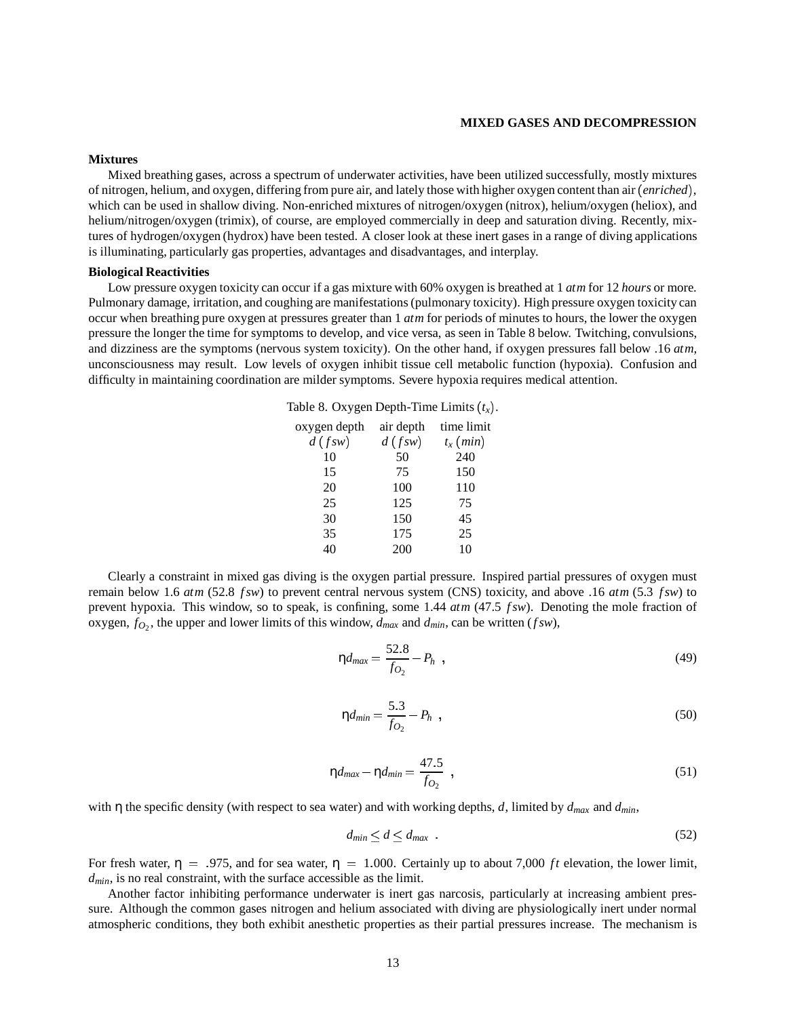# **MIXED GASES AND DECOMPRESSION**

#### **Mixtures**

Mixed breathing gases, across a spectrum of underwater activities, have been utilized successfully, mostly mixtures of nitrogen, helium, and oxygen, differing from pure air, and lately those with higher oxygen content than air (*enriched*), which can be used in shallow diving. Non-enriched mixtures of nitrogen/oxygen (nitrox), helium/oxygen (heliox), and helium/nitrogen/oxygen (trimix), of course, are employed commercially in deep and saturation diving. Recently, mixtures of hydrogen/oxygen (hydrox) have been tested. A closer look at these inert gases in a range of diving applications is illuminating, particularly gas properties, advantages and disadvantages, and interplay.

# **Biological Reactivities**

Low pressure oxygen toxicity can occur if a gas mixture with 60% oxygen is breathed at 1 *atm* for 12 *hours* or more. Pulmonary damage, irritation, and coughing are manifestations (pulmonary toxicity). High pressure oxygen toxicity can occur when breathing pure oxygen at pressures greater than 1 *atm* for periods of minutes to hours, the lower the oxygen pressure the longer the time for symptoms to develop, and vice versa, as seen in Table 8 below. Twitching, convulsions, and dizziness are the symptoms (nervous system toxicity). On the other hand, if oxygen pressures fall below .16 *atm*, unconsciousness may result. Low levels of oxygen inhibit tissue cell metabolic function (hypoxia). Confusion and difficulty in maintaining coordination are milder symptoms. Severe hypoxia requires medical attention.

|  |  | Table 8. Oxygen Depth-Time Limits $(t_x)$ . |  |  |  |
|--|--|---------------------------------------------|--|--|--|
|--|--|---------------------------------------------|--|--|--|

| oxygen depth | air depth | time limit  |
|--------------|-----------|-------------|
| d(fsw)       | d(fsw)    | $t_x$ (min) |
| 10           | 50        | 240         |
| 15           | 75        | 150         |
| 20           | 100       | 110         |
| 25           | 125       | 75          |
| 30           | 150       | 45          |
| 35           | 175       | 25          |
| 40           | 200       | 10          |
|              |           |             |

Clearly a constraint in mixed gas diving is the oxygen partial pressure. Inspired partial pressures of oxygen must remain below 1.6 *atm* (52.8 *f sw*) to prevent central nervous system (CNS) toxicity, and above .16 *atm* (5.3 *f sw*) to prevent hypoxia. This window, so to speak, is confining, some 1.44  $atm$  (47.5  $fsw$ ). Denoting the mole fraction of oxygen,  $f_O$ , the upper and lower limits of this window,  $d_{max}$  and  $d_{min}$ , can be written ( $fsw$ ),

$$
\eta d_{max} = \frac{52.8}{f_{O_2}} - P_h \t{,} \t(49)
$$

$$
\eta d_{min} = \frac{5.3}{f_{O_2}} - P_h \quad , \tag{50}
$$

$$
\eta d_{max} - \eta d_{min} = \frac{47.5}{f_{O_2}} \tag{51}
$$

with η the specific density (with respect to sea water) and with working depths, *d*, limited by *dmax* and *dmin*,

$$
d_{\min} \le d \le d_{\max} \tag{52}
$$

For fresh water,  $\eta = .975$ , and for sea water,  $\eta = 1.000$ . Certainly up to about 7,000 *ft* elevation, the lower limit,  $d_{min}$ , is no real constraint, with the surface accessible as the limit.

Another factor inhibiting performance underwater is inert gas narcosis, particularly at increasing ambient pressure. Although the common gases nitrogen and helium associated with diving are physiologically inert under normal atmospheric conditions, they both exhibit anesthetic properties as their partial pressures increase. The mechanism is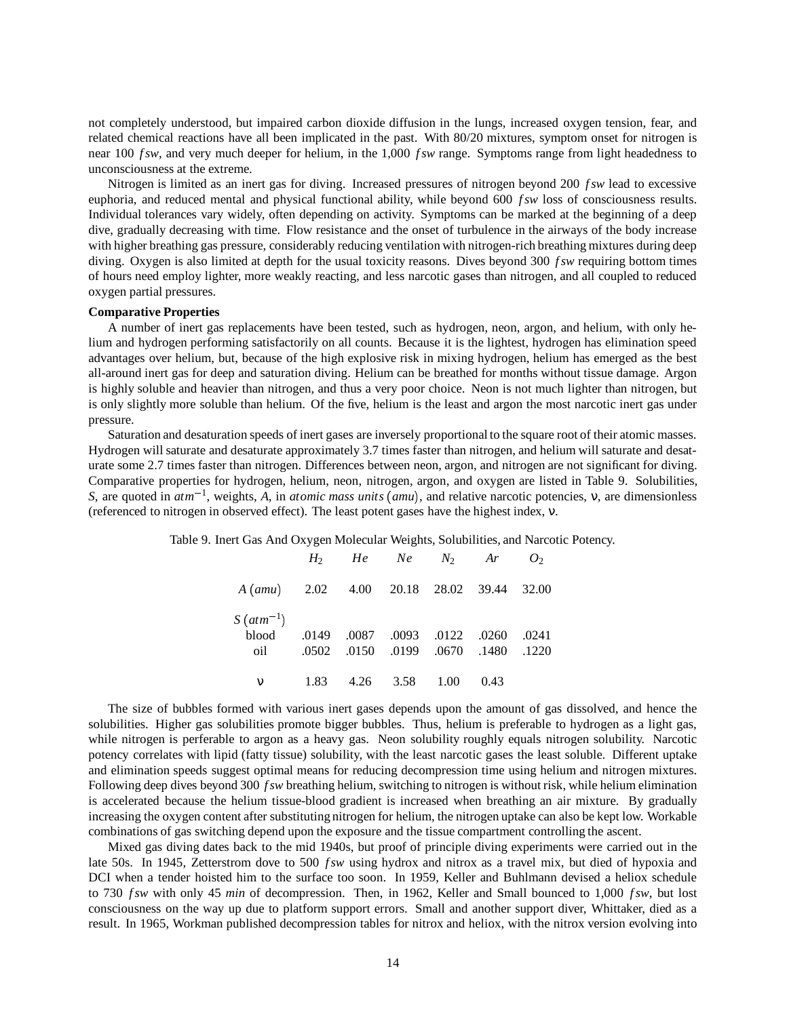not completely understood, but impaired carbon dioxide diffusion in the lungs, increased oxygen tension, fear, and related chemical reactions have all been implicated in the past. With 80/20 mixtures, symptom onset for nitrogen is near 100 *f sw*, and very much deeper for helium, in the 1,000 *f sw* range. Symptoms range from light headedness to unconsciousness at the extreme.

Nitrogen is limited as an inert gas for diving. Increased pressures of nitrogen beyond 200 *f sw* lead to excessive euphoria, and reduced mental and physical functional ability, while beyond 600 *f sw* loss of consciousness results. Individual tolerances vary widely, often depending on activity. Symptoms can be marked at the beginning of a deep dive, gradually decreasing with time. Flow resistance and the onset of turbulence in the airways of the body increase with higher breathing gas pressure, considerably reducing ventilation with nitrogen-rich breathing mixtures during deep diving. Oxygen is also limited at depth for the usual toxicity reasons. Dives beyond 300 *f sw* requiring bottom times of hours need employ lighter, more weakly reacting, and less narcotic gases than nitrogen, and all coupled to reduced oxygen partial pressures.

## **Comparative Properties**

A number of inert gas replacements have been tested, such as hydrogen, neon, argon, and helium, with only helium and hydrogen performing satisfactorily on all counts. Because it is the lightest, hydrogen has elimination speed advantages over helium, but, because of the high explosive risk in mixing hydrogen, helium has emerged as the best all-around inert gas for deep and saturation diving. Helium can be breathed for months without tissue damage. Argon is highly soluble and heavier than nitrogen, and thus a very poor choice. Neon is not much lighter than nitrogen, but is only slightly more soluble than helium. Of the five, helium is the least and argon the most narcotic inert gas under pressure.

Saturation and desaturation speeds of inert gases are inversely proportional to the square root of their atomic masses. Hydrogen will saturate and desaturate approximately 3.7 times faster than nitrogen, and helium will saturate and desaturate some 2.7 times faster than nitrogen. Differences between neon, argon, and nitrogen are not significant for diving. Comparative properties for hydrogen, helium, neon, nitrogen, argon, and oxygen are listed in Table 9. Solubilities, *S*, are quoted in *atm*1, weights, *A*, in *atomic mass units* (*amu*), and relative narcotic potencies, ν, are dimensionless (referenced to nitrogen in observed effect). The least potent gases have the highest index, ν.

# Table 9. Inert Gas And Oxygen Molecular Weights, Solubilities, and Narcotic Potency.

|                                           |  | $H_2$ He Ne N <sub>2</sub> Ar $O_2$                                        |      |  |
|-------------------------------------------|--|----------------------------------------------------------------------------|------|--|
| A (amu) 2.02 4.00 20.18 28.02 39.44 32.00 |  |                                                                            |      |  |
| $S(atm^{-1})$<br>blood<br>oil             |  | .0149 .0087 .0093 .0122 .0260 .0149<br>.0502 .0150 .0199 .0670 .1480 .0502 |      |  |
| ν                                         |  | 1.83 4.26 3.58 1.00                                                        | 0.43 |  |

The size of bubbles formed with various inert gases depends upon the amount of gas dissolved, and hence the solubilities. Higher gas solubilities promote bigger bubbles. Thus, helium is preferable to hydrogen as a light gas, while nitrogen is perferable to argon as a heavy gas. Neon solubility roughly equals nitrogen solubility. Narcotic potency correlates with lipid (fatty tissue) solubility, with the least narcotic gases the least soluble. Different uptake and elimination speeds suggest optimal means for reducing decompression time using helium and nitrogen mixtures. Following deep dives beyond 300 *f sw* breathing helium, switching to nitrogen is without risk, while helium elimination is accelerated because the helium tissue-blood gradient is increased when breathing an air mixture. By gradually increasing the oxygen content after substituting nitrogen for helium, the nitrogen uptake can also be kept low. Workable combinations of gas switching depend upon the exposure and the tissue compartment controlling the ascent.

Mixed gas diving dates back to the mid 1940s, but proof of principle diving experiments were carried out in the late 50s. In 1945, Zetterstrom dove to 500 *f sw* using hydrox and nitrox as a travel mix, but died of hypoxia and DCI when a tender hoisted him to the surface too soon. In 1959, Keller and Buhlmann devised a heliox schedule to 730 *f sw* with only 45 *min* of decompression. Then, in 1962, Keller and Small bounced to 1,000 *f sw*, but lost consciousness on the way up due to platform support errors. Small and another support diver, Whittaker, died as a result. In 1965, Workman published decompression tables for nitrox and heliox, with the nitrox version evolving into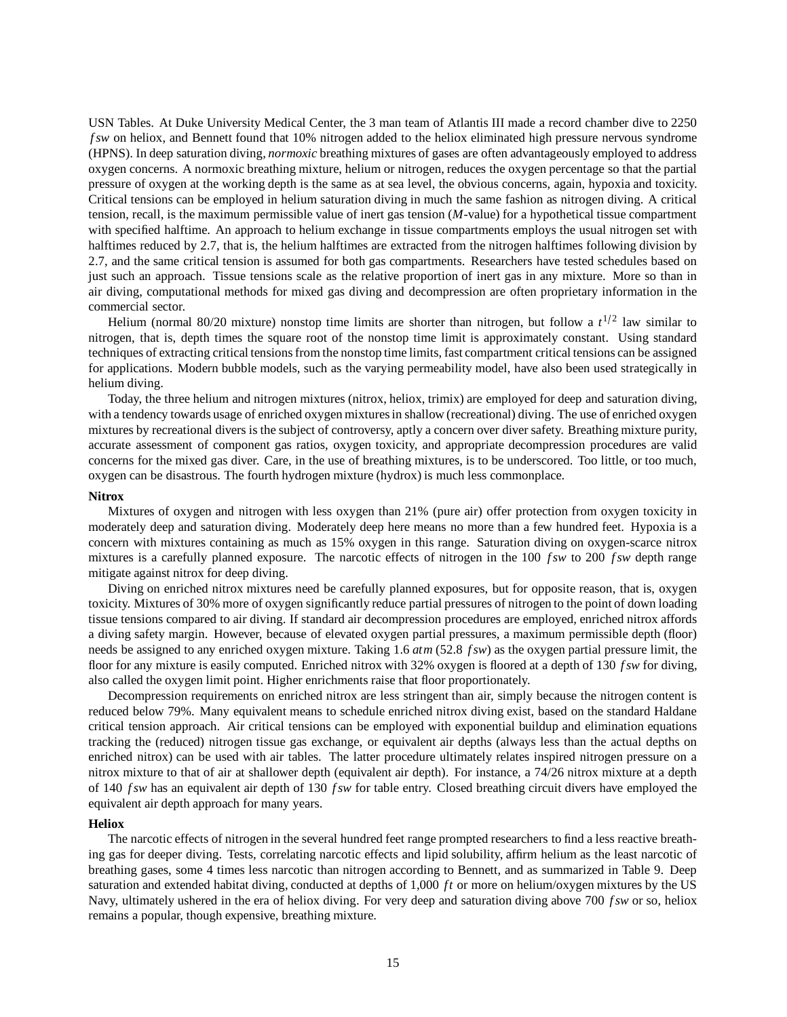USN Tables. At Duke University Medical Center, the 3 man team of Atlantis III made a record chamber dive to 2250 *f sw* on heliox, and Bennett found that 10% nitrogen added to the heliox eliminated high pressure nervous syndrome (HPNS). In deep saturation diving, *normoxic* breathing mixtures of gases are often advantageously employed to address oxygen concerns. A normoxic breathing mixture, helium or nitrogen, reduces the oxygen percentage so that the partial pressure of oxygen at the working depth is the same as at sea level, the obvious concerns, again, hypoxia and toxicity. Critical tensions can be employed in helium saturation diving in much the same fashion as nitrogen diving. A critical tension, recall, is the maximum permissible value of inert gas tension (*M*-value) for a hypothetical tissue compartment with specified halftime. An approach to helium exchange in tissue compartments employs the usual nitrogen set with halftimes reduced by 2.7, that is, the helium halftimes are extracted from the nitrogen halftimes following division by 2.7, and the same critical tension is assumed for both gas compartments. Researchers have tested schedules based on just such an approach. Tissue tensions scale as the relative proportion of inert gas in any mixture. More so than in air diving, computational methods for mixed gas diving and decompression are often proprietary information in the commercial sector.

Helium (normal 80/20 mixture) nonstop time limits are shorter than nitrogen, but follow a  $t^{1/2}$  law similar to nitrogen, that is, depth times the square root of the nonstop time limit is approximately constant. Using standard techniques of extracting critical tensions from the nonstop time limits, fast compartment critical tensions can be assigned for applications. Modern bubble models, such as the varying permeability model, have also been used strategically in helium diving.

Today, the three helium and nitrogen mixtures (nitrox, heliox, trimix) are employed for deep and saturation diving, with a tendency towards usage of enriched oxygen mixtures in shallow (recreational) diving. The use of enriched oxygen mixtures by recreational divers is the subject of controversy, aptly a concern over diver safety. Breathing mixture purity, accurate assessment of component gas ratios, oxygen toxicity, and appropriate decompression procedures are valid concerns for the mixed gas diver. Care, in the use of breathing mixtures, is to be underscored. Too little, or too much, oxygen can be disastrous. The fourth hydrogen mixture (hydrox) is much less commonplace.

# **Nitrox**

Mixtures of oxygen and nitrogen with less oxygen than 21% (pure air) offer protection from oxygen toxicity in moderately deep and saturation diving. Moderately deep here means no more than a few hundred feet. Hypoxia is a concern with mixtures containing as much as 15% oxygen in this range. Saturation diving on oxygen-scarce nitrox mixtures is a carefully planned exposure. The narcotic effects of nitrogen in the 100 *f sw* to 200 *f sw* depth range mitigate against nitrox for deep diving.

Diving on enriched nitrox mixtures need be carefully planned exposures, but for opposite reason, that is, oxygen toxicity. Mixtures of 30% more of oxygen significantly reduce partial pressures of nitrogen to the point of down loading tissue tensions compared to air diving. If standard air decompression procedures are employed, enriched nitrox affords a diving safety margin. However, because of elevated oxygen partial pressures, a maximum permissible depth (floor) needs be assigned to any enriched oxygen mixture. Taking 1.6 *atm* (52.8 *f sw*) as the oxygen partial pressure limit, the floor for any mixture is easily computed. Enriched nitrox with 32% oxygen is floored at a depth of 130 *f sw* for diving, also called the oxygen limit point. Higher enrichments raise that floor proportionately.

Decompression requirements on enriched nitrox are less stringent than air, simply because the nitrogen content is reduced below 79%. Many equivalent means to schedule enriched nitrox diving exist, based on the standard Haldane critical tension approach. Air critical tensions can be employed with exponential buildup and elimination equations tracking the (reduced) nitrogen tissue gas exchange, or equivalent air depths (always less than the actual depths on enriched nitrox) can be used with air tables. The latter procedure ultimately relates inspired nitrogen pressure on a nitrox mixture to that of air at shallower depth (equivalent air depth). For instance, a 74/26 nitrox mixture at a depth of 140 *f sw* has an equivalent air depth of 130 *f sw* for table entry. Closed breathing circuit divers have employed the equivalent air depth approach for many years.

# **Heliox**

The narcotic effects of nitrogen in the several hundred feet range prompted researchers to find a less reactive breathing gas for deeper diving. Tests, correlating narcotic effects and lipid solubility, affirm helium as the least narcotic of breathing gases, some 4 times less narcotic than nitrogen according to Bennett, and as summarized in Table 9. Deep saturation and extended habitat diving, conducted at depths of 1,000 *ft* or more on helium/oxygen mixtures by the US Navy, ultimately ushered in the era of heliox diving. For very deep and saturation diving above 700 *f sw* or so, heliox remains a popular, though expensive, breathing mixture.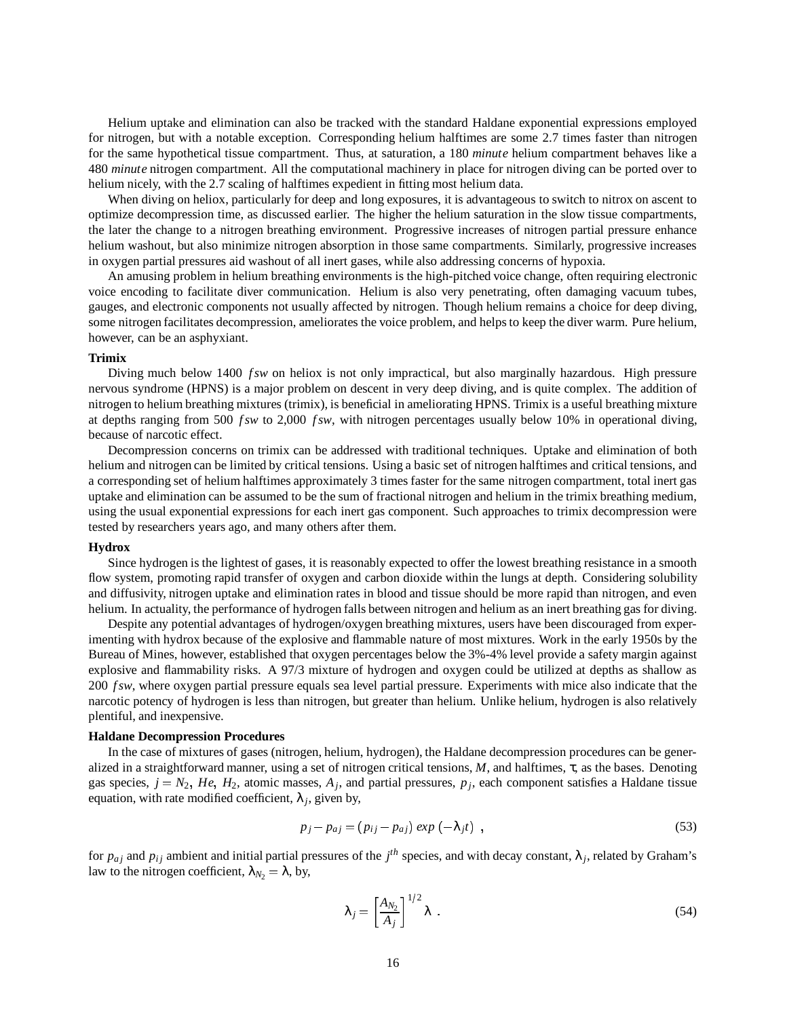Helium uptake and elimination can also be tracked with the standard Haldane exponential expressions employed for nitrogen, but with a notable exception. Corresponding helium halftimes are some 2.7 times faster than nitrogen for the same hypothetical tissue compartment. Thus, at saturation, a 180 *minute* helium compartment behaves like a 480 *minute* nitrogen compartment. All the computational machinery in place for nitrogen diving can be ported over to helium nicely, with the 2.7 scaling of halftimes expedient in fitting most helium data.

When diving on heliox, particularly for deep and long exposures, it is advantageous to switch to nitrox on ascent to optimize decompression time, as discussed earlier. The higher the helium saturation in the slow tissue compartments, the later the change to a nitrogen breathing environment. Progressive increases of nitrogen partial pressure enhance helium washout, but also minimize nitrogen absorption in those same compartments. Similarly, progressive increases in oxygen partial pressures aid washout of all inert gases, while also addressing concerns of hypoxia.

An amusing problem in helium breathing environments is the high-pitched voice change, often requiring electronic voice encoding to facilitate diver communication. Helium is also very penetrating, often damaging vacuum tubes, gauges, and electronic components not usually affected by nitrogen. Though helium remains a choice for deep diving, some nitrogen facilitates decompression, ameliorates the voice problem, and helps to keep the diver warm. Pure helium, however, can be an asphyxiant.

## **Trimix**

Diving much below 1400 *f sw* on heliox is not only impractical, but also marginally hazardous. High pressure nervous syndrome (HPNS) is a major problem on descent in very deep diving, and is quite complex. The addition of nitrogen to helium breathing mixtures (trimix), is beneficial in ameliorating HPNS. Trimix is a useful breathing mixture at depths ranging from 500 *f sw* to 2,000 *f sw*, with nitrogen percentages usually below 10% in operational diving, because of narcotic effect.

Decompression concerns on trimix can be addressed with traditional techniques. Uptake and elimination of both helium and nitrogen can be limited by critical tensions. Using a basic set of nitrogen halftimes and critical tensions, and a corresponding set of helium halftimes approximately 3 times faster for the same nitrogen compartment, total inert gas uptake and elimination can be assumed to be the sum of fractional nitrogen and helium in the trimix breathing medium, using the usual exponential expressions for each inert gas component. Such approaches to trimix decompression were tested by researchers years ago, and many others after them.

# **Hydrox**

Since hydrogen is the lightest of gases, it is reasonably expected to offer the lowest breathing resistance in a smooth flow system, promoting rapid transfer of oxygen and carbon dioxide within the lungs at depth. Considering solubility and diffusivity, nitrogen uptake and elimination rates in blood and tissue should be more rapid than nitrogen, and even helium. In actuality, the performance of hydrogen falls between nitrogen and helium as an inert breathing gas for diving.

Despite any potential advantages of hydrogen/oxygen breathing mixtures, users have been discouraged from experimenting with hydrox because of the explosive and flammable nature of most mixtures. Work in the early 1950s by the Bureau of Mines, however, established that oxygen percentages below the 3%-4% level provide a safety margin against explosive and flammability risks. A 97/3 mixture of hydrogen and oxygen could be utilized at depths as shallow as 200 *f sw*, where oxygen partial pressure equals sea level partial pressure. Experiments with mice also indicate that the narcotic potency of hydrogen is less than nitrogen, but greater than helium. Unlike helium, hydrogen is also relatively plentiful, and inexpensive.

### **Haldane Decompression Procedures**

In the case of mixtures of gases (nitrogen, helium, hydrogen), the Haldane decompression procedures can be generalized in a straightforward manner, using a set of nitrogen critical tensions, *M*, and halftimes, τ, as the bases. Denoting gas species,  $j = N_2$ ,  $He$ ,  $H_2$ , atomic masses,  $A_j$ , and partial pressures,  $p_j$ , each component satisfies a Haldane tissue equation, with rate modified coefficient,  $\lambda_i$ , given by,

$$
p_j - p_{aj} = (p_{ij} - p_{aj}) \exp\left(-\lambda_j t\right) , \qquad (53)
$$

for  $p_{aj}$  and  $p_{ij}$  ambient and initial partial pressures of the  $j<sup>th</sup>$  species, and with decay constant,  $\lambda_j$ , related by Graham's law to the nitrogen coefficient,  $\lambda_{N_2} = \lambda$ , by,

$$
\lambda_j = \left[\frac{A_{N_2}}{A_j}\right]^{1/2} \lambda \tag{54}
$$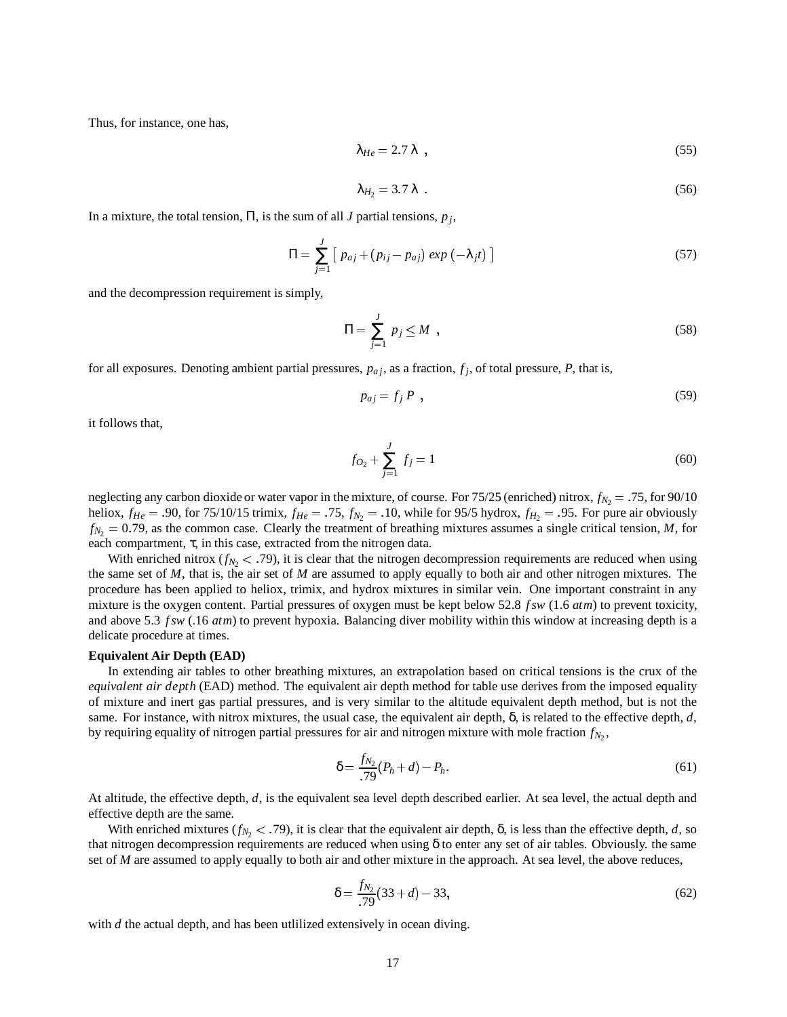Thus, for instance, one has,

$$
\lambda_{He} = 2.7 \lambda , \qquad (55)
$$

$$
\lambda_{H_2} = 3.7 \lambda \tag{56}
$$

In a mixture, the total tension,  $\Pi$ , is the sum of all *J* partial tensions,  $p_i$ ,

$$
\Pi = \sum_{j=1}^{J} \left[ p_{aj} + (p_{ij} - p_{aj}) \exp \left( -\lambda_j t \right) \right]
$$
\n
$$
(57)
$$

and the decompression requirement is simply,

$$
\Pi = \sum_{j=1}^{J} p_j \le M \tag{58}
$$

for all exposures. Denoting ambient partial pressures,  $p_{aj}$ , as a fraction,  $f_j$ , of total pressure,  $P$ , that is,

$$
p_{aj} = f_j \, P \tag{59}
$$

it follows that,

$$
f_{O_2} + \sum_{j=1}^{J} f_j = 1
$$
\n(60)

neglecting any carbon dioxide or water vapor in the mixture, of course. For  $75/25$  (enriched) nitrox,  $f_{N_2} = .75$ , for 90/10 heliox,  $f_{He} = .90$ , for 75/10/15 trimix,  $f_{He} = .75$ ,  $f_{N_2} = .10$ , while for 95/5 hydrox,  $f_{H_2} = .95$ . For pure air obviously  $f_{N_2} = 0.79$ , as the common case. Clearly the treatment of breathing mixtures assumes a single critical tension, *M*, for each compartment, τ, in this case, extracted from the nitrogen data.

With enriched nitrox  $(f_{N_2} < .79)$ , it is clear that the nitrogen decompression requirements are reduced when using the same set of *M*, that is, the air set of *M* are assumed to apply equally to both air and other nitrogen mixtures. The procedure has been applied to heliox, trimix, and hydrox mixtures in similar vein. One important constraint in any mixture is the oxygen content. Partial pressures of oxygen must be kept below 52.8 *f sw* (1.6 *atm*) to prevent toxicity, and above 5.3 *f sw* (.16 *atm*) to prevent hypoxia. Balancing diver mobility within this window at increasing depth is a delicate procedure at times.

# **Equivalent Air Depth (EAD)**

In extending air tables to other breathing mixtures, an extrapolation based on critical tensions is the crux of the *equivalent air depth* (EAD) method. The equivalent air depth method for table use derives from the imposed equality of mixture and inert gas partial pressures, and is very similar to the altitude equivalent depth method, but is not the same. For instance, with nitrox mixtures, the usual case, the equivalent air depth,  $\delta$ , is related to the effective depth, *d*, by requiring equality of nitrogen partial pressures for air and nitrogen mixture with mole fraction  $f_N$ ,

$$
\delta = \frac{f_{N_2}}{.79} (P_h + d) - P_h.
$$
\n(61)

At altitude, the effective depth, *d*, is the equivalent sea level depth described earlier. At sea level, the actual depth and effective depth are the same.

With enriched mixtures ( $f_N$ , < .79), it is clear that the equivalent air depth,  $\delta$ , is less than the effective depth, *d*, so that nitrogen decompression requirements are reduced when using  $\delta$  to enter any set of air tables. Obviously. the same set of *M* are assumed to apply equally to both air and other mixture in the approach. At sea level, the above reduces,

$$
\delta = \frac{f_{N_2}}{.79} (33 + d) - 33,\tag{62}
$$

with *d* the actual depth, and has been utlilized extensively in ocean diving.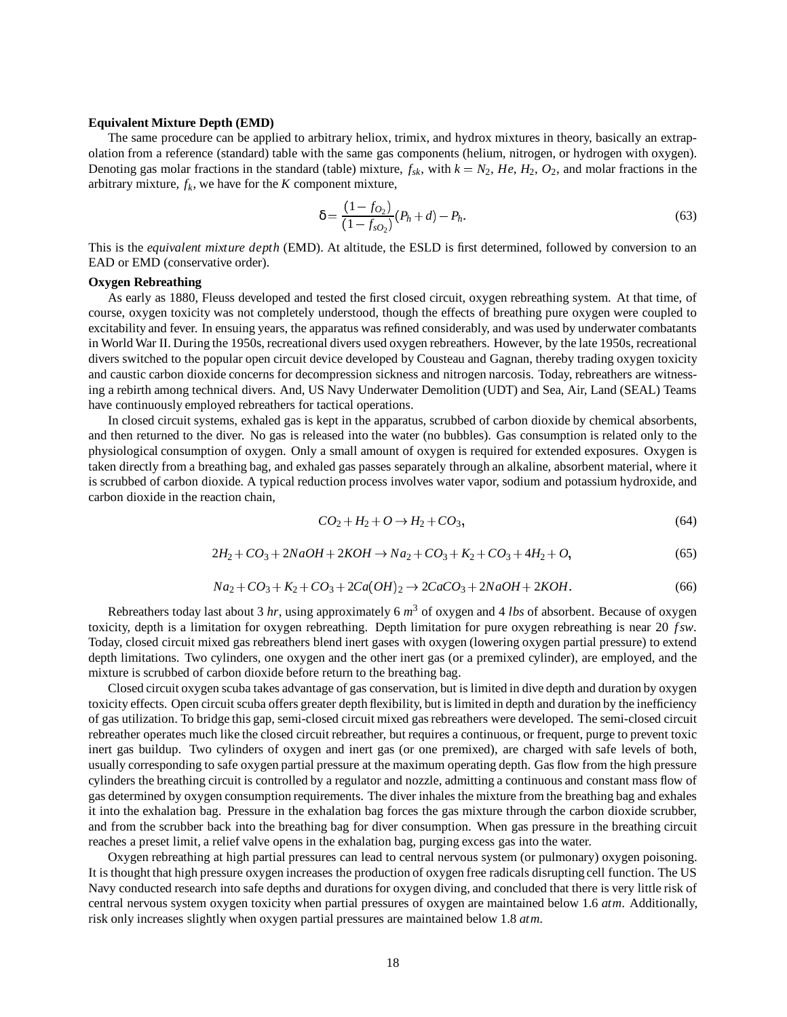## **Equivalent Mixture Depth (EMD)**

The same procedure can be applied to arbitrary heliox, trimix, and hydrox mixtures in theory, basically an extrapolation from a reference (standard) table with the same gas components (helium, nitrogen, or hydrogen with oxygen). Denoting gas molar fractions in the standard (table) mixture,  $f_{sk}$ , with  $k = N_2$ ,  $He$ ,  $H_2$ ,  $O_2$ , and molar fractions in the arbitrary mixture,  $f_k$ , we have for the *K* component mixture,

$$
\delta = \frac{(1 - f_{O_2})}{(1 - f_{SO_2})} (P_h + d) - P_h.
$$
\n(63)

This is the *equivalent mixture depth* (EMD). At altitude, the ESLD is first determined, followed by conversion to an EAD or EMD (conservative order).

## **Oxygen Rebreathing**

As early as 1880, Fleuss developed and tested the first closed circuit, oxygen rebreathing system. At that time, of course, oxygen toxicity was not completely understood, though the effects of breathing pure oxygen were coupled to excitability and fever. In ensuing years, the apparatus was refined considerably, and was used by underwater combatants in World War II. During the 1950s, recreational divers used oxygen rebreathers. However, by the late 1950s, recreational divers switched to the popular open circuit device developed by Cousteau and Gagnan, thereby trading oxygen toxicity and caustic carbon dioxide concerns for decompression sickness and nitrogen narcosis. Today, rebreathers are witnessing a rebirth among technical divers. And, US Navy Underwater Demolition (UDT) and Sea, Air, Land (SEAL) Teams have continuously employed rebreathers for tactical operations.

In closed circuit systems, exhaled gas is kept in the apparatus, scrubbed of carbon dioxide by chemical absorbents, and then returned to the diver. No gas is released into the water (no bubbles). Gas consumption is related only to the physiological consumption of oxygen. Only a small amount of oxygen is required for extended exposures. Oxygen is taken directly from a breathing bag, and exhaled gas passes separately through an alkaline, absorbent material, where it is scrubbed of carbon dioxide. A typical reduction process involves water vapor, sodium and potassium hydroxide, and carbon dioxide in the reaction chain,

$$
CO_2 + H_2 + O \to H_2 + CO_3,\tag{64}
$$

$$
2H_2 + CO_3 + 2NaOH + 2KOH \rightarrow Na_2 + CO_3 + K_2 + CO_3 + 4H_2 + O,
$$
\n(65)

$$
Na_2 + CO_3 + K_2 + CO_3 + 2Ca(OH)_2 \rightarrow 2CaCO_3 + 2NaOH + 2KOH. \tag{66}
$$

Rebreathers today last about 3 *hr*, using approximately 6  $m^3$  of oxygen and 4 *lbs* of absorbent. Because of oxygen toxicity, depth is a limitation for oxygen rebreathing. Depth limitation for pure oxygen rebreathing is near 20 *f sw*. Today, closed circuit mixed gas rebreathers blend inert gases with oxygen (lowering oxygen partial pressure) to extend depth limitations. Two cylinders, one oxygen and the other inert gas (or a premixed cylinder), are employed, and the mixture is scrubbed of carbon dioxide before return to the breathing bag.

Closed circuit oxygen scuba takes advantage of gas conservation, but is limited in dive depth and duration by oxygen toxicity effects. Open circuit scuba offers greater depth flexibility, but is limited in depth and duration by the inefficiency of gas utilization. To bridge this gap, semi-closed circuit mixed gas rebreathers were developed. The semi-closed circuit rebreather operates much like the closed circuit rebreather, but requires a continuous, or frequent, purge to prevent toxic inert gas buildup. Two cylinders of oxygen and inert gas (or one premixed), are charged with safe levels of both, usually corresponding to safe oxygen partial pressure at the maximum operating depth. Gas flow from the high pressure cylinders the breathing circuit is controlled by a regulator and nozzle, admitting a continuous and constant mass flow of gas determined by oxygen consumption requirements. The diver inhales the mixture from the breathing bag and exhales it into the exhalation bag. Pressure in the exhalation bag forces the gas mixture through the carbon dioxide scrubber, and from the scrubber back into the breathing bag for diver consumption. When gas pressure in the breathing circuit reaches a preset limit, a relief valve opens in the exhalation bag, purging excess gas into the water.

Oxygen rebreathing at high partial pressures can lead to central nervous system (or pulmonary) oxygen poisoning. It is thought that high pressure oxygen increases the production of oxygen free radicals disrupting cell function. The US Navy conducted research into safe depths and durations for oxygen diving, and concluded that there is very little risk of central nervous system oxygen toxicity when partial pressures of oxygen are maintained below 1.6 *atm*. Additionally, risk only increases slightly when oxygen partial pressures are maintained below 1.8 *atm*.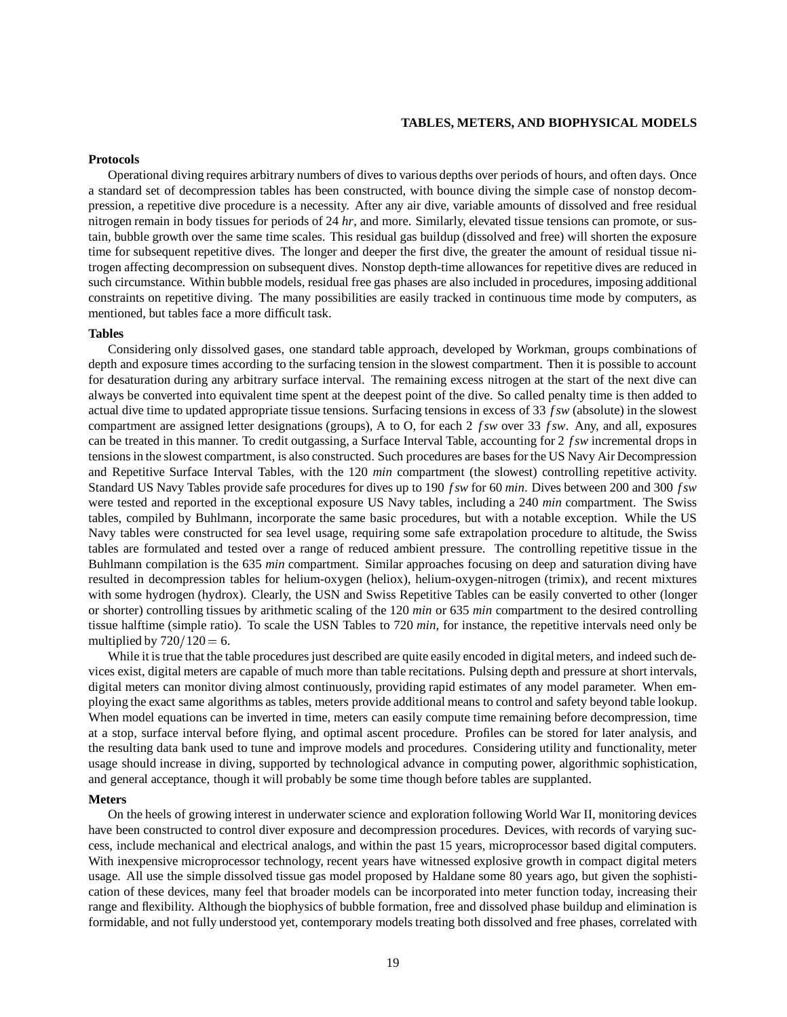## **TABLES, METERS, AND BIOPHYSICAL MODELS**

## **Protocols**

Operational diving requires arbitrary numbers of dives to various depths over periods of hours, and often days. Once a standard set of decompression tables has been constructed, with bounce diving the simple case of nonstop decompression, a repetitive dive procedure is a necessity. After any air dive, variable amounts of dissolved and free residual nitrogen remain in body tissues for periods of 24 *hr*, and more. Similarly, elevated tissue tensions can promote, or sustain, bubble growth over the same time scales. This residual gas buildup (dissolved and free) will shorten the exposure time for subsequent repetitive dives. The longer and deeper the first dive, the greater the amount of residual tissue nitrogen affecting decompression on subsequent dives. Nonstop depth-time allowances for repetitive dives are reduced in such circumstance. Within bubble models, residual free gas phases are also included in procedures, imposing additional constraints on repetitive diving. The many possibilities are easily tracked in continuous time mode by computers, as mentioned, but tables face a more difficult task.

# **Tables**

Considering only dissolved gases, one standard table approach, developed by Workman, groups combinations of depth and exposure times according to the surfacing tension in the slowest compartment. Then it is possible to account for desaturation during any arbitrary surface interval. The remaining excess nitrogen at the start of the next dive can always be converted into equivalent time spent at the deepest point of the dive. So called penalty time is then added to actual dive time to updated appropriate tissue tensions. Surfacing tensions in excess of 33 *f sw* (absolute) in the slowest compartment are assigned letter designations (groups), A to O, for each 2 *f sw* over 33 *f sw*. Any, and all, exposures can be treated in this manner. To credit outgassing, a Surface Interval Table, accounting for 2 *f sw* incremental drops in tensions in the slowest compartment, is also constructed. Such procedures are bases for the US Navy Air Decompression and Repetitive Surface Interval Tables, with the 120 *min* compartment (the slowest) controlling repetitive activity. Standard US Navy Tables provide safe procedures for dives up to 190 *f sw* for 60 *min*. Dives between 200 and 300 *f sw* were tested and reported in the exceptional exposure US Navy tables, including a 240 *min* compartment. The Swiss tables, compiled by Buhlmann, incorporate the same basic procedures, but with a notable exception. While the US Navy tables were constructed for sea level usage, requiring some safe extrapolation procedure to altitude, the Swiss tables are formulated and tested over a range of reduced ambient pressure. The controlling repetitive tissue in the Buhlmann compilation is the 635 *min* compartment. Similar approaches focusing on deep and saturation diving have resulted in decompression tables for helium-oxygen (heliox), helium-oxygen-nitrogen (trimix), and recent mixtures with some hydrogen (hydrox). Clearly, the USN and Swiss Repetitive Tables can be easily converted to other (longer or shorter) controlling tissues by arithmetic scaling of the 120 *min* or 635 *min* compartment to the desired controlling tissue halftime (simple ratio). To scale the USN Tables to 720 *min*, for instance, the repetitive intervals need only be multiplied by  $720/120 = 6$ .

While it is true that the table procedures just described are quite easily encoded in digital meters, and indeed such devices exist, digital meters are capable of much more than table recitations. Pulsing depth and pressure at short intervals, digital meters can monitor diving almost continuously, providing rapid estimates of any model parameter. When employing the exact same algorithms as tables, meters provide additional means to control and safety beyond table lookup. When model equations can be inverted in time, meters can easily compute time remaining before decompression, time at a stop, surface interval before flying, and optimal ascent procedure. Profiles can be stored for later analysis, and the resulting data bank used to tune and improve models and procedures. Considering utility and functionality, meter usage should increase in diving, supported by technological advance in computing power, algorithmic sophistication, and general acceptance, though it will probably be some time though before tables are supplanted.

#### **Meters**

On the heels of growing interest in underwater science and exploration following World War II, monitoring devices have been constructed to control diver exposure and decompression procedures. Devices, with records of varying success, include mechanical and electrical analogs, and within the past 15 years, microprocessor based digital computers. With inexpensive microprocessor technology, recent years have witnessed explosive growth in compact digital meters usage. All use the simple dissolved tissue gas model proposed by Haldane some 80 years ago, but given the sophistication of these devices, many feel that broader models can be incorporated into meter function today, increasing their range and flexibility. Although the biophysics of bubble formation, free and dissolved phase buildup and elimination is formidable, and not fully understood yet, contemporary models treating both dissolved and free phases, correlated with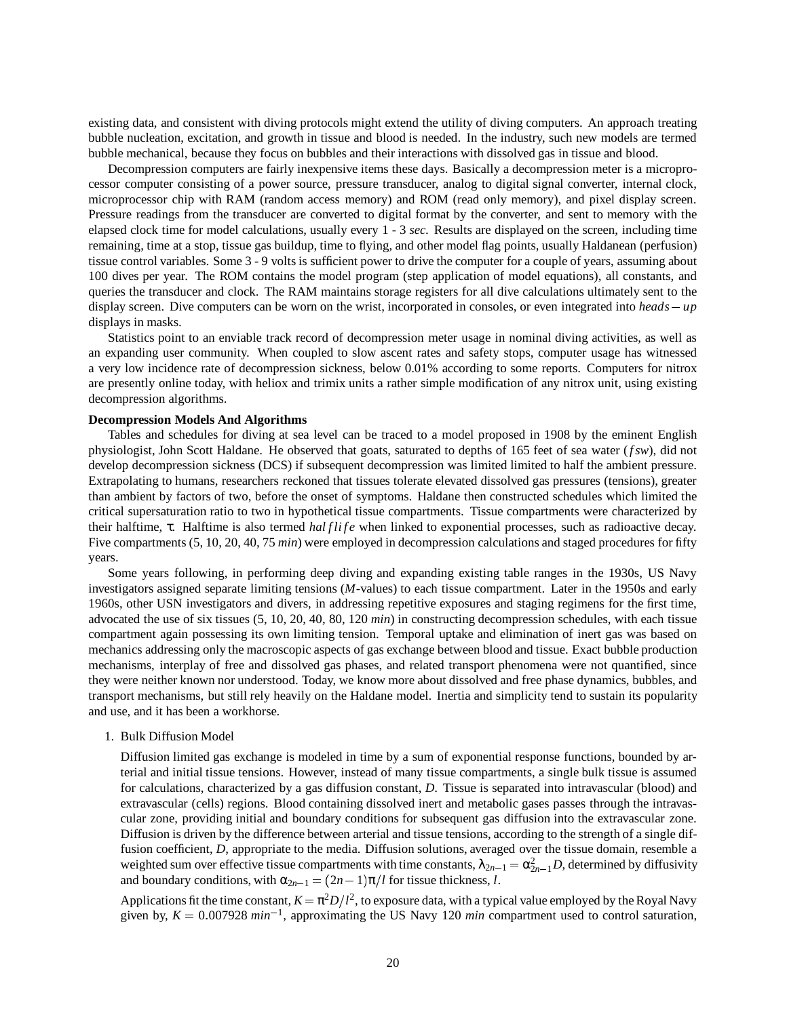existing data, and consistent with diving protocols might extend the utility of diving computers. An approach treating bubble nucleation, excitation, and growth in tissue and blood is needed. In the industry, such new models are termed bubble mechanical, because they focus on bubbles and their interactions with dissolved gas in tissue and blood.

Decompression computers are fairly inexpensive items these days. Basically a decompression meter is a microprocessor computer consisting of a power source, pressure transducer, analog to digital signal converter, internal clock, microprocessor chip with RAM (random access memory) and ROM (read only memory), and pixel display screen. Pressure readings from the transducer are converted to digital format by the converter, and sent to memory with the elapsed clock time for model calculations, usually every 1 - 3 *sec*. Results are displayed on the screen, including time remaining, time at a stop, tissue gas buildup, time to flying, and other model flag points, usually Haldanean (perfusion) tissue control variables. Some 3 - 9 volts is sufficient power to drive the computer for a couple of years, assuming about 100 dives per year. The ROM contains the model program (step application of model equations), all constants, and queries the transducer and clock. The RAM maintains storage registers for all dive calculations ultimately sent to the display screen. Dive computers can be worn on the wrist, incorporated in consoles, or even integrated into *heads up* displays in masks.

Statistics point to an enviable track record of decompression meter usage in nominal diving activities, as well as an expanding user community. When coupled to slow ascent rates and safety stops, computer usage has witnessed a very low incidence rate of decompression sickness, below 0.01% according to some reports. Computers for nitrox are presently online today, with heliox and trimix units a rather simple modification of any nitrox unit, using existing decompression algorithms.

#### **Decompression Models And Algorithms**

Tables and schedules for diving at sea level can be traced to a model proposed in 1908 by the eminent English physiologist, John Scott Haldane. He observed that goats, saturated to depths of 165 feet of sea water (*f sw*), did not develop decompression sickness (DCS) if subsequent decompression was limited limited to half the ambient pressure. Extrapolating to humans, researchers reckoned that tissues tolerate elevated dissolved gas pressures (tensions), greater than ambient by factors of two, before the onset of symptoms. Haldane then constructed schedules which limited the critical supersaturation ratio to two in hypothetical tissue compartments. Tissue compartments were characterized by their halftime, τ. Halftime is also termed *hal f li f e* when linked to exponential processes, such as radioactive decay. Five compartments (5, 10, 20, 40, 75 *min*) were employed in decompression calculations and staged procedures for fifty years.

Some years following, in performing deep diving and expanding existing table ranges in the 1930s, US Navy investigators assigned separate limiting tensions (*M*-values) to each tissue compartment. Later in the 1950s and early 1960s, other USN investigators and divers, in addressing repetitive exposures and staging regimens for the first time, advocated the use of six tissues (5, 10, 20, 40, 80, 120 *min*) in constructing decompression schedules, with each tissue compartment again possessing its own limiting tension. Temporal uptake and elimination of inert gas was based on mechanics addressing only the macroscopic aspects of gas exchange between blood and tissue. Exact bubble production mechanisms, interplay of free and dissolved gas phases, and related transport phenomena were not quantified, since they were neither known nor understood. Today, we know more about dissolved and free phase dynamics, bubbles, and transport mechanisms, but still rely heavily on the Haldane model. Inertia and simplicity tend to sustain its popularity and use, and it has been a workhorse.

1. Bulk Diffusion Model

Diffusion limited gas exchange is modeled in time by a sum of exponential response functions, bounded by arterial and initial tissue tensions. However, instead of many tissue compartments, a single bulk tissue is assumed for calculations, characterized by a gas diffusion constant, *D*. Tissue is separated into intravascular (blood) and extravascular (cells) regions. Blood containing dissolved inert and metabolic gases passes through the intravascular zone, providing initial and boundary conditions for subsequent gas diffusion into the extravascular zone. Diffusion is driven by the difference between arterial and tissue tensions, according to the strength of a single diffusion coefficient, *D*, appropriate to the media. Diffusion solutions, averaged over the tissue domain, resemble a weighted sum over effective tissue compartments with time constants,  $\lambda_{2n-1} = \alpha_{2n-1}^2 D$ , determined by diffusivity and boundary conditions, with  $\alpha_{2n-1} = (2n-1)\pi/l$  for tissue thickness, *l*.

Applications fit the time constant,  $K = \frac{\pi^2 D}{l^2}$ , to exposure data, with a typical value employed by the Royal Navy given by,  $K = 0.007928$   $min^{-1}$ , approximating the US Navy 120  $min$  compartment used to control saturation,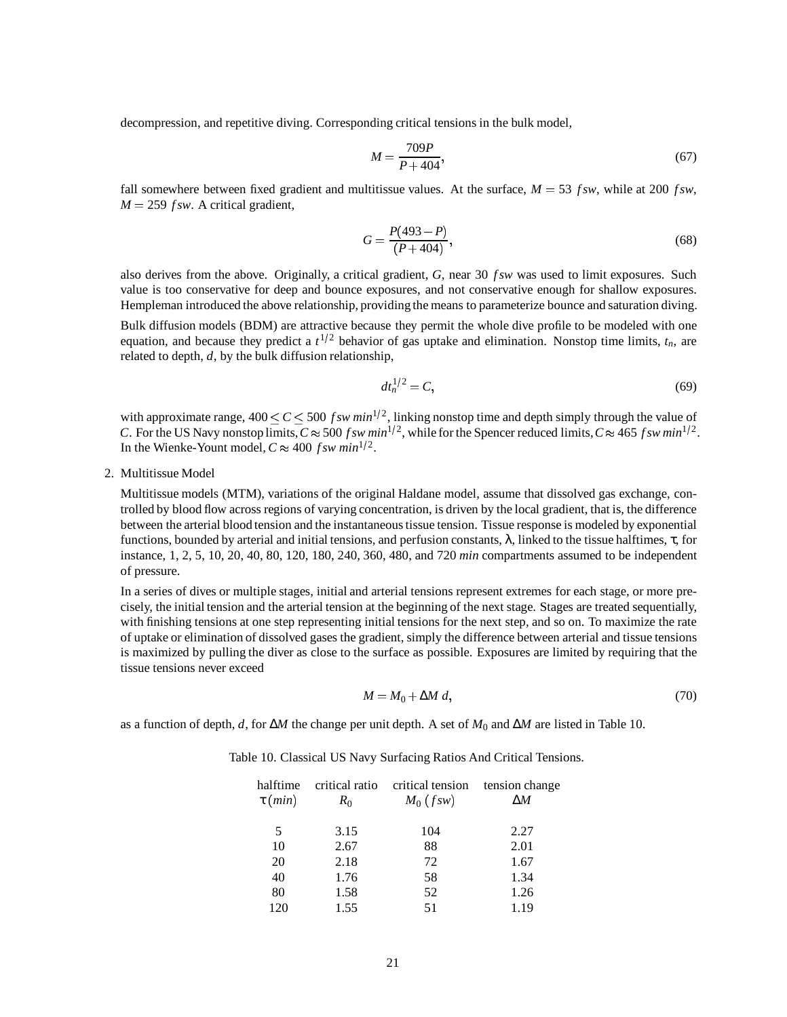decompression, and repetitive diving. Corresponding critical tensions in the bulk model,

$$
M = \frac{709P}{P + 404},\tag{67}
$$

fall somewhere between fixed gradient and multitissue values. At the surface,  $M = 53$  *fsw*, while at 200 *fsw*,  $M = 259$  *f sw.* A critical gradient,

$$
G = \frac{P(493 - P)}{(P + 404)},
$$
\n(68)

also derives from the above. Originally, a critical gradient, *G*, near 30 *f sw* was used to limit exposures. Such value is too conservative for deep and bounce exposures, and not conservative enough for shallow exposures. Hempleman introduced the above relationship, providing the means to parameterize bounce and saturation diving.

Bulk diffusion models (BDM) are attractive because they permit the whole dive profile to be modeled with one equation, and because they predict a  $t^{1/2}$  behavior of gas uptake and elimination. Nonstop time limits,  $t_n$ , are related to depth, *d*, by the bulk diffusion relationship,

$$
dt_n^{1/2} = C,\t\t(69)
$$

with approximate range,  $400 \le C \le 500$  *f sw min*<sup>1/2</sup>, linking nonstop time and depth simply through the value of *C*. For the US Navy nonstop limits,  $C \approx 500$  *f sw min*<sup>1/2</sup>, while for the Spencer reduced limits,  $C \approx 465$  *f sw min*<sup>1/2</sup>. In the Wienke-Yount model,  $C \approx 400$  *f sw min*<sup>1/2</sup>.

2. Multitissue Model

Multitissue models (MTM), variations of the original Haldane model, assume that dissolved gas exchange, controlled by blood flow across regions of varying concentration, is driven by the local gradient, that is, the difference between the arterial blood tension and the instantaneous tissue tension. Tissue response is modeled by exponential functions, bounded by arterial and initial tensions, and perfusion constants, λ, linked to the tissue halftimes, τ, for instance, 1, 2, 5, 10, 20, 40, 80, 120, 180, 240, 360, 480, and 720 *min* compartments assumed to be independent of pressure.

In a series of dives or multiple stages, initial and arterial tensions represent extremes for each stage, or more precisely, the initial tension and the arterial tension at the beginning of the next stage. Stages are treated sequentially, with finishing tensions at one step representing initial tensions for the next step, and so on. To maximize the rate of uptake or elimination of dissolved gases the gradient, simply the difference between arterial and tissue tensions is maximized by pulling the diver as close to the surface as possible. Exposures are limited by requiring that the tissue tensions never exceed

$$
M = M_0 + \Delta M \, d,\tag{70}
$$

as a function of depth, *d*, for ∆*M* the change per unit depth. A set of *M*<sup>0</sup> and ∆*M* are listed in Table 10.

Table 10. Classical US Navy Surfacing Ratios And Critical Tensions.

| halftime              | critical ratio | critical tension | tension change |
|-----------------------|----------------|------------------|----------------|
| $\tau$ ( <i>min</i> ) | $R_0$          | $M_0$ (fsw)      | $\Delta M$     |
|                       |                |                  |                |
| 5                     | 3.15           | 104              | 2.27           |
| 10                    | 2.67           | 88               | 2.01           |
| 20                    | 2.18           | 72               | 1.67           |
| 40                    | 1.76           | 58               | 1.34           |
| 80                    | 1.58           | 52               | 1.26           |
| 120                   | 1.55           | 51               | 1.19           |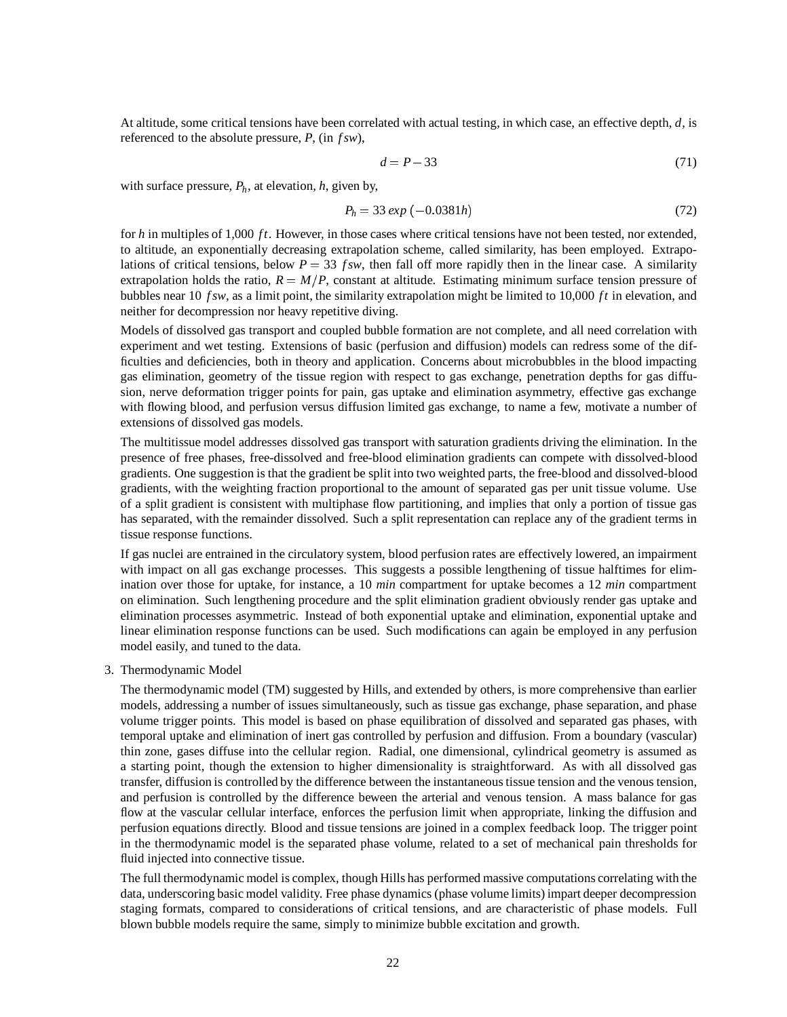At altitude, some critical tensions have been correlated with actual testing, in which case, an effective depth, *d*, is referenced to the absolute pressure, *P*, (in *f sw*),

$$
d = P - 33\tag{71}
$$

with surface pressure,  $P_h$ , at elevation,  $h$ , given by,

$$
P_h = 33 \exp(-0.0381h) \tag{72}
$$

for *h* in multiples of 1,000 *ft*. However, in those cases where critical tensions have not been tested, nor extended, to altitude, an exponentially decreasing extrapolation scheme, called similarity, has been employed. Extrapolations of critical tensions, below  $P = 33$  *fsw*, then fall off more rapidly then in the linear case. A similarity extrapolation holds the ratio,  $R = M/P$ , constant at altitude. Estimating minimum surface tension pressure of bubbles near 10 *f sw*, as a limit point, the similarity extrapolation might be limited to 10,000 *f t* in elevation, and neither for decompression nor heavy repetitive diving.

Models of dissolved gas transport and coupled bubble formation are not complete, and all need correlation with experiment and wet testing. Extensions of basic (perfusion and diffusion) models can redress some of the difficulties and deficiencies, both in theory and application. Concerns about microbubbles in the blood impacting gas elimination, geometry of the tissue region with respect to gas exchange, penetration depths for gas diffusion, nerve deformation trigger points for pain, gas uptake and elimination asymmetry, effective gas exchange with flowing blood, and perfusion versus diffusion limited gas exchange, to name a few, motivate a number of extensions of dissolved gas models.

The multitissue model addresses dissolved gas transport with saturation gradients driving the elimination. In the presence of free phases, free-dissolved and free-blood elimination gradients can compete with dissolved-blood gradients. One suggestion is that the gradient be split into two weighted parts, the free-blood and dissolved-blood gradients, with the weighting fraction proportional to the amount of separated gas per unit tissue volume. Use of a split gradient is consistent with multiphase flow partitioning, and implies that only a portion of tissue gas has separated, with the remainder dissolved. Such a split representation can replace any of the gradient terms in tissue response functions.

If gas nuclei are entrained in the circulatory system, blood perfusion rates are effectively lowered, an impairment with impact on all gas exchange processes. This suggests a possible lengthening of tissue halftimes for elimination over those for uptake, for instance, a 10 *min* compartment for uptake becomes a 12 *min* compartment on elimination. Such lengthening procedure and the split elimination gradient obviously render gas uptake and elimination processes asymmetric. Instead of both exponential uptake and elimination, exponential uptake and linear elimination response functions can be used. Such modifications can again be employed in any perfusion model easily, and tuned to the data.

3. Thermodynamic Model

The thermodynamic model (TM) suggested by Hills, and extended by others, is more comprehensive than earlier models, addressing a number of issues simultaneously, such as tissue gas exchange, phase separation, and phase volume trigger points. This model is based on phase equilibration of dissolved and separated gas phases, with temporal uptake and elimination of inert gas controlled by perfusion and diffusion. From a boundary (vascular) thin zone, gases diffuse into the cellular region. Radial, one dimensional, cylindrical geometry is assumed as a starting point, though the extension to higher dimensionality is straightforward. As with all dissolved gas transfer, diffusion is controlled by the difference between the instantaneous tissue tension and the venous tension, and perfusion is controlled by the difference beween the arterial and venous tension. A mass balance for gas flow at the vascular cellular interface, enforces the perfusion limit when appropriate, linking the diffusion and perfusion equations directly. Blood and tissue tensions are joined in a complex feedback loop. The trigger point in the thermodynamic model is the separated phase volume, related to a set of mechanical pain thresholds for fluid injected into connective tissue.

The full thermodynamic model is complex, though Hills has performed massive computations correlating with the data, underscoring basic model validity. Free phase dynamics (phase volume limits) impart deeper decompression staging formats, compared to considerations of critical tensions, and are characteristic of phase models. Full blown bubble models require the same, simply to minimize bubble excitation and growth.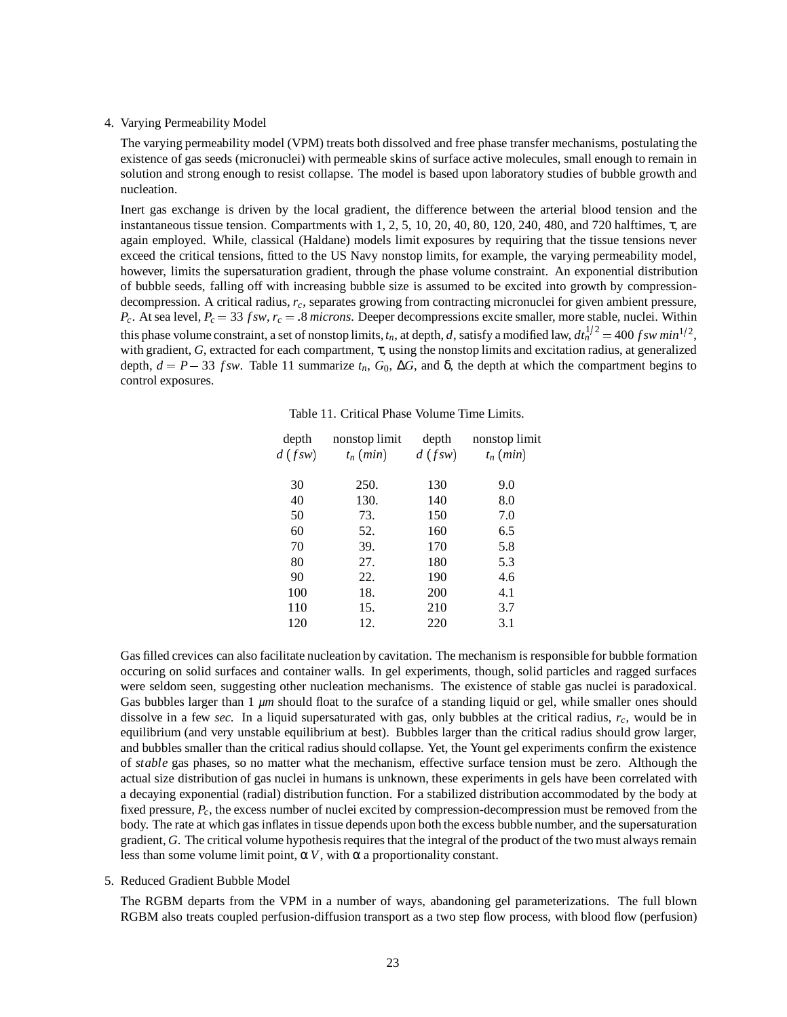## 4. Varying Permeability Model

The varying permeability model (VPM) treats both dissolved and free phase transfer mechanisms, postulating the existence of gas seeds (micronuclei) with permeable skins of surface active molecules, small enough to remain in solution and strong enough to resist collapse. The model is based upon laboratory studies of bubble growth and nucleation.

Inert gas exchange is driven by the local gradient, the difference between the arterial blood tension and the instantaneous tissue tension. Compartments with 1, 2, 5, 10, 20, 40, 80, 120, 240, 480, and 720 halftimes,  $τ$ , are again employed. While, classical (Haldane) models limit exposures by requiring that the tissue tensions never exceed the critical tensions, fitted to the US Navy nonstop limits, for example, the varying permeability model, however, limits the supersaturation gradient, through the phase volume constraint. An exponential distribution of bubble seeds, falling off with increasing bubble size is assumed to be excited into growth by compressiondecompression. A critical radius, *rc*, separates growing from contracting micronuclei for given ambient pressure, *Pc*. At sea level, *Pc* <sup>=</sup> 33 *f sw*, *rc* <sup>=</sup> :8 *microns*. Deeper decompressions excite smaller, more stable, nuclei. Within this phase volume constraint, a set of nonstop limits,  $t_n$ , at depth, *d*, satisfy a modified law,  $dt_n^{1/2} = 400$  *f sw min*<sup>1/2</sup>, with gradient, *G*, extracted for each compartment, τ, using the nonstop limits and excitation radius, at generalized depth,  $d = P - 33$  *fsw*. Table 11 summarize  $t_n$ ,  $G_0$ ,  $\Delta G$ , and  $\delta$ , the depth at which the compartment begins to control exposures.

Table 11. Critical Phase Volume Time Limits.

| depth  | nonstop limit | depth  | nonstop limit |
|--------|---------------|--------|---------------|
| d(fsw) | $t_n$ (min)   | d(fsw) | $t_n$ (min)   |
|        |               |        |               |
| 30     | 250.          | 130    | 9.0           |
| 40     | 130.          | 140    | 8.0           |
| 50     | 73.           | 150    | 7.0           |
| 60     | 52.           | 160    | 6.5           |
| 70     | 39.           | 170    | 5.8           |
| 80     | 27.           | 180    | 5.3           |
| 90     | 22.           | 190    | 4.6           |
| 100    | 18.           | 200    | 4.1           |
| 110    | 15.           | 210    | 3.7           |
| 120    | 12.           | 220    | 3.1           |
|        |               |        |               |

Gas filled crevices can also facilitate nucleation by cavitation. The mechanism is responsible for bubble formation occuring on solid surfaces and container walls. In gel experiments, though, solid particles and ragged surfaces were seldom seen, suggesting other nucleation mechanisms. The existence of stable gas nuclei is paradoxical. Gas bubbles larger than 1  $\mu$ m should float to the surafce of a standing liquid or gel, while smaller ones should dissolve in a few *sec*. In a liquid supersaturated with gas, only bubbles at the critical radius, *rc*, would be in equilibrium (and very unstable equilibrium at best). Bubbles larger than the critical radius should grow larger, and bubbles smaller than the critical radius should collapse. Yet, the Yount gel experiments confirm the existence of *stable* gas phases, so no matter what the mechanism, effective surface tension must be zero. Although the actual size distribution of gas nuclei in humans is unknown, these experiments in gels have been correlated with a decaying exponential (radial) distribution function. For a stabilized distribution accommodated by the body at fixed pressure, *Pc*, the excess number of nuclei excited by compression-decompression must be removed from the body. The rate at which gas inflates in tissue depends upon both the excess bubble number, and the supersaturation gradient, *G*. The critical volume hypothesis requires that the integral of the product of the two must always remain less than some volume limit point,  $\alpha V$ , with  $\alpha$  a proportionality constant.

# 5. Reduced Gradient Bubble Model

The RGBM departs from the VPM in a number of ways, abandoning gel parameterizations. The full blown RGBM also treats coupled perfusion-diffusion transport as a two step flow process, with blood flow (perfusion)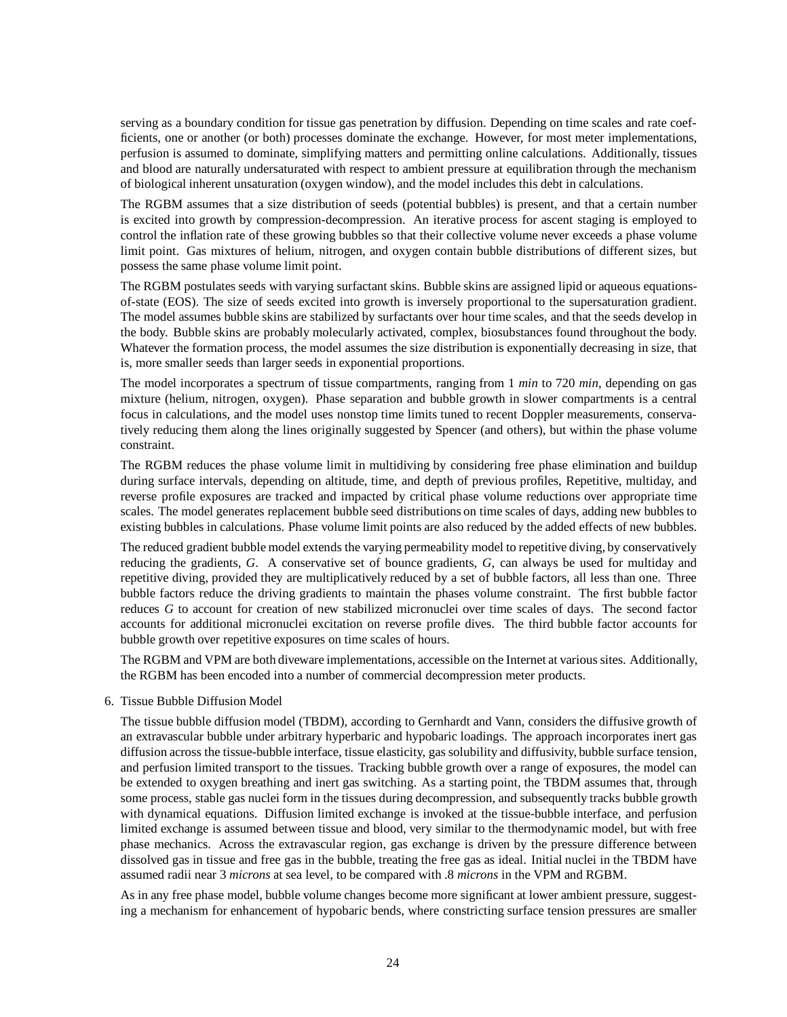serving as a boundary condition for tissue gas penetration by diffusion. Depending on time scales and rate coefficients, one or another (or both) processes dominate the exchange. However, for most meter implementations, perfusion is assumed to dominate, simplifying matters and permitting online calculations. Additionally, tissues and blood are naturally undersaturated with respect to ambient pressure at equilibration through the mechanism of biological inherent unsaturation (oxygen window), and the model includes this debt in calculations.

The RGBM assumes that a size distribution of seeds (potential bubbles) is present, and that a certain number is excited into growth by compression-decompression. An iterative process for ascent staging is employed to control the inflation rate of these growing bubbles so that their collective volume never exceeds a phase volume limit point. Gas mixtures of helium, nitrogen, and oxygen contain bubble distributions of different sizes, but possess the same phase volume limit point.

The RGBM postulates seeds with varying surfactant skins. Bubble skins are assigned lipid or aqueous equationsof-state (EOS). The size of seeds excited into growth is inversely proportional to the supersaturation gradient. The model assumes bubble skins are stabilized by surfactants over hour time scales, and that the seeds develop in the body. Bubble skins are probably molecularly activated, complex, biosubstances found throughout the body. Whatever the formation process, the model assumes the size distribution is exponentially decreasing in size, that is, more smaller seeds than larger seeds in exponential proportions.

The model incorporates a spectrum of tissue compartments, ranging from 1 *min* to 720 *min*, depending on gas mixture (helium, nitrogen, oxygen). Phase separation and bubble growth in slower compartments is a central focus in calculations, and the model uses nonstop time limits tuned to recent Doppler measurements, conservatively reducing them along the lines originally suggested by Spencer (and others), but within the phase volume constraint.

The RGBM reduces the phase volume limit in multidiving by considering free phase elimination and buildup during surface intervals, depending on altitude, time, and depth of previous profiles, Repetitive, multiday, and reverse profile exposures are tracked and impacted by critical phase volume reductions over appropriate time scales. The model generates replacement bubble seed distributions on time scales of days, adding new bubbles to existing bubbles in calculations. Phase volume limit points are also reduced by the added effects of new bubbles.

The reduced gradient bubble model extends the varying permeability model to repetitive diving, by conservatively reducing the gradients, *G*. A conservative set of bounce gradients, *G*, can always be used for multiday and repetitive diving, provided they are multiplicatively reduced by a set of bubble factors, all less than one. Three bubble factors reduce the driving gradients to maintain the phases volume constraint. The first bubble factor reduces *G* to account for creation of new stabilized micronuclei over time scales of days. The second factor accounts for additional micronuclei excitation on reverse profile dives. The third bubble factor accounts for bubble growth over repetitive exposures on time scales of hours.

The RGBM and VPM are both diveware implementations, accessible on the Internet at various sites. Additionally, the RGBM has been encoded into a number of commercial decompression meter products.

6. Tissue Bubble Diffusion Model

The tissue bubble diffusion model (TBDM), according to Gernhardt and Vann, considers the diffusive growth of an extravascular bubble under arbitrary hyperbaric and hypobaric loadings. The approach incorporates inert gas diffusion across the tissue-bubble interface, tissue elasticity, gas solubility and diffusivity, bubble surface tension, and perfusion limited transport to the tissues. Tracking bubble growth over a range of exposures, the model can be extended to oxygen breathing and inert gas switching. As a starting point, the TBDM assumes that, through some process, stable gas nuclei form in the tissues during decompression, and subsequently tracks bubble growth with dynamical equations. Diffusion limited exchange is invoked at the tissue-bubble interface, and perfusion limited exchange is assumed between tissue and blood, very similar to the thermodynamic model, but with free phase mechanics. Across the extravascular region, gas exchange is driven by the pressure difference between dissolved gas in tissue and free gas in the bubble, treating the free gas as ideal. Initial nuclei in the TBDM have assumed radii near 3 *microns* at sea level, to be compared with .8 *microns* in the VPM and RGBM.

As in any free phase model, bubble volume changes become more significant at lower ambient pressure, suggesting a mechanism for enhancement of hypobaric bends, where constricting surface tension pressures are smaller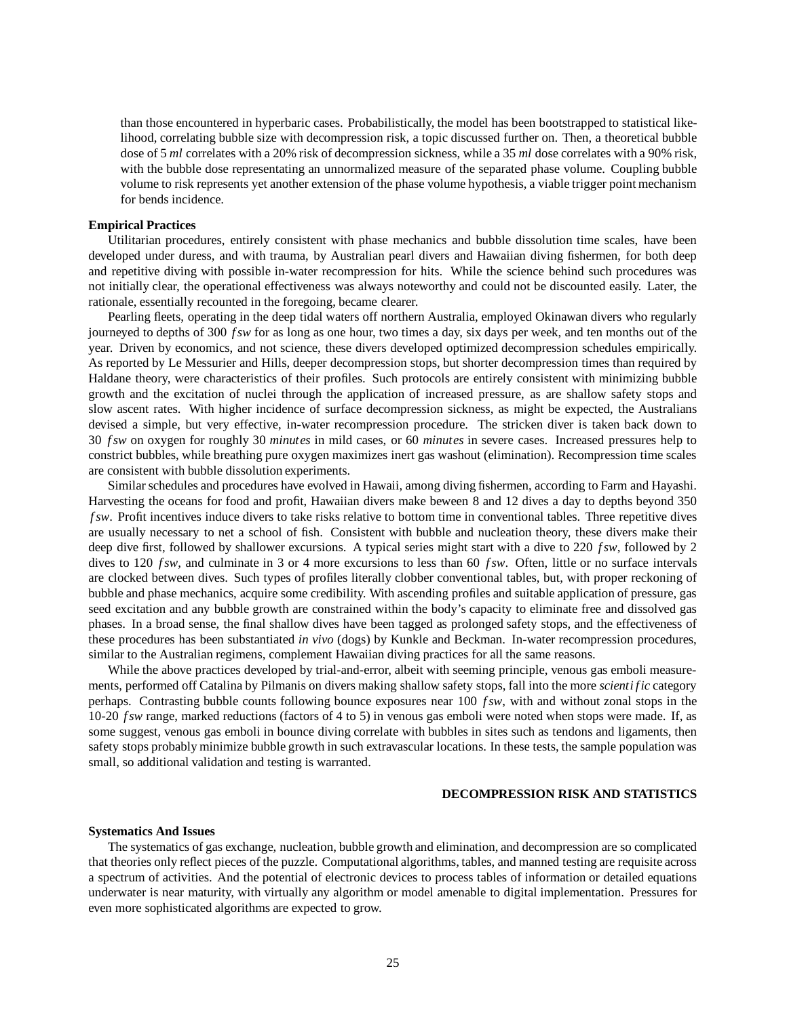than those encountered in hyperbaric cases. Probabilistically, the model has been bootstrapped to statistical likelihood, correlating bubble size with decompression risk, a topic discussed further on. Then, a theoretical bubble dose of 5 *ml* correlates with a 20% risk of decompression sickness, while a 35 *ml* dose correlates with a 90% risk, with the bubble dose representating an unnormalized measure of the separated phase volume. Coupling bubble volume to risk represents yet another extension of the phase volume hypothesis, a viable trigger point mechanism for bends incidence.

### **Empirical Practices**

Utilitarian procedures, entirely consistent with phase mechanics and bubble dissolution time scales, have been developed under duress, and with trauma, by Australian pearl divers and Hawaiian diving fishermen, for both deep and repetitive diving with possible in-water recompression for hits. While the science behind such procedures was not initially clear, the operational effectiveness was always noteworthy and could not be discounted easily. Later, the rationale, essentially recounted in the foregoing, became clearer.

Pearling fleets, operating in the deep tidal waters off northern Australia, employed Okinawan divers who regularly journeyed to depths of 300 *f sw* for as long as one hour, two times a day, six days per week, and ten months out of the year. Driven by economics, and not science, these divers developed optimized decompression schedules empirically. As reported by Le Messurier and Hills, deeper decompression stops, but shorter decompression times than required by Haldane theory, were characteristics of their profiles. Such protocols are entirely consistent with minimizing bubble growth and the excitation of nuclei through the application of increased pressure, as are shallow safety stops and slow ascent rates. With higher incidence of surface decompression sickness, as might be expected, the Australians devised a simple, but very effective, in-water recompression procedure. The stricken diver is taken back down to 30 *f sw* on oxygen for roughly 30 *minutes* in mild cases, or 60 *minutes* in severe cases. Increased pressures help to constrict bubbles, while breathing pure oxygen maximizes inert gas washout (elimination). Recompression time scales are consistent with bubble dissolution experiments.

Similar schedules and procedures have evolved in Hawaii, among diving fishermen, according to Farm and Hayashi. Harvesting the oceans for food and profit, Hawaiian divers make beween 8 and 12 dives a day to depths beyond 350 *f sw*. Profit incentives induce divers to take risks relative to bottom time in conventional tables. Three repetitive dives are usually necessary to net a school of fish. Consistent with bubble and nucleation theory, these divers make their deep dive first, followed by shallower excursions. A typical series might start with a dive to 220 *f sw*, followed by 2 dives to 120 *f sw*, and culminate in 3 or 4 more excursions to less than 60 *f sw*. Often, little or no surface intervals are clocked between dives. Such types of profiles literally clobber conventional tables, but, with proper reckoning of bubble and phase mechanics, acquire some credibility. With ascending profiles and suitable application of pressure, gas seed excitation and any bubble growth are constrained within the body's capacity to eliminate free and dissolved gas phases. In a broad sense, the final shallow dives have been tagged as prolonged safety stops, and the effectiveness of these procedures has been substantiated *in vivo* (dogs) by Kunkle and Beckman. In-water recompression procedures, similar to the Australian regimens, complement Hawaiian diving practices for all the same reasons.

While the above practices developed by trial-and-error, albeit with seeming principle, venous gas emboli measurements, performed off Catalina by Pilmanis on divers making shallow safety stops, fall into the more *scienti f ic* category perhaps. Contrasting bubble counts following bounce exposures near 100 *f sw*, with and without zonal stops in the 10-20 *f sw* range, marked reductions (factors of 4 to 5) in venous gas emboli were noted when stops were made. If, as some suggest, venous gas emboli in bounce diving correlate with bubbles in sites such as tendons and ligaments, then safety stops probably minimize bubble growth in such extravascular locations. In these tests, the sample population was small, so additional validation and testing is warranted.

#### **DECOMPRESSION RISK AND STATISTICS**

# **Systematics And Issues**

The systematics of gas exchange, nucleation, bubble growth and elimination, and decompression are so complicated that theories only reflect pieces of the puzzle. Computational algorithms, tables, and manned testing are requisite across a spectrum of activities. And the potential of electronic devices to process tables of information or detailed equations underwater is near maturity, with virtually any algorithm or model amenable to digital implementation. Pressures for even more sophisticated algorithms are expected to grow.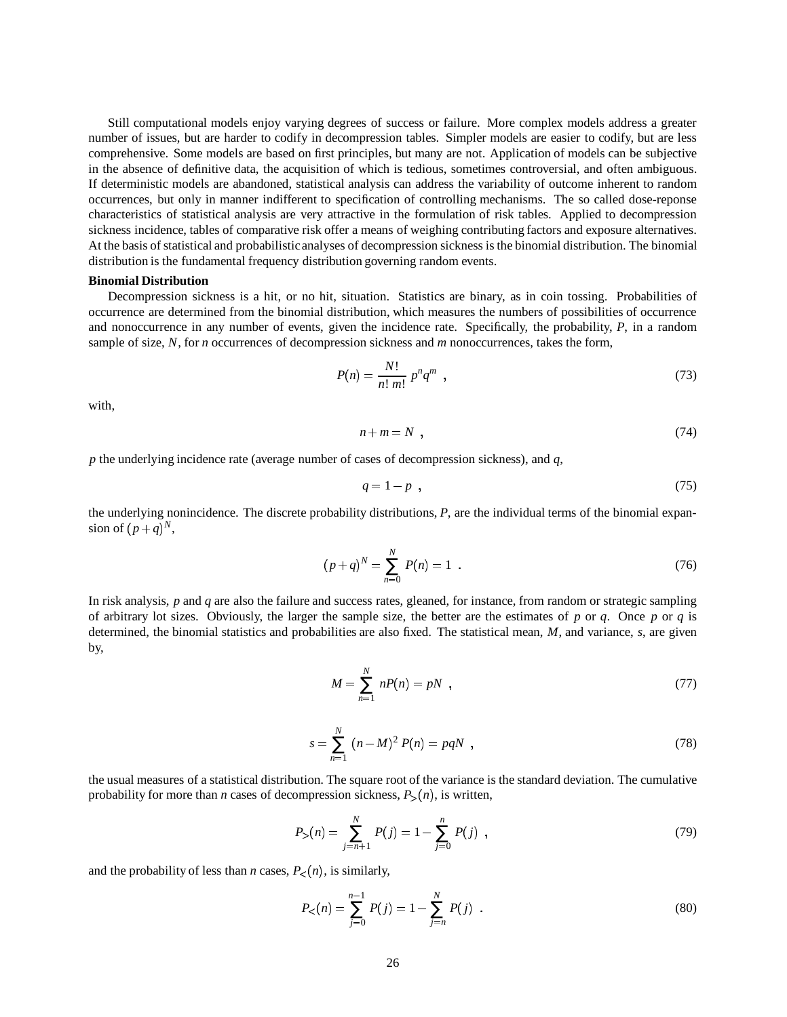Still computational models enjoy varying degrees of success or failure. More complex models address a greater number of issues, but are harder to codify in decompression tables. Simpler models are easier to codify, but are less comprehensive. Some models are based on first principles, but many are not. Application of models can be subjective in the absence of definitive data, the acquisition of which is tedious, sometimes controversial, and often ambiguous. If deterministic models are abandoned, statistical analysis can address the variability of outcome inherent to random occurrences, but only in manner indifferent to specification of controlling mechanisms. The so called dose-reponse characteristics of statistical analysis are very attractive in the formulation of risk tables. Applied to decompression sickness incidence, tables of comparative risk offer a means of weighing contributing factors and exposure alternatives. At the basis of statistical and probabilisticanalyses of decompression sickness is the binomial distribution. The binomial distribution is the fundamental frequency distribution governing random events.

### **Binomial Distribution**

Decompression sickness is a hit, or no hit, situation. Statistics are binary, as in coin tossing. Probabilities of occurrence are determined from the binomial distribution, which measures the numbers of possibilities of occurrence and nonoccurrence in any number of events, given the incidence rate. Specifically, the probability, *P*, in a random sample of size, N, for *n* occurrences of decompression sickness and *m* nonoccurrences, takes the form,

$$
P(n) = \frac{N!}{n! \, m!} \, p^n q^m \tag{73}
$$

with,

$$
n+m=N \t{3}
$$

*p* the underlying incidence rate (average number of cases of decompression sickness), and *q*,

$$
q = 1 - p \tag{75}
$$

the underlying nonincidence. The discrete probability distributions, *P*, are the individual terms of the binomial expansion of  $(p+q)^N$ ,

$$
(p+q)^N = \sum_{n=0}^{N} P(n) = 1
$$
 (76)

In risk analysis, p and q are also the failure and success rates, gleaned, for instance, from random or strategic sampling of arbitrary lot sizes. Obviously, the larger the sample size, the better are the estimates of *p* or *q*. Once *p* or *q* is determined, the binomial statistics and probabilities are also fixed. The statistical mean, *M*, and variance, *s*, are given by,

$$
M = \sum_{n=1}^{N} nP(n) = pN \tag{77}
$$

$$
s = \sum_{n=1}^{N} (n-M)^2 P(n) = pqN , \qquad (78)
$$

the usual measures of a statistical distribution. The square root of the variance is the standard deviation. The cumulative probability for more than *n* cases of decompression sickness,  $P_>(n)$ , is written,

$$
P_{>}(n) = \sum_{j=n+1}^{N} P(j) = 1 - \sum_{j=0}^{n} P(j) , \qquad (79)
$$

and the probability of less than *n* cases,  $P_<(n)$ , is similarly,

$$
P_{<}(n) = \sum_{j=0}^{n-1} P(j) = 1 - \sum_{j=n}^{N} P(j) \quad . \tag{80}
$$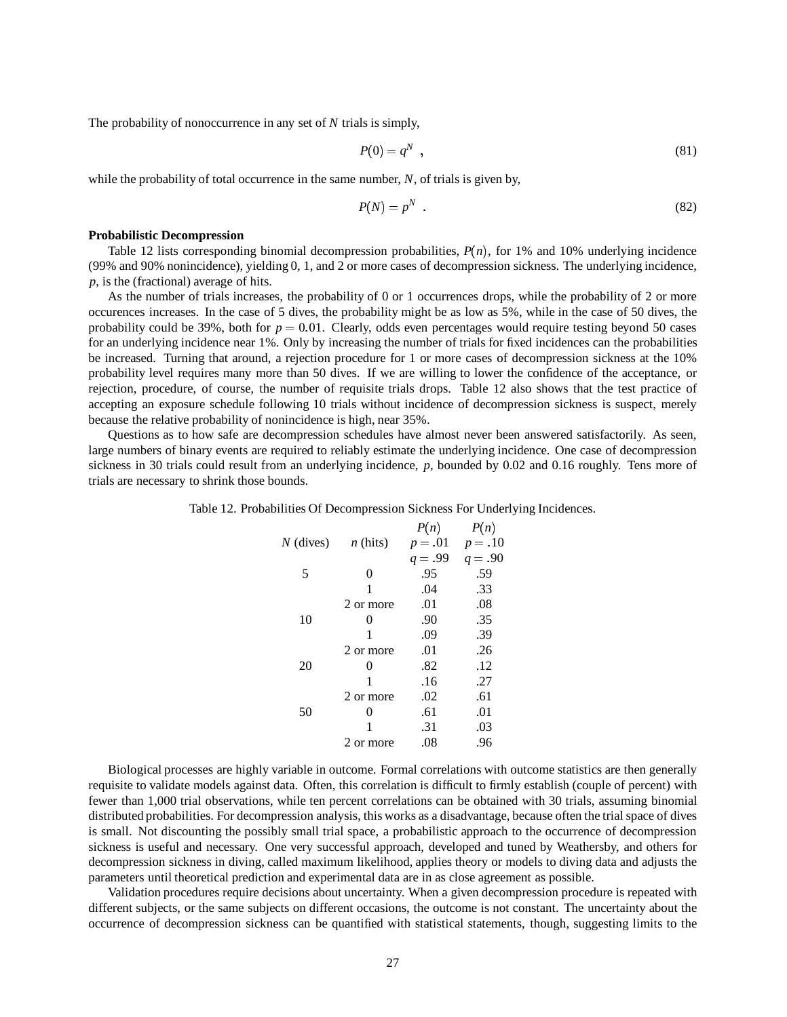The probability of nonoccurrence in any set of *N* trials is simply,

$$
P(0) = q^N \tag{81}
$$

while the probability of total occurrence in the same number,  $N$ , of trials is given by,

$$
P(N) = p^N \tag{82}
$$

#### **Probabilistic Decompression**

Table 12 lists corresponding binomial decompression probabilities, *P*(*n*), for 1% and 10% underlying incidence (99% and 90% nonincidence), yielding 0, 1, and 2 or more cases of decompression sickness. The underlying incidence, *p*, is the (fractional) average of hits.

As the number of trials increases, the probability of 0 or 1 occurrences drops, while the probability of 2 or more occurences increases. In the case of 5 dives, the probability might be as low as 5%, while in the case of 50 dives, the probability could be 39%, both for  $p = 0.01$ . Clearly, odds even percentages would require testing beyond 50 cases for an underlying incidence near 1%. Only by increasing the number of trials for fixed incidences can the probabilities be increased. Turning that around, a rejection procedure for 1 or more cases of decompression sickness at the 10% probability level requires many more than 50 dives. If we are willing to lower the confidence of the acceptance, or rejection, procedure, of course, the number of requisite trials drops. Table 12 also shows that the test practice of accepting an exposure schedule following 10 trials without incidence of decompression sickness is suspect, merely because the relative probability of nonincidence is high, near 35%.

Questions as to how safe are decompression schedules have almost never been answered satisfactorily. As seen, large numbers of binary events are required to reliably estimate the underlying incidence. One case of decompression sickness in 30 trials could result from an underlying incidence, *p*, bounded by 0.02 and 0.16 roughly. Tens more of trials are necessary to shrink those bounds.

| $N$ (dives) | $n$ (hits) | P(n)<br>$p=.01$  | P(n)<br>$p = .10$ |
|-------------|------------|------------------|-------------------|
| 5           | 0          | $q = .99$<br>.95 | $q = .90$<br>.59  |
|             | 1          | .04              | .33               |
|             | 2 or more  | .01              | .08               |
| 10          | 0          | .90              | .35               |
|             | 1          | .09              | .39               |
|             | 2 or more  | .01              | .26               |
| 20          | 0          | .82              | .12               |
|             |            | .16              | .27               |
|             | 2 or more  | .02              | .61               |
| 50          | 0          | .61              | .01               |
|             | 1          | .31              | .03               |
|             | 2 or more  | .08              | .96               |

Table 12. Probabilities Of Decompression Sickness For Underlying Incidences.

Biological processes are highly variable in outcome. Formal correlations with outcome statistics are then generally requisite to validate models against data. Often, this correlation is difficult to firmly establish (couple of percent) with fewer than 1,000 trial observations, while ten percent correlations can be obtained with 30 trials, assuming binomial distributed probabilities. For decompression analysis, this works as a disadvantage, because often the trial space of dives is small. Not discounting the possibly small trial space, a probabilistic approach to the occurrence of decompression sickness is useful and necessary. One very successful approach, developed and tuned by Weathersby, and others for decompression sickness in diving, called maximum likelihood, applies theory or models to diving data and adjusts the parameters until theoretical prediction and experimental data are in as close agreement as possible.

Validation procedures require decisions about uncertainty. When a given decompression procedure is repeated with different subjects, or the same subjects on different occasions, the outcome is not constant. The uncertainty about the occurrence of decompression sickness can be quantified with statistical statements, though, suggesting limits to the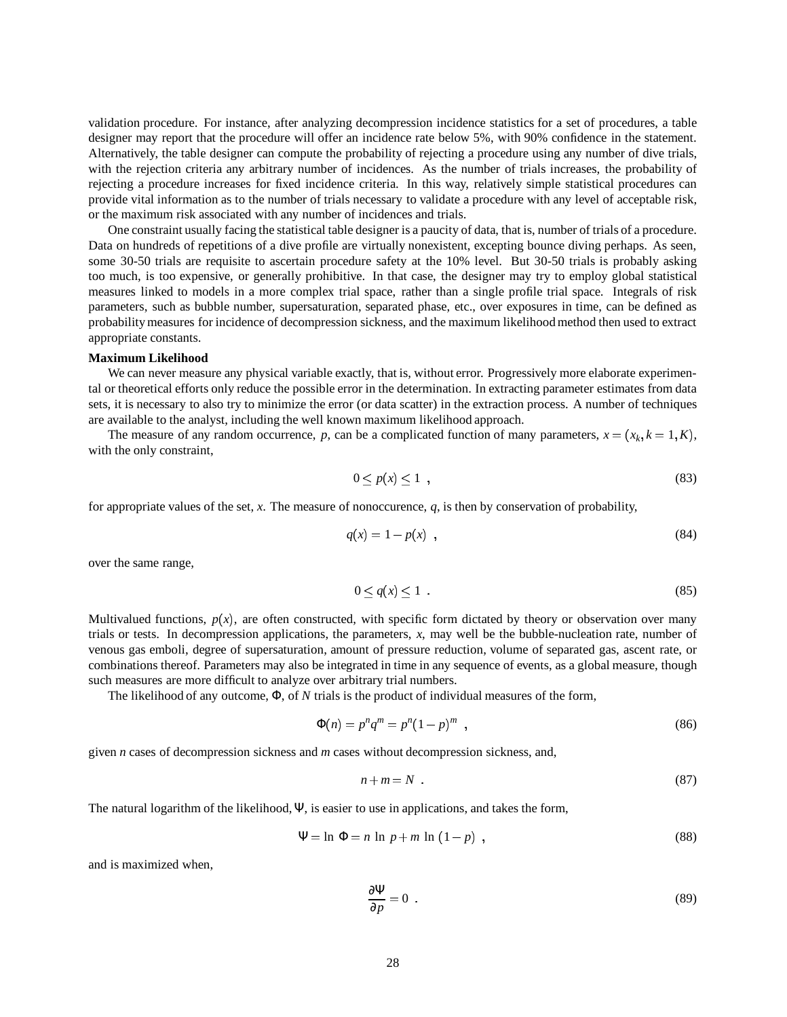validation procedure. For instance, after analyzing decompression incidence statistics for a set of procedures, a table designer may report that the procedure will offer an incidence rate below 5%, with 90% confidence in the statement. Alternatively, the table designer can compute the probability of rejecting a procedure using any number of dive trials, with the rejection criteria any arbitrary number of incidences. As the number of trials increases, the probability of rejecting a procedure increases for fixed incidence criteria. In this way, relatively simple statistical procedures can provide vital information as to the number of trials necessary to validate a procedure with any level of acceptable risk, or the maximum risk associated with any number of incidences and trials.

One constraint usually facing the statistical table designer is a paucity of data, that is, number of trials of a procedure. Data on hundreds of repetitions of a dive profile are virtually nonexistent, excepting bounce diving perhaps. As seen, some 30-50 trials are requisite to ascertain procedure safety at the 10% level. But 30-50 trials is probably asking too much, is too expensive, or generally prohibitive. In that case, the designer may try to employ global statistical measures linked to models in a more complex trial space, rather than a single profile trial space. Integrals of risk parameters, such as bubble number, supersaturation, separated phase, etc., over exposures in time, can be defined as probability measures for incidence of decompression sickness, and the maximum likelihood method then used to extract appropriate constants.

#### **Maximum Likelihood**

We can never measure any physical variable exactly, that is, without error. Progressively more elaborate experimental or theoretical efforts only reduce the possible error in the determination. In extracting parameter estimates from data sets, it is necessary to also try to minimize the error (or data scatter) in the extraction process. A number of techniques are available to the analyst, including the well known maximum likelihood approach.

The measure of any random occurrence, p, can be a complicated function of many parameters,  $x = (x_k, k = 1, K)$ , with the only constraint,

$$
0 \le p(x) \le 1 \tag{83}
$$

for appropriate values of the set, *x*. The measure of nonoccurence, *q*, is then by conservation of probability,

$$
q(x) = 1 - p(x) \tag{84}
$$

over the same range,

$$
0 \le q(x) \le 1 \tag{85}
$$

Multivalued functions,  $p(x)$ , are often constructed, with specific form dictated by theory or observation over many trials or tests. In decompression applications, the parameters, *x*, may well be the bubble-nucleation rate, number of venous gas emboli, degree of supersaturation, amount of pressure reduction, volume of separated gas, ascent rate, or combinations thereof. Parameters may also be integrated in time in any sequence of events, as a global measure, though such measures are more difficult to analyze over arbitrary trial numbers.

The likelihood of any outcome, Φ, of *N* trials is the product of individual measures of the form,

$$
\Phi(n) = p^n q^m = p^n (1 - p)^m \tag{86}
$$

given *n* cases of decompression sickness and *m* cases without decompression sickness, and,

$$
n+m=N \tag{87}
$$

The natural logarithm of the likelihood,Ψ, is easier to use in applications, and takes the form,

$$
\Psi = \ln \Phi = n \ln p + m \ln (1 - p) \tag{88}
$$

and is maximized when,

$$
\frac{\partial \Psi}{\partial p} = 0 \tag{89}
$$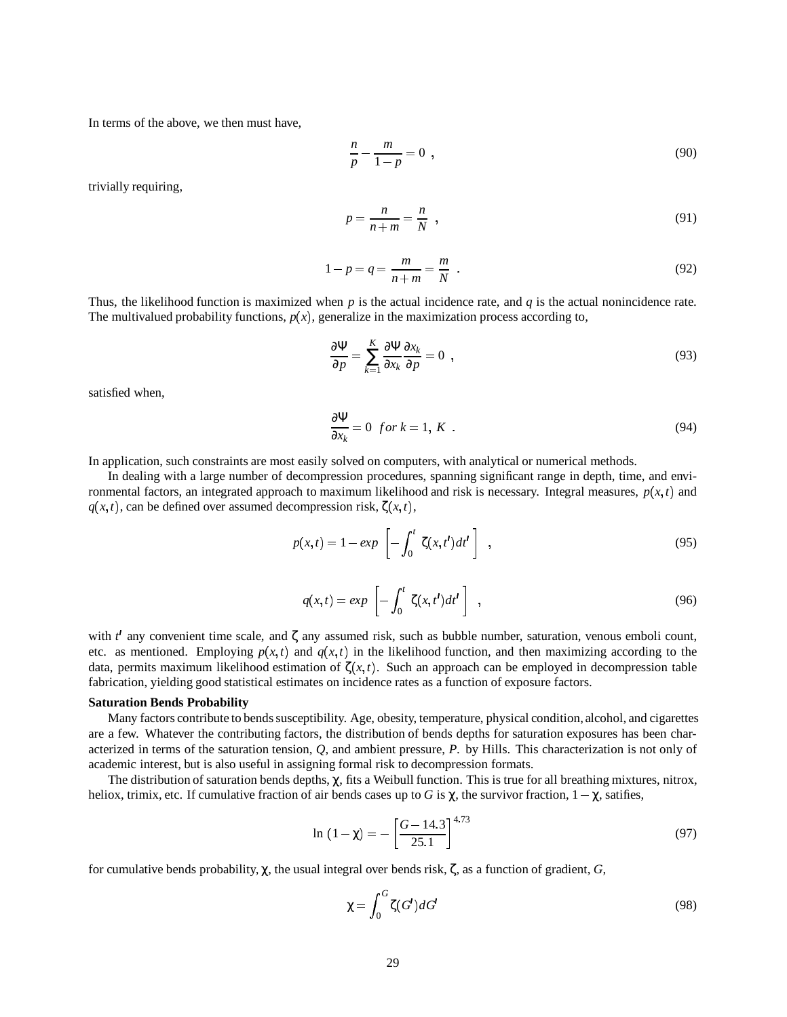In terms of the above, we then must have,

$$
\frac{n}{p} - \frac{m}{1 - p} = 0 \tag{90}
$$

trivially requiring,

$$
p = \frac{n}{n+m} = \frac{n}{N} \tag{91}
$$

$$
1 - p = q = \frac{m}{n + m} = \frac{m}{N} \tag{92}
$$

Thus, the likelihood function is maximized when *p* is the actual incidence rate, and *q* is the actual nonincidence rate. The multivalued probability functions,  $p(x)$ , generalize in the maximization process according to,

$$
\frac{\partial \Psi}{\partial p} = \sum_{k=1}^{K} \frac{\partial \Psi}{\partial x_k} \frac{\partial x_k}{\partial p} = 0 \quad , \tag{93}
$$

satisfied when,

$$
\frac{\partial \Psi}{\partial x_k} = 0 \text{ for } k = 1, K \tag{94}
$$

In application, such constraints are most easily solved on computers, with analytical or numerical methods.

In dealing with a large number of decompression procedures, spanning significant range in depth, time, and environmental factors, an integrated approach to maximum likelihood and risk is necessary. Integral measures,  $p(x, t)$  and  $q(x, t)$ , can be defined over assumed decompression risk,  $\zeta(x, t)$ ,

$$
p(x,t) = 1 - exp\left[-\int_0^t \zeta(x,t')dt'\right],
$$
\n(95)

$$
q(x,t) = exp\left[-\int_0^t \zeta(x,t')dt'\right],
$$
\n(96)

with  $t'$  any convenient time scale, and  $\zeta$  any assumed risk, such as bubble number, saturation, venous emboli count, etc. as mentioned. Employing  $p(x,t)$  and  $q(x,t)$  in the likelihood function, and then maximizing according to the data, permits maximum likelihood estimation of  $\zeta(x,t)$ . Such an approach can be employed in decompression table fabrication, yielding good statistical estimates on incidence rates as a function of exposure factors.

#### **Saturation Bends Probability**

Many factors contribute to bends susceptibility. Age, obesity, temperature, physical condition, alcohol, and cigarettes are a few. Whatever the contributing factors, the distribution of bends depths for saturation exposures has been characterized in terms of the saturation tension, *Q*, and ambient pressure, *P*. by Hills. This characterization is not only of academic interest, but is also useful in assigning formal risk to decompression formats.

The distribution of saturation bends depths,  $\chi$ , fits a Weibull function. This is true for all breathing mixtures, nitrox, heliox, trimix, etc. If cumulative fraction of air bends cases up to *G* is  $\chi$ , the survivor fraction,  $1 - \chi$ , satifies,

$$
\ln\left(1-\chi\right) = -\left[\frac{G-14.3}{25.1}\right]^{4.73} \tag{97}
$$

for cumulative bends probability, χ, the usual integral over bends risk, ζ, as a function of gradient, *G*,

$$
\chi = \int_0^G \zeta(G') dG' \tag{98}
$$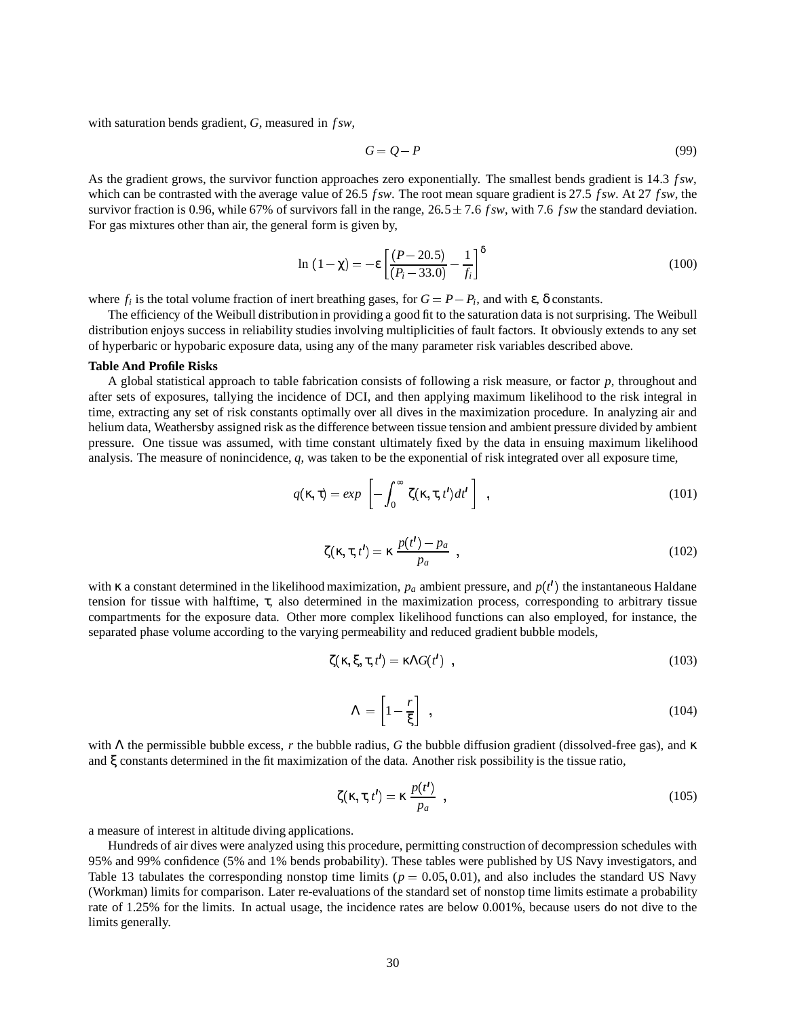with saturation bends gradient, *G*, measured in *f sw*,

$$
G = Q - P \tag{99}
$$

As the gradient grows, the survivor function approaches zero exponentially. The smallest bends gradient is 14.3 *f sw*, which can be contrasted with the average value of 26.5 *f sw*. The root mean square gradient is 27.5 *f sw*. At 27 *f sw*, the survivor fraction is 0.96, while 67% of survivors fall in the range,  $26.5 \pm 7.6$  *f sw*, with 7.6 *f sw* the standard deviation. For gas mixtures other than air, the general form is given by,

$$
\ln(1-\chi) = -\varepsilon \left[ \frac{(P-20.5)}{(P_i-33.0)} - \frac{1}{f_i} \right]^{\delta} \tag{100}
$$

where  $f_i$  is the total volume fraction of inert breathing gases, for  $G = P - P_i$ , and with  $\varepsilon$ ,  $\delta$  constants.

The efficiency of the Weibull distribution in providing a good fit to the saturation data is not surprising. The Weibull distribution enjoys success in reliability studies involving multiplicities of fault factors. It obviously extends to any set of hyperbaric or hypobaric exposure data, using any of the many parameter risk variables described above.

#### **Table And Profile Risks**

A global statistical approach to table fabrication consists of following a risk measure, or factor *p*, throughout and after sets of exposures, tallying the incidence of DCI, and then applying maximum likelihood to the risk integral in time, extracting any set of risk constants optimally over all dives in the maximization procedure. In analyzing air and helium data, Weathersby assigned risk as the difference between tissue tension and ambient pressure divided by ambient pressure. One tissue was assumed, with time constant ultimately fixed by the data in ensuing maximum likelihood analysis. The measure of nonincidence, *q*, was taken to be the exponential of risk integrated over all exposure time,

$$
q(\kappa, \tau) = exp\left[-\int_0^\infty \zeta(\kappa, \tau, t')dt'\right],
$$
\n(101)

$$
\zeta(\kappa,\tau,t') = \kappa \, \frac{p(t') - p_a}{p_a} \tag{102}
$$

with  $\kappa$  a constant determined in the likelihood maximization,  $p_a$  ambient pressure, and  $p(t')$  the instantaneous Haldane tension for tissue with halftime, τ, also determined in the maximization process, corresponding to arbitrary tissue compartments for the exposure data. Other more complex likelihood functions can also employed, for instance, the separated phase volume according to the varying permeability and reduced gradient bubble models,

$$
\zeta(\kappa,\xi,\tau,t') = \kappa \Lambda G(t') \quad , \tag{103}
$$

$$
\Lambda = \left[1 - \frac{r}{\xi}\right] \tag{104}
$$

with Λ the permissible bubble excess, *r* the bubble radius, *G* the bubble diffusion gradient (dissolved-free gas), and κ and ξ constants determined in the fit maximization of the data. Another risk possibility is the tissue ratio,

$$
\zeta(\kappa, \tau, t') = \kappa \, \frac{p(t')}{p_a} \quad , \tag{105}
$$

a measure of interest in altitude diving applications.

Hundreds of air dives were analyzed using this procedure, permitting construction of decompression schedules with 95% and 99% confidence (5% and 1% bends probability). These tables were published by US Navy investigators, and Table 13 tabulates the corresponding nonstop time limits ( $p = 0.05, 0.01$ ), and also includes the standard US Navy (Workman) limits for comparison. Later re-evaluations of the standard set of nonstop time limits estimate a probability rate of 1.25% for the limits. In actual usage, the incidence rates are below 0.001%, because users do not dive to the limits generally.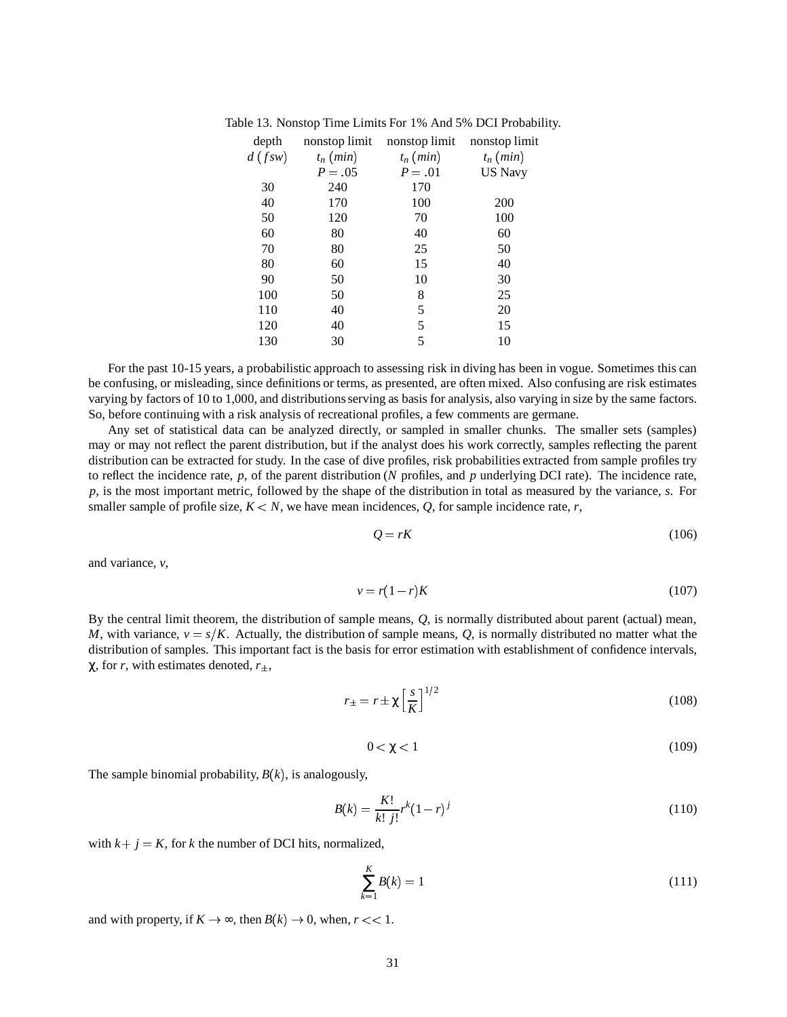| nonstop limit | nonstop limit | nonstop limit  |
|---------------|---------------|----------------|
| $t_n$ (min)   | $t_n$ (min)   | $t_n$ (min)    |
| $P = .05$     | $P = .01$     | <b>US Navy</b> |
| 240           | 170           |                |
| 170           | 100           | 200            |
| 120           | 70            | 100            |
| 80            | 40            | 60             |
| 80            | 25            | 50             |
| 60            | 15            | 40             |
| 50            | 10            | 30             |
| 50            | 8             | 25             |
| 40            | 5             | 20             |
| 40            | 5             | 15             |
| 30            | 5             | 10             |
|               |               |                |

Table 13. Nonstop Time Limits For 1% And 5% DCI Probability.

For the past 10-15 years, a probabilistic approach to assessing risk in diving has been in vogue. Sometimes this can be confusing, or misleading, since definitions or terms, as presented, are often mixed. Also confusing are risk estimates varying by factors of 10 to 1,000, and distributions serving as basis for analysis, also varying in size by the same factors. So, before continuing with a risk analysis of recreational profiles, a few comments are germane.

Any set of statistical data can be analyzed directly, or sampled in smaller chunks. The smaller sets (samples) may or may not reflect the parent distribution, but if the analyst does his work correctly, samples reflecting the parent distribution can be extracted for study. In the case of dive profiles, risk probabilities extracted from sample profiles try to reflect the incidence rate,  $p$ , of the parent distribution ( $N$  profiles, and  $p$  underlying DCI rate). The incidence rate, *p*, is the most important metric, followed by the shape of the distribution in total as measured by the variance, *s*. For smaller sample of profile size,  $K < N$ , we have mean incidences,  $Q$ , for sample incidence rate,  $r$ ,

$$
Q = rK \tag{106}
$$

and variance, *v*,

$$
v = r(1 - r)K\tag{107}
$$

By the central limit theorem, the distribution of sample means, *Q*, is normally distributed about parent (actual) mean, *M*, with variance,  $v = s/K$ . Actually, the distribution of sample means, *Q*, is normally distributed no matter what the distribution of samples. This important fact is the basis for error estimation with establishment of confidence intervals,  $\chi$ , for *r*, with estimates denoted,  $r_{\pm}$ ,

$$
r_{\pm} = r \pm \chi \left[ \frac{s}{K} \right]^{1/2} \tag{108}
$$

$$
0 < \chi < 1\tag{109}
$$

The sample binomial probability,  $B(k)$ , is analogously,

$$
B(k) = \frac{K!}{k! \; j!} r^k (1-r)^j \tag{110}
$$

with  $k + j = K$ , for *k* the number of DCI hits, normalized,

$$
\sum_{k=1}^{K} B(k) = 1 \tag{111}
$$

and with property, if  $K \to \infty$ , then  $B(k) \to 0$ , when,  $r \ll 1$ .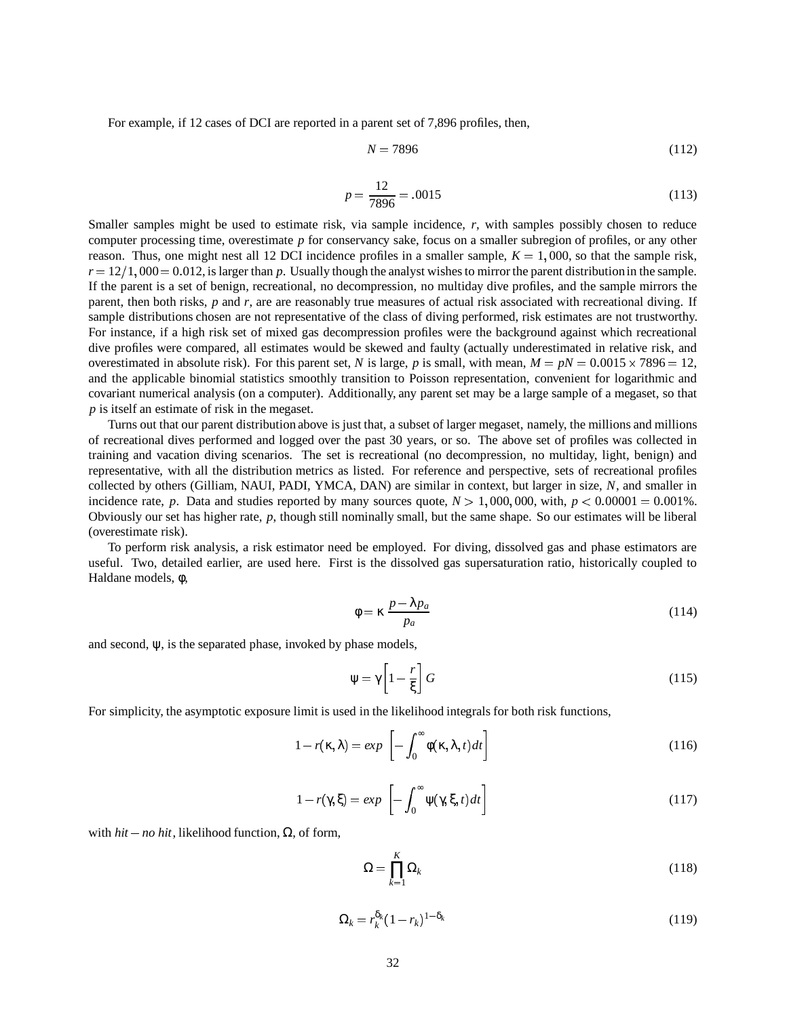For example, if 12 cases of DCI are reported in a parent set of 7,896 profiles, then,

$$
N = 7896\tag{112}
$$

$$
p = \frac{12}{7896} = .0015\tag{113}
$$

Smaller samples might be used to estimate risk, via sample incidence, *r*, with samples possibly chosen to reduce computer processing time, overestimate *p* for conservancy sake, focus on a smaller subregion of profiles, or any other reason. Thus, one might nest all 12 DCI incidence profiles in a smaller sample,  $K = 1,000$ , so that the sample risk,  $r = 12/1,000 = 0.012$ , is larger than p. Usually though the analyst wishes to mirror the parent distribution in the sample. If the parent is a set of benign, recreational, no decompression, no multiday dive profiles, and the sample mirrors the parent, then both risks, *p* and *r*, are are reasonably true measures of actual risk associated with recreational diving. If sample distributions chosen are not representative of the class of diving performed, risk estimates are not trustworthy. For instance, if a high risk set of mixed gas decompression profiles were the background against which recreational dive profiles were compared, all estimates would be skewed and faulty (actually underestimated in relative risk, and overestimated in absolute risk). For this parent set, *N* is large, *p* is small, with mean,  $M = pN = 0.0015 \times 7896 = 12$ , and the applicable binomial statistics smoothly transition to Poisson representation, convenient for logarithmic and covariant numerical analysis (on a computer). Additionally, any parent set may be a large sample of a megaset, so that *p* is itself an estimate of risk in the megaset.

Turns out that our parent distribution above is just that, a subset of larger megaset, namely, the millions and millions of recreational dives performed and logged over the past 30 years, or so. The above set of profiles was collected in training and vacation diving scenarios. The set is recreational (no decompression, no multiday, light, benign) and representative, with all the distribution metrics as listed. For reference and perspective, sets of recreational profiles collected by others (Gilliam, NAUI, PADI, YMCA, DAN) are similar in context, but larger in size, *N*, and smaller in incidence rate, *p*. Data and studies reported by many sources quote,  $N > 1,000,000$ , with,  $p < 0.00001 = 0.001\%$ . Obviously our set has higher rate, *p*, though still nominally small, but the same shape. So our estimates will be liberal (overestimate risk).

To perform risk analysis, a risk estimator need be employed. For diving, dissolved gas and phase estimators are useful. Two, detailed earlier, are used here. First is the dissolved gas supersaturation ratio, historically coupled to Haldane models, φ,

$$
\phi = \kappa \, \frac{p - \lambda p_a}{p_a} \tag{114}
$$

and second,  $\psi$ , is the separated phase, invoked by phase models,

$$
\Psi = \gamma \left[ 1 - \frac{r}{\xi} \right] G \tag{115}
$$

For simplicity, the asymptotic exposure limit is used in the likelihood integrals for both risk functions,

$$
1 - r(\kappa, \lambda) = exp\left[-\int_0^\infty \phi(\kappa, \lambda, t) dt\right]
$$
\n(116)

$$
1 - r(\gamma, \xi) = exp\left[-\int_0^\infty \psi(\gamma, \xi, t) dt\right]
$$
\n(117)

with  $hit - no hit$ , likelihood function,  $\Omega$ , of form,

$$
\Omega = \prod_{k=1}^{K} \Omega_k \tag{118}
$$

$$
\Omega_k = r_k^{\delta_k} (1 - r_k)^{1 - \delta_k} \tag{119}
$$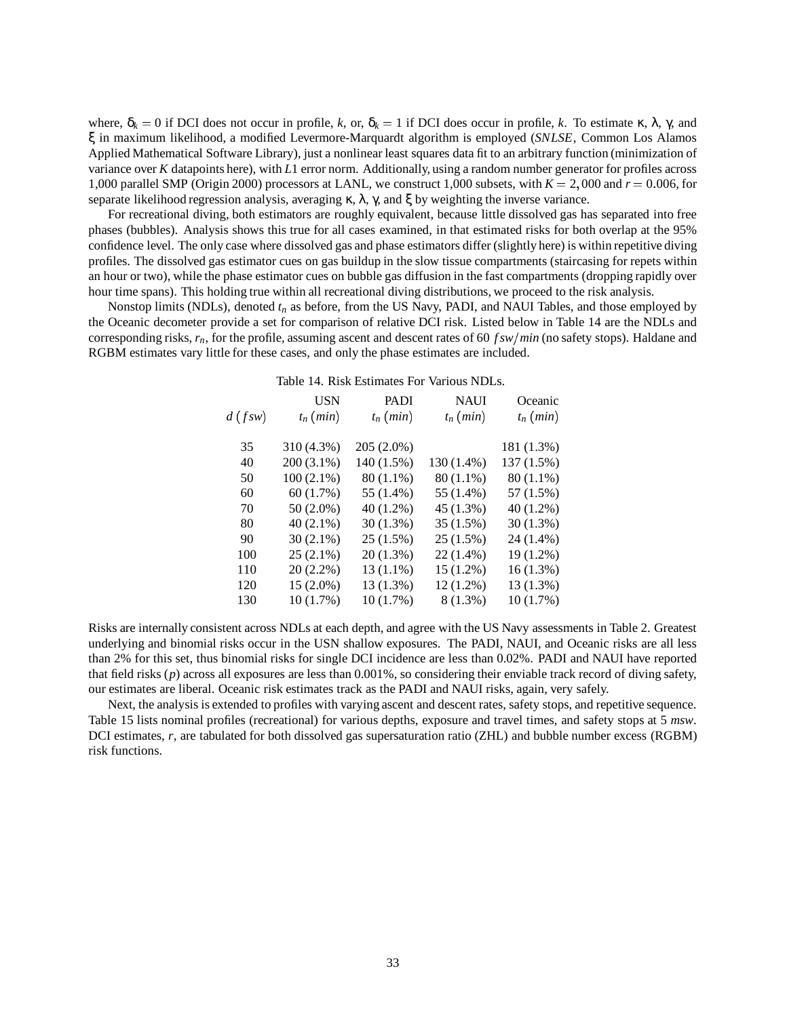where,  $\delta_k = 0$  if DCI does not occur in profile, *k*, or,  $\delta_k = 1$  if DCI does occur in profile, *k*. To estimate κ, λ, γ, and ξ in maximum likelihood, a modified Levermore-Marquardt algorithm is employed (*SNLSE*, Common Los Alamos Applied Mathematical Software Library), just a nonlinear least squares data fit to an arbitrary function (minimization of variance over *K* datapoints here), with *L*1 error norm. Additionally, using a random number generator for profiles across 1,000 parallel SMP (Origin 2000) processors at LANL, we construct 1,000 subsets, with  $K = 2,000$  and  $r = 0.006$ , for separate likelihood regression analysis, averaging  $\kappa$ ,  $\lambda$ ,  $\gamma$ , and  $\xi$  by weighting the inverse variance.

For recreational diving, both estimators are roughly equivalent, because little dissolved gas has separated into free phases (bubbles). Analysis shows this true for all cases examined, in that estimated risks for both overlap at the 95% confidence level. The only case where dissolved gas and phase estimators differ (slightly here) is within repetitive diving profiles. The dissolved gas estimator cues on gas buildup in the slow tissue compartments (staircasing for repets within an hour or two), while the phase estimator cues on bubble gas diffusion in the fast compartments (dropping rapidly over hour time spans). This holding true within all recreational diving distributions, we proceed to the risk analysis.

Nonstop limits (NDLs), denoted *tn* as before, from the US Navy, PADI, and NAUI Tables, and those employed by the Oceanic decometer provide a set for comparison of relative DCI risk. Listed below in Table 14 are the NDLs and corresponding risks,  $r_n$ , for the profile, assuming ascent and descent rates of 60  $f_{sw/min}$  (no safety stops). Haldane and RGBM estimates vary little for these cases, and only the phase estimates are included.

| 10010 1 1. ROK Dollingto I of Tarloup IND Db. |                           |                            |                            |                        |  |  |
|-----------------------------------------------|---------------------------|----------------------------|----------------------------|------------------------|--|--|
| d(fsw)                                        | <b>USN</b><br>$t_n$ (min) | <b>PADI</b><br>$t_n$ (min) | <b>NAUI</b><br>$t_n$ (min) | Oceanic<br>$t_n$ (min) |  |  |
|                                               |                           |                            |                            |                        |  |  |
| 35                                            | 310 (4.3%)                | 205 (2.0%)                 |                            | 181 (1.3%)             |  |  |
| 40                                            | 200 (3.1%)                | 140 (1.5%)                 | 130 (1.4%)                 | 137 (1.5%)             |  |  |
| 50                                            | $100(2.1\%)$              | 80 (1.1%)                  | $80(1.1\%)$                | $80(1.1\%)$            |  |  |
| 60                                            | 60(1.7%)                  | 55 (1.4%)                  | 55 (1.4%)                  | 57(1.5%)               |  |  |
| 70                                            | $50(2.0\%)$               | 40 (1.2%)                  | 45 (1.3%)                  | 40 (1.2%)              |  |  |
| 80                                            | $40(2.1\%)$               | $30(1.3\%)$                | 35(1.5%)                   | $30(1.3\%)$            |  |  |
| 90                                            | $30(2.1\%)$               | $25(1.5\%)$                | $25(1.5\%)$                | 24 (1.4%)              |  |  |
| 100                                           | $25(2.1\%)$               | 20 (1.3%)                  | $22(1.4\%)$                | 19 (1.2%)              |  |  |
| 110                                           | $20(2.2\%)$               | $13(1.1\%)$                | $15(1.2\%)$                | $16(1.3\%)$            |  |  |
| 120                                           | $15(2.0\%)$               | 13 (1.3%)                  | 12 (1.2%)                  | $13(1.3\%)$            |  |  |
| 130                                           | 10(1.7%)                  | 10(1.7%)                   | $8(1.3\%)$                 | 10(1.7%)               |  |  |
|                                               |                           |                            |                            |                        |  |  |

#### Table 14. Risk Estimates For Various NDLs.

Risks are internally consistent across NDLs at each depth, and agree with the US Navy assessments in Table 2. Greatest underlying and binomial risks occur in the USN shallow exposures. The PADI, NAUI, and Oceanic risks are all less than 2% for this set, thus binomial risks for single DCI incidence are less than 0.02%. PADI and NAUI have reported that field risks (*p*) across all exposures are less than 0.001%, so considering their enviable track record of diving safety, our estimates are liberal. Oceanic risk estimates track as the PADI and NAUI risks, again, very safely.

Next, the analysis is extended to profiles with varying ascent and descent rates, safety stops, and repetitive sequence. Table 15 lists nominal profiles (recreational) for various depths, exposure and travel times, and safety stops at 5 *msw*. DCI estimates, *r*, are tabulated for both dissolved gas supersaturation ratio (ZHL) and bubble number excess (RGBM) risk functions.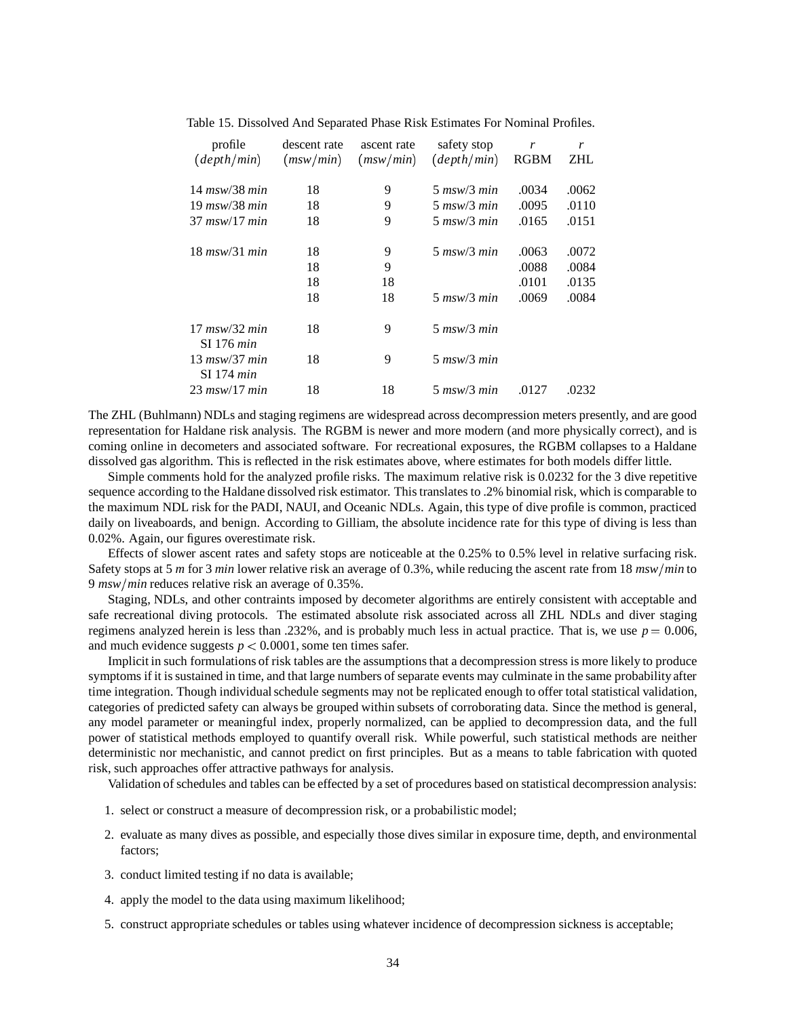| profile                           | descent rate | ascent rate | safety stop                   | r           | r          |
|-----------------------------------|--------------|-------------|-------------------------------|-------------|------------|
| (depth/min)                       | (msw/min)    | (msw/min)   | (depth/min)                   | <b>RGBM</b> | <b>ZHL</b> |
| $14$ msw/38 min                   | 18           | 9           | $5 \,$ msw/ $3 \,$ min        | .0034       | .0062      |
| $19$ msw/38 min                   | 18           | 9           | $5 \text{ msw/}3 \text{ min}$ | .0095       | .0110      |
| $37$ msw/17 min                   | 18           | 9           | $5 \text{ msw/}3 \text{ min}$ | .0165       | .0151      |
| $18 \,$ msw/31 min                | 18           | 9           | $5 \text{ msw/}3 \text{ min}$ | .0063       | .0072      |
|                                   | 18           | 9           |                               | .0088       | .0084      |
|                                   | 18           | 18          |                               | .0101       | .0135      |
|                                   | 18           | 18          | $5 \,$ msw/ $3 \,$ min        | .0069       | .0084      |
| $17$ msw/32 min<br>SI 176 min     | 18           | 9           | $5 \text{ msw/}3 \text{ min}$ |             |            |
| $13$ msw/37 min<br>$SI$ 174 $min$ | 18           | 9           | $5 \text{ msw/}3 \text{ min}$ |             |            |
| $23$ msw/17 min                   | 18           | 18          | $5 \,$ msw/ $3 \,$ min        | .0127       | .0232      |

Table 15. Dissolved And Separated Phase Risk Estimates For Nominal Profiles.

The ZHL (Buhlmann) NDLs and staging regimens are widespread across decompression meters presently, and are good representation for Haldane risk analysis. The RGBM is newer and more modern (and more physically correct), and is coming online in decometers and associated software. For recreational exposures, the RGBM collapses to a Haldane dissolved gas algorithm. This is reflected in the risk estimates above, where estimates for both models differ little.

Simple comments hold for the analyzed profile risks. The maximum relative risk is 0.0232 for the 3 dive repetitive sequence according to the Haldane dissolved risk estimator. This translates to .2% binomial risk, which is comparable to the maximum NDL risk for the PADI, NAUI, and Oceanic NDLs. Again, this type of dive profile is common, practiced daily on liveaboards, and benign. According to Gilliam, the absolute incidence rate for this type of diving is less than 0.02%. Again, our figures overestimate risk.

Effects of slower ascent rates and safety stops are noticeable at the 0.25% to 0.5% level in relative surfacing risk. Safety stops at 5 *m* for 3 *min* lower relative risk an average of 0.3%, while reducing the ascent rate from 18 *msw*/*min* to 9 *msw*/*min* reduces relative risk an average of 0.35%.

Staging, NDLs, and other contraints imposed by decometer algorithms are entirely consistent with acceptable and safe recreational diving protocols. The estimated absolute risk associated across all ZHL NDLs and diver staging regimens analyzed herein is less than .232%, and is probably much less in actual practice. That is, we use  $p = 0.006$ , and much evidence suggests  $p < 0.0001$ , some ten times safer.

Implicit in such formulations of risk tables are the assumptions that a decompression stress is more likely to produce symptoms if it is sustained in time, and that large numbers of separate events may culminate in the same probability after time integration. Though individual schedule segments may not be replicated enough to offer total statistical validation, categories of predicted safety can always be grouped within subsets of corroborating data. Since the method is general, any model parameter or meaningful index, properly normalized, can be applied to decompression data, and the full power of statistical methods employed to quantify overall risk. While powerful, such statistical methods are neither deterministic nor mechanistic, and cannot predict on first principles. But as a means to table fabrication with quoted risk, such approaches offer attractive pathways for analysis.

Validation of schedules and tables can be effected by a set of procedures based on statistical decompression analysis:

- 1. select or construct a measure of decompression risk, or a probabilistic model;
- 2. evaluate as many dives as possible, and especially those dives similar in exposure time, depth, and environmental factors;
- 3. conduct limited testing if no data is available;
- 4. apply the model to the data using maximum likelihood;
- 5. construct appropriate schedules or tables using whatever incidence of decompression sickness is acceptable;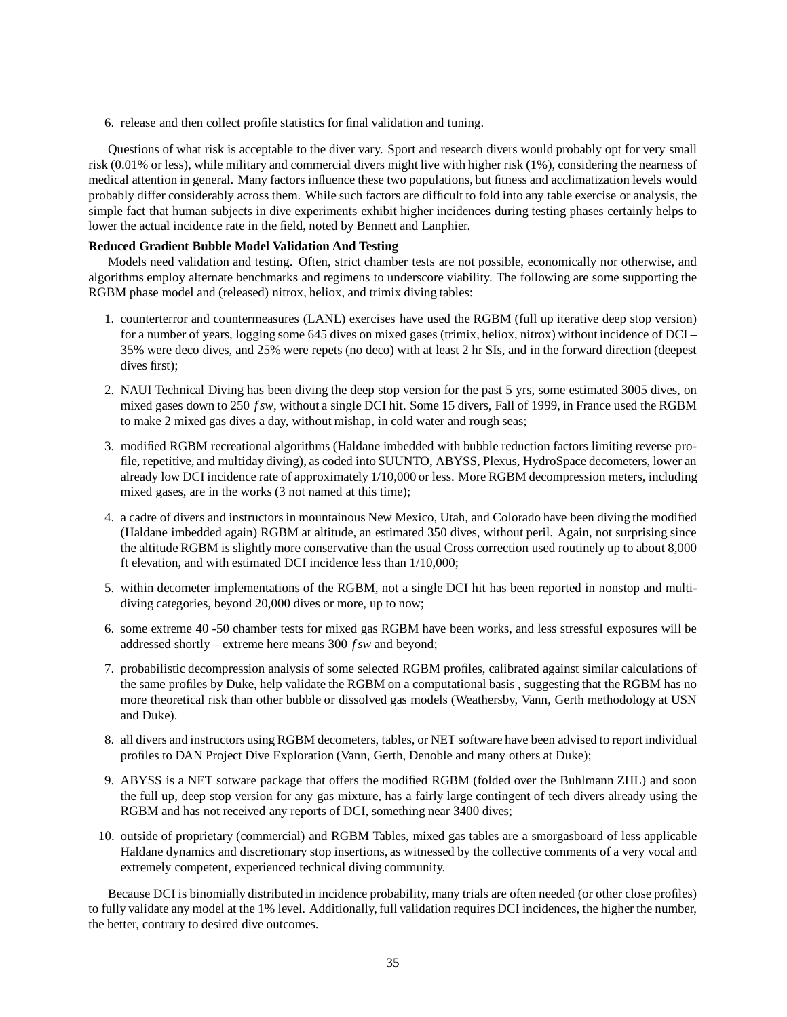6. release and then collect profile statistics for final validation and tuning.

Questions of what risk is acceptable to the diver vary. Sport and research divers would probably opt for very small risk (0.01% or less), while military and commercial divers might live with higher risk (1%), considering the nearness of medical attention in general. Many factors influence these two populations, but fitness and acclimatization levels would probably differ considerably across them. While such factors are difficult to fold into any table exercise or analysis, the simple fact that human subjects in dive experiments exhibit higher incidences during testing phases certainly helps to lower the actual incidence rate in the field, noted by Bennett and Lanphier.

# **Reduced Gradient Bubble Model Validation And Testing**

Models need validation and testing. Often, strict chamber tests are not possible, economically nor otherwise, and algorithms employ alternate benchmarks and regimens to underscore viability. The following are some supporting the RGBM phase model and (released) nitrox, heliox, and trimix diving tables:

- 1. counterterror and countermeasures (LANL) exercises have used the RGBM (full up iterative deep stop version) for a number of years, logging some 645 dives on mixed gases (trimix, heliox, nitrox) without incidence of DCI – 35% were deco dives, and 25% were repets (no deco) with at least 2 hr SIs, and in the forward direction (deepest dives first);
- 2. NAUI Technical Diving has been diving the deep stop version for the past 5 yrs, some estimated 3005 dives, on mixed gases down to 250 *f sw*, without a single DCI hit. Some 15 divers, Fall of 1999, in France used the RGBM to make 2 mixed gas dives a day, without mishap, in cold water and rough seas;
- 3. modified RGBM recreational algorithms (Haldane imbedded with bubble reduction factors limiting reverse profile, repetitive, and multiday diving), as coded into SUUNTO, ABYSS, Plexus, HydroSpace decometers, lower an already low DCI incidence rate of approximately 1/10,000 or less. More RGBM decompression meters, including mixed gases, are in the works (3 not named at this time);
- 4. a cadre of divers and instructors in mountainous New Mexico, Utah, and Colorado have been diving the modified (Haldane imbedded again) RGBM at altitude, an estimated 350 dives, without peril. Again, not surprising since the altitude RGBM is slightly more conservative than the usual Cross correction used routinely up to about 8,000 ft elevation, and with estimated DCI incidence less than 1/10,000;
- 5. within decometer implementations of the RGBM, not a single DCI hit has been reported in nonstop and multidiving categories, beyond 20,000 dives or more, up to now;
- 6. some extreme 40 -50 chamber tests for mixed gas RGBM have been works, and less stressful exposures will be addressed shortly – extreme here means 300 *f sw* and beyond;
- 7. probabilistic decompression analysis of some selected RGBM profiles, calibrated against similar calculations of the same profiles by Duke, help validate the RGBM on a computational basis , suggesting that the RGBM has no more theoretical risk than other bubble or dissolved gas models (Weathersby, Vann, Gerth methodology at USN and Duke).
- 8. all divers and instructors using RGBM decometers, tables, or NET software have been advised to report individual profiles to DAN Project Dive Exploration (Vann, Gerth, Denoble and many others at Duke);
- 9. ABYSS is a NET sotware package that offers the modified RGBM (folded over the Buhlmann ZHL) and soon the full up, deep stop version for any gas mixture, has a fairly large contingent of tech divers already using the RGBM and has not received any reports of DCI, something near 3400 dives;
- 10. outside of proprietary (commercial) and RGBM Tables, mixed gas tables are a smorgasboard of less applicable Haldane dynamics and discretionary stop insertions, as witnessed by the collective comments of a very vocal and extremely competent, experienced technical diving community.

Because DCI is binomially distributed in incidence probability, many trials are often needed (or other close profiles) to fully validate any model at the 1% level. Additionally, full validation requires DCI incidences, the higher the number, the better, contrary to desired dive outcomes.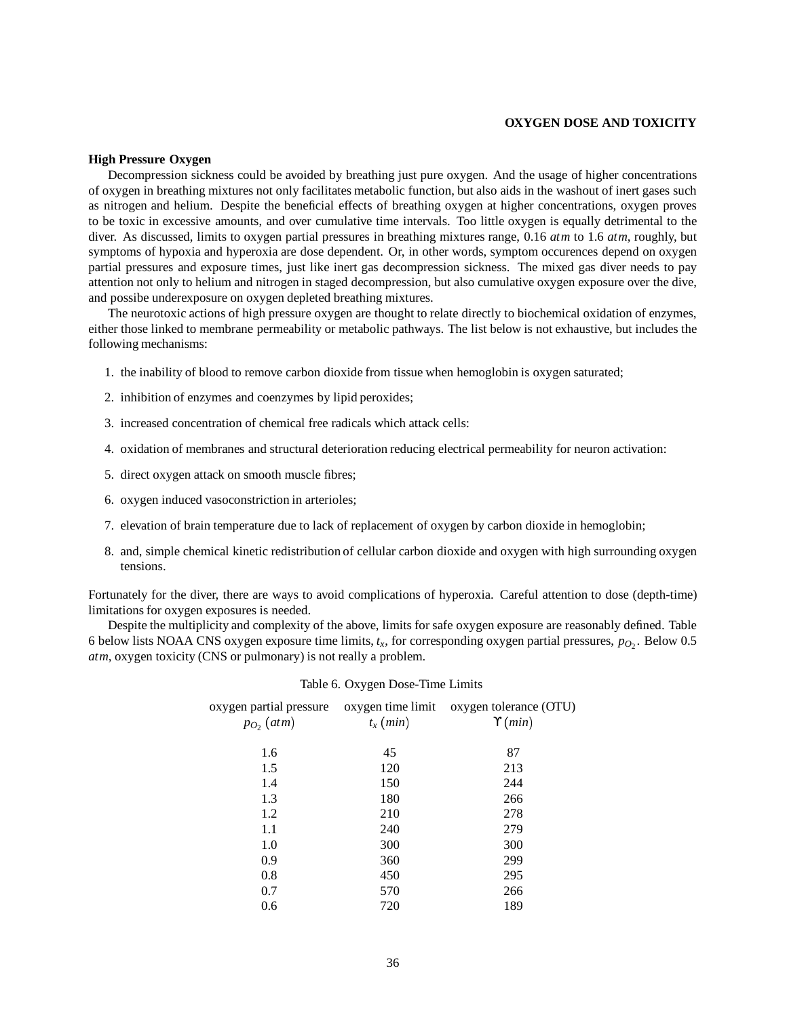# **OXYGEN DOSE AND TOXICITY**

# **High Pressure Oxygen**

Decompression sickness could be avoided by breathing just pure oxygen. And the usage of higher concentrations of oxygen in breathing mixtures not only facilitates metabolic function, but also aids in the washout of inert gases such as nitrogen and helium. Despite the beneficial effects of breathing oxygen at higher concentrations, oxygen proves to be toxic in excessive amounts, and over cumulative time intervals. Too little oxygen is equally detrimental to the diver. As discussed, limits to oxygen partial pressures in breathing mixtures range, 0.16 *atm* to 1.6 *atm*, roughly, but symptoms of hypoxia and hyperoxia are dose dependent. Or, in other words, symptom occurences depend on oxygen partial pressures and exposure times, just like inert gas decompression sickness. The mixed gas diver needs to pay attention not only to helium and nitrogen in staged decompression, but also cumulative oxygen exposure over the dive, and possibe underexposure on oxygen depleted breathing mixtures.

The neurotoxic actions of high pressure oxygen are thought to relate directly to biochemical oxidation of enzymes, either those linked to membrane permeability or metabolic pathways. The list below is not exhaustive, but includes the following mechanisms:

- 1. the inability of blood to remove carbon dioxide from tissue when hemoglobin is oxygen saturated;
- 2. inhibition of enzymes and coenzymes by lipid peroxides;
- 3. increased concentration of chemical free radicals which attack cells:
- 4. oxidation of membranes and structural deterioration reducing electrical permeability for neuron activation:
- 5. direct oxygen attack on smooth muscle fibres;
- 6. oxygen induced vasoconstriction in arterioles;
- 7. elevation of brain temperature due to lack of replacement of oxygen by carbon dioxide in hemoglobin;
- 8. and, simple chemical kinetic redistribution of cellular carbon dioxide and oxygen with high surrounding oxygen tensions.

Fortunately for the diver, there are ways to avoid complications of hyperoxia. Careful attention to dose (depth-time) limitations for oxygen exposures is needed.

Despite the multiplicity and complexity of the above, limits for safe oxygen exposure are reasonably defined. Table 6 below lists NOAA CNS oxygen exposure time limits,  $t<sub>x</sub>$ , for corresponding oxygen partial pressures,  $p<sub>O<sub>2</sub></sub>$ . Below 0.5 *atm*, oxygen toxicity (CNS or pulmonary) is not really a problem.

| $p_O$ , $(atm)$ | $t_x$ (min) | oxygen partial pressure oxygen time limit oxygen tolerance (OTU)<br>$\Upsilon$ ( <i>min</i> ) |
|-----------------|-------------|-----------------------------------------------------------------------------------------------|
| 1.6             | 45          | 87                                                                                            |
| 1.5             | 120         | 213                                                                                           |
| 1.4             | 150         | 244                                                                                           |
| 1.3             | 180         | 266                                                                                           |
| 1.2             | 210         | 278                                                                                           |
| 1.1             | 240         | 279                                                                                           |
| 1.0             | 300         | 300                                                                                           |
| 0.9             | 360         | 299                                                                                           |
| 0.8             | 450         | 295                                                                                           |
| 0.7             | 570         | 266                                                                                           |
| 0.6             | 720         | 189                                                                                           |
|                 |             |                                                                                               |

#### Table 6. Oxygen Dose-Time Limits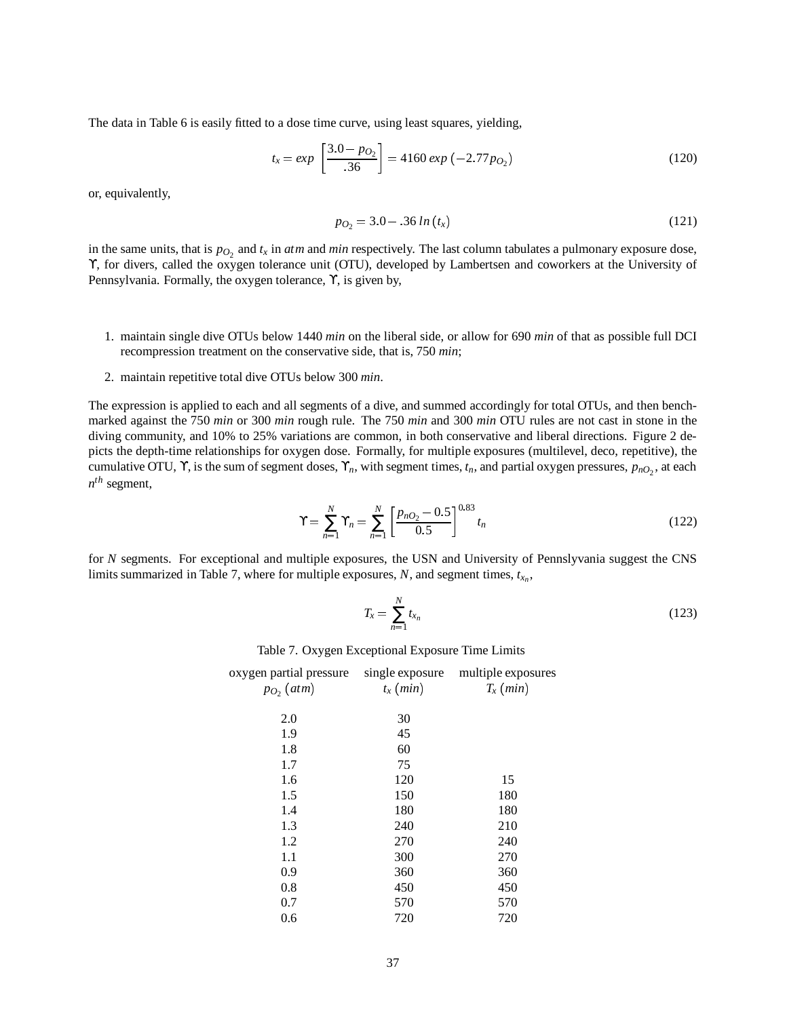The data in Table 6 is easily fitted to a dose time curve, using least squares, yielding,

$$
t_x = \exp\left[\frac{3.0 - p_{O_2}}{.36}\right] = 4160 \exp\left(-2.77p_{O_2}\right) \tag{120}
$$

or, equivalently,

$$
p_{O_2} = 3.0 - .36 \ln(t_x) \tag{121}
$$

in the same units, that is  $p_{O_2}$  and  $t_x$  in  $atm$  and  $min$  respectively. The last column tabulates a pulmonary exposure dose, ϒ, for divers, called the oxygen tolerance unit (OTU), developed by Lambertsen and coworkers at the University of Pennsylvania. Formally, the oxygen tolerance, ϒ, is given by,

- 1. maintain single dive OTUs below 1440 *min* on the liberal side, or allow for 690 *min* of that as possible full DCI recompression treatment on the conservative side, that is, 750 *min*;
- 2. maintain repetitive total dive OTUs below 300 *min*.

The expression is applied to each and all segments of a dive, and summed accordingly for total OTUs, and then benchmarked against the 750 *min* or 300 *min* rough rule. The 750 *min* and 300 *min* OTU rules are not cast in stone in the diving community, and 10% to 25% variations are common, in both conservative and liberal directions. Figure 2 depicts the depth-time relationships for oxygen dose. Formally, for multiple exposures (multilevel, deco, repetitive), the cumulative OTU, Y, is the sum of segment doses,  $Y_n$ , with segment times,  $t_n$ , and partial oxygen pressures,  $p_{nO}$ , at each  $n^{th}$  segment,

$$
\Upsilon = \sum_{n=1}^{N} \Upsilon_n = \sum_{n=1}^{N} \left[ \frac{p_{nO_2} - 0.5}{0.5} \right]^{0.83} t_n \tag{122}
$$

for *N* segments. For exceptional and multiple exposures, the USN and University of Pennslyvania suggest the CNS limits summarized in Table 7, where for multiple exposures,  $N$ , and segment times,  $t_{x_n}$ ,

$$
T_x = \sum_{n=1}^{N} t_{x_n} \tag{123}
$$

| oxygen partial pressure single exposure multiple exposures<br>$p_O$ , $(atm)$ | $t_x$ (min) | $T_x$ (min) |
|-------------------------------------------------------------------------------|-------------|-------------|
| 2.0                                                                           | 30          |             |
| 1.9                                                                           | 45          |             |
| 1.8                                                                           | 60          |             |
| 1.7                                                                           | 75          |             |
| 1.6                                                                           | 120         | 15          |
| 1.5                                                                           | 150         | 180         |
| 1.4                                                                           | 180         | 180         |
| 1.3                                                                           | 240         | 210         |
| 1.2                                                                           | 270         | 240         |
| 1.1                                                                           | 300         | 270         |
| 0.9                                                                           | 360         | 360         |
| 0.8                                                                           | 450         | 450         |
| 0.7                                                                           | 570         | 570         |
| 0.6                                                                           | 720         | 720         |
|                                                                               |             |             |

| Table 7. Oxygen Exceptional Exposure Time Limits |  |  |  |  |
|--------------------------------------------------|--|--|--|--|
|                                                  |  |  |  |  |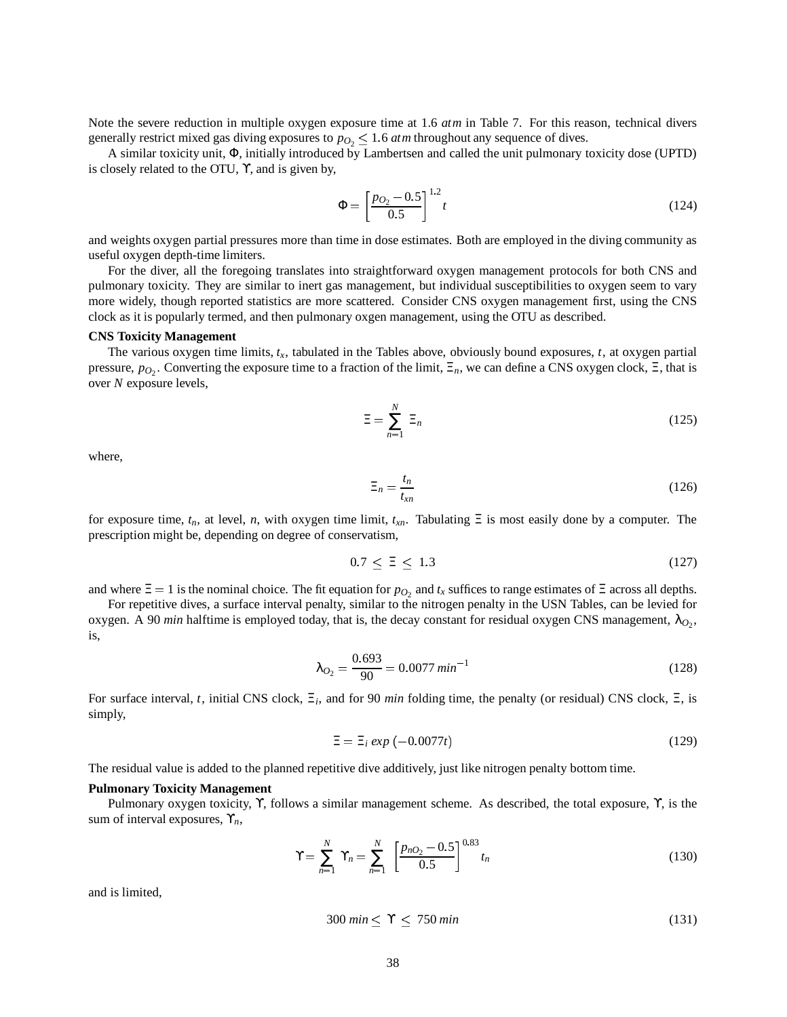Note the severe reduction in multiple oxygen exposure time at 1.6 *atm* in Table 7. For this reason, technical divers generally restrict mixed gas diving exposures to  $p_{O_2} \leq 1.6$  *atm* throughout any sequence of dives.

A similar toxicity unit, Φ, initially introduced by Lambertsen and called the unit pulmonary toxicity dose (UPTD) is closely related to the OTU,  $\Upsilon$ , and is given by,

$$
\Phi = \left[\frac{p_{O_2} - 0.5}{0.5}\right]^{1.2} t \tag{124}
$$

and weights oxygen partial pressures more than time in dose estimates. Both are employed in the diving community as useful oxygen depth-time limiters.

For the diver, all the foregoing translates into straightforward oxygen management protocols for both CNS and pulmonary toxicity. They are similar to inert gas management, but individual susceptibilities to oxygen seem to vary more widely, though reported statistics are more scattered. Consider CNS oxygen management first, using the CNS clock as it is popularly termed, and then pulmonary oxgen management, using the OTU as described.

### **CNS Toxicity Management**

The various oxygen time limits, *tx*, tabulated in the Tables above, obviously bound exposures, *t*, at oxygen partial pressure, *pO*<sup>2</sup> . Converting the exposure time to a fraction of the limit, Ξ*n*, we can define a CNS oxygen clock, Ξ, that is over *N* exposure levels,

$$
\Xi = \sum_{n=1}^{N} \Xi_n \tag{125}
$$

where,

$$
\Xi_n = \frac{t_n}{t_{xn}}\tag{126}
$$

for exposure time, *tn*, at level, *n*, with oxygen time limit, *txn*. Tabulating Ξ is most easily done by a computer. The prescription might be, depending on degree of conservatism,

$$
0.7 \le \Xi \le 1.3\tag{127}
$$

and where  $\Xi = 1$  is the nominal choice. The fit equation for  $p_{O_2}$  and  $t_x$  suffices to range estimates of  $\Xi$  across all depths.

For repetitive dives, a surface interval penalty, similar to the nitrogen penalty in the USN Tables, can be levied for oxygen. A 90 *min* halftime is employed today, that is, the decay constant for residual oxygen CNS management,  $λ<sub>O</sub>$ , is,

$$
\lambda_{O_2} = \frac{0.693}{90} = 0.0077 \text{ min}^{-1} \tag{128}
$$

For surface interval, *t*, initial CNS clock, Ξ*i*, and for 90 *min* folding time, the penalty (or residual) CNS clock, Ξ, is simply,

$$
\Xi = \Xi_i \exp(-0.0077t) \tag{129}
$$

The residual value is added to the planned repetitive dive additively, just like nitrogen penalty bottom time.

#### **Pulmonary Toxicity Management**

Pulmonary oxygen toxicity, ϒ, follows a similar management scheme. As described, the total exposure, ϒ, is the sum of interval exposures, ϒ*n*,

$$
\Upsilon = \sum_{n=1}^{N} \Upsilon_n = \sum_{n=1}^{N} \left[ \frac{p_{nO_2} - 0.5}{0.5} \right]^{0.83} t_n \tag{130}
$$

and is limited,

$$
300 \ min \leq \Upsilon \leq 750 \ min \tag{131}
$$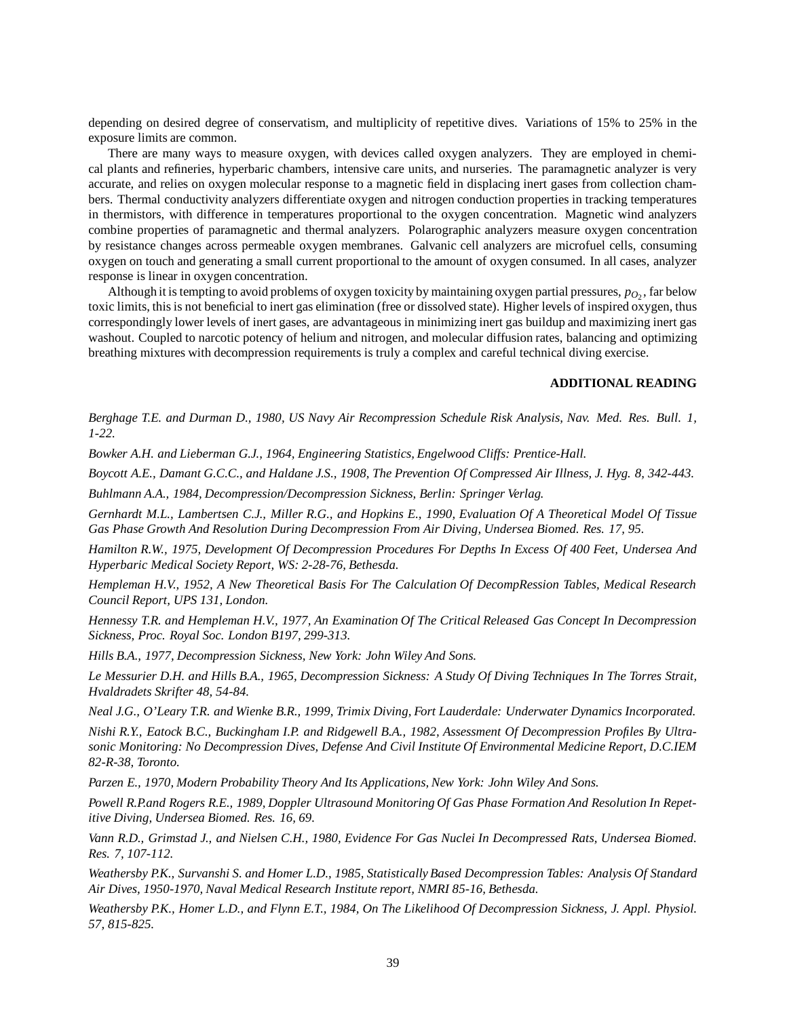depending on desired degree of conservatism, and multiplicity of repetitive dives. Variations of 15% to 25% in the exposure limits are common.

There are many ways to measure oxygen, with devices called oxygen analyzers. They are employed in chemical plants and refineries, hyperbaric chambers, intensive care units, and nurseries. The paramagnetic analyzer is very accurate, and relies on oxygen molecular response to a magnetic field in displacing inert gases from collection chambers. Thermal conductivity analyzers differentiate oxygen and nitrogen conduction properties in tracking temperatures in thermistors, with difference in temperatures proportional to the oxygen concentration. Magnetic wind analyzers combine properties of paramagnetic and thermal analyzers. Polarographic analyzers measure oxygen concentration by resistance changes across permeable oxygen membranes. Galvanic cell analyzers are microfuel cells, consuming oxygen on touch and generating a small current proportional to the amount of oxygen consumed. In all cases, analyzer response is linear in oxygen concentration.

Although it is tempting to avoid problems of oxygen toxicity by maintaining oxygen partial pressures,  $p_0$ , far below toxic limits, this is not beneficial to inert gas elimination (free or dissolved state). Higher levels of inspired oxygen, thus correspondingly lower levels of inert gases, are advantageous in minimizing inert gas buildup and maximizing inert gas washout. Coupled to narcotic potency of helium and nitrogen, and molecular diffusion rates, balancing and optimizing breathing mixtures with decompression requirements is truly a complex and careful technical diving exercise.

# **ADDITIONAL READING**

*Berghage T.E. and Durman D., 1980, US Navy Air Recompression Schedule Risk Analysis, Nav. Med. Res. Bull. 1, 1-22.*

*Bowker A.H. and Lieberman G.J., 1964, Engineering Statistics, Engelwood Cliffs: Prentice-Hall.*

*Boycott A.E., Damant G.C.C., and Haldane J.S., 1908, The Prevention Of Compressed Air Illness, J. Hyg. 8, 342-443.*

*Buhlmann A.A., 1984, Decompression/Decompression Sickness, Berlin: Springer Verlag.*

*Gernhardt M.L., Lambertsen C.J., Miller R.G., and Hopkins E., 1990, Evaluation Of A Theoretical Model Of Tissue Gas Phase Growth And Resolution During Decompression From Air Diving, Undersea Biomed. Res. 17, 95.*

*Hamilton R.W., 1975, Development Of Decompression Procedures For Depths In Excess Of 400 Feet, Undersea And Hyperbaric Medical Society Report, WS: 2-28-76, Bethesda.*

*Hempleman H.V., 1952, A New Theoretical Basis For The Calculation Of DecompRession Tables, Medical Research Council Report, UPS 131, London.*

*Hennessy T.R. and Hempleman H.V., 1977, An Examination Of The Critical Released Gas Concept In Decompression Sickness, Proc. Royal Soc. London B197, 299-313.*

*Hills B.A., 1977, Decompression Sickness, New York: John Wiley And Sons.*

*Le Messurier D.H. and Hills B.A., 1965, Decompression Sickness: A Study Of Diving Techniques In The Torres Strait, Hvaldradets Skrifter 48, 54-84.*

*Neal J.G., O'Leary T.R. and Wienke B.R., 1999, Trimix Diving, Fort Lauderdale: Underwater Dynamics Incorporated.*

*Nishi R.Y., Eatock B.C., Buckingham I.P. and Ridgewell B.A., 1982, Assessment Of Decompression Profiles By Ultrasonic Monitoring: No Decompression Dives, Defense And Civil Institute Of Environmental Medicine Report, D.C.IEM 82-R-38, Toronto.*

*Parzen E., 1970, Modern Probability Theory And Its Applications, New York: John Wiley And Sons.*

*Powell R.P.and Rogers R.E., 1989, Doppler Ultrasound Monitoring Of Gas Phase Formation And Resolution In Repetitive Diving, Undersea Biomed. Res. 16, 69.*

*Vann R.D., Grimstad J., and Nielsen C.H., 1980, Evidence For Gas Nuclei In Decompressed Rats, Undersea Biomed. Res. 7, 107-112.*

*Weathersby P.K., Survanshi S. and Homer L.D., 1985, Statistically Based Decompression Tables: Analysis Of Standard Air Dives, 1950-1970, Naval Medical Research Institute report, NMRI 85-16, Bethesda.*

*Weathersby P.K., Homer L.D., and Flynn E.T., 1984, On The Likelihood Of Decompression Sickness, J. Appl. Physiol. 57, 815-825.*